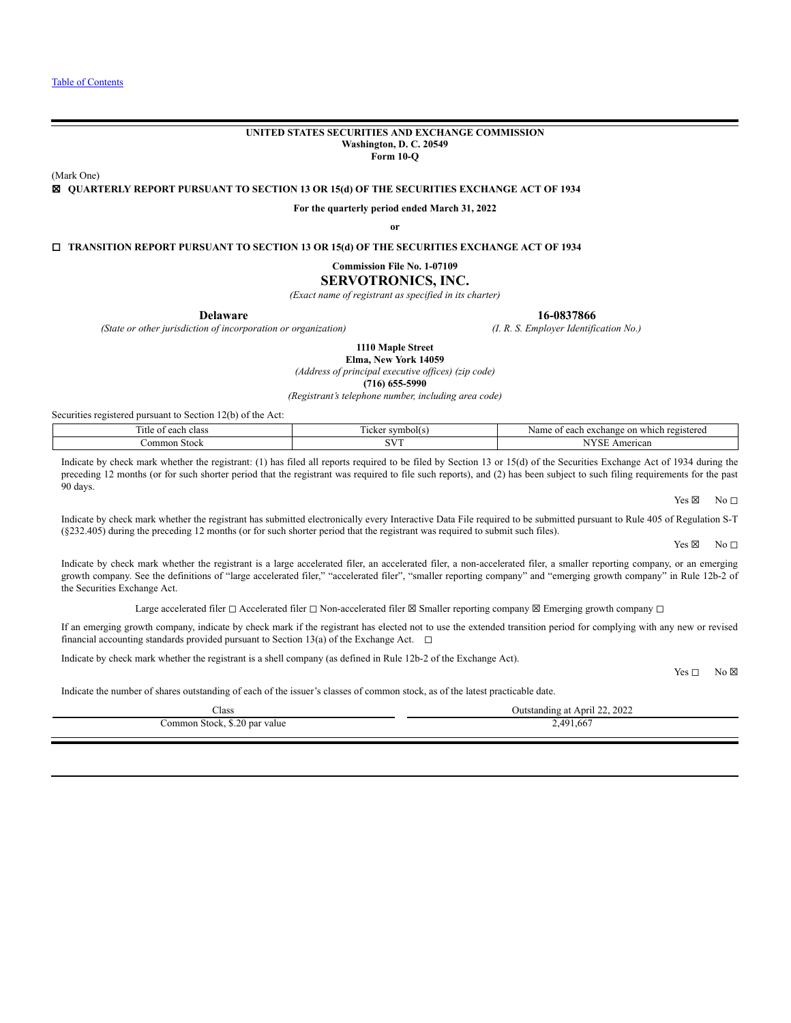#### **UNITED STATES SECURITIES AND EXCHANGE COMMISSION Washington, D. C. 20549 Form 10-Q**

(Mark One)

### ☒ **QUARTERLY REPORT PURSUANT TO SECTION 13 OR 15(d) OF THE SECURITIES EXCHANGE ACT OF 1934**

**For the quarterly period ended March 31, 2022**

**or**

# ☐ **TRANSITION REPORT PURSUANT TO SECTION 13 OR 15(d) OF THE SECURITIES EXCHANGE ACT OF 1934**

### **Commission File No. 1-07109**

### **SERVOTRONICS, INC.**

*(Exact name of registrant as specified in its charter)*

#### **Delaware 16-0837866**

*(State or other jurisdiction of incorporation or organization) (I. R. S. Employer Identification No.)*

**1110 Maple Street**

**Elma, New York 14059** *(Address of principal executive of ices) (zip code)*

**(716) 655-5990**

*(Registrant's telephone number, including area code)*

Securities registered pursuant to Section 12(b) of the Act:

| --<br>≅clas.<br>ւււ<br>caci<br>$\cdots$ | $-$<br>2.008344<br>1C <sub>Kf</sub> | Nam<br>change<br>ΆŒ<br>$\Omega$<br>⊏au |
|-----------------------------------------|-------------------------------------|----------------------------------------|
| itock<br>nm,<br>ımon                    | $-1$                                | T<br>rican<br>, me                     |

Indicate by check mark whether the registrant: (1) has filed all reports required to be filed by Section 13 or 15(d) of the Securities Exchange Act of 1934 during the preceding 12 months (or for such shorter period that the registrant was required to file such reports), and (2) has been subject to such filing requirements for the past 90 days.

Yes ⊠ No □

Indicate by check mark whether the registrant has submitted electronically every Interactive Data File required to be submitted pursuant to Rule 405 of Regulation S-T (§232.405) during the preceding 12 months (or for such shorter period that the registrant was required to submit such files).

Yes ⊠ No □

Indicate by check mark whether the registrant is a large accelerated filer, an accelerated filer, a non-accelerated filer, a smaller reporting company, or an emerging growth company. See the definitions of "large accelerated filer," "accelerated filer", "smaller reporting company" and "emerging growth company" in Rule 12b-2 of the Securities Exchange Act.

Large accelerated filer □ Accelerated filer □ Non-accelerated filer ⊠ Smaller reporting company ⊠ Emerging growth company □

If an emerging growth company, indicate by check mark if the registrant has elected not to use the extended transition period for complying with any new or revised financial accounting standards provided pursuant to Section 13(a) of the Exchange Act.  $\Box$ 

Indicate by check mark whether the registrant is a shell company (as defined in Rule 12b-2 of the Exchange Act).

Yes □ No ⊠

Indicate the number of shares outstanding of each of the issuer's classes of common stock, as of the latest practicable date.

| Class                         | Outstanding at April 22, 2022 |
|-------------------------------|-------------------------------|
| Common Stock, \$.20 par value | 2,491,667                     |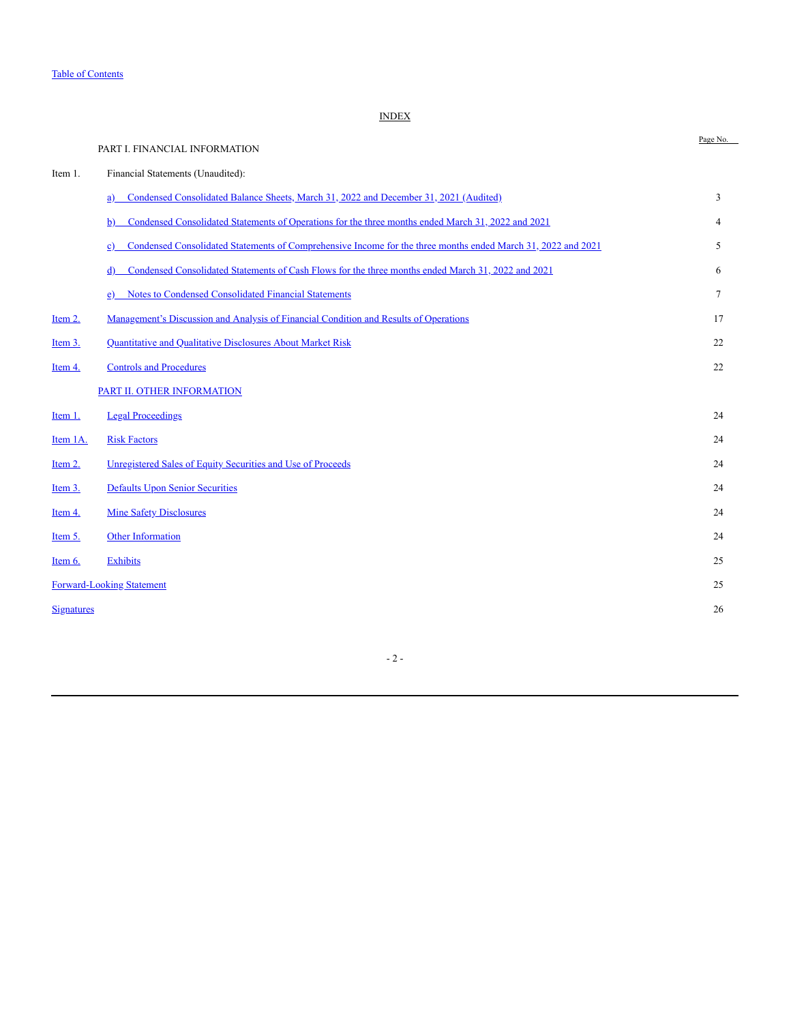# <span id="page-1-0"></span>INDEX Page No. PART I. FINANCIAL INFORMATION Item 1. Financial Statements (Unaudited): a) Condensed [Consolidated](#page-2-0) Balance Sheets, March 31, 2022 and December 31, 2021 (Audited) 3 b) Condensed [Consolidated](#page-3-0) Statements of Operations for the three months ended March 31, 2022 and 2021 4 c) Condensed Consolidated Statements of [Comprehensive](#page-4-0) Income for the three months ended March 31, 2022 and 2021 5 d) Condensed [Consolidated](#page-5-0) Statements of Cash Flows for the three months ended March 31, 2022 and 2021 6 e) Notes to Condensed [Consolidated](#page-6-0) Financial Statements 7 [Item](#page-16-0) 2. [Management's](#page-16-0) Discussion and Analysis of Financial Condition and Results of Operations 17 [Item](#page-21-0) 3. [Quantitative](#page-21-0) and Qualitative Disclosures About Market Risk 22 **[Item](#page-21-1) 4.** Controls and [Procedures](#page-21-1) 22 PART II. OTHER [INFORMATION](#page-23-0) [Item](#page-23-1) 1. Legal [Proceedings](#page-23-1) 24 [Item](#page-23-2) 1A. Risk [Factors](#page-23-2) 24 [Item](#page-23-3) 2. [Unregistered](#page-23-3) Sales of Equity Securities and Use of Proceeds 24 [Item](#page-23-4) 3. Defaults Upon Senior [Securities](#page-23-4) 24 **[Item](#page-23-5) 4.** Mine Safety [Disclosures](#page-23-5) 24 [Item](#page-23-6) 5. Other [Information](#page-23-6) 24 **[Item](#page-24-0) 6.** [Exhibits](#page-24-0) 25 [Forward-Looking](#page-24-1) Statement 25 **[Signatures](#page-25-0)** 26

- 2 -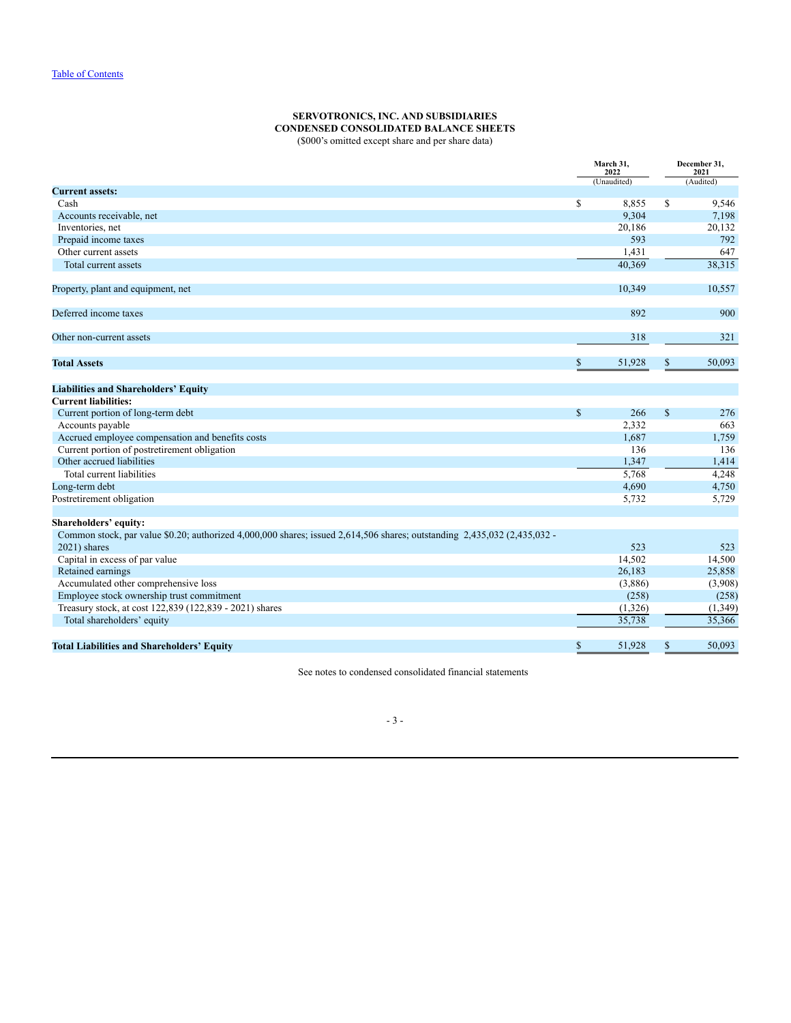# **SERVOTRONICS, INC. AND SUBSIDIARIES**

**CONDENSED CONSOLIDATED BALANCE SHEETS** (\$000's omitted except share and per share data)

<span id="page-2-0"></span>

|                                                                                                                          | March 31,<br>2022 | December 31.<br>2021 |
|--------------------------------------------------------------------------------------------------------------------------|-------------------|----------------------|
| <b>Current assets:</b>                                                                                                   | (Unaudited)       | (Audited)            |
| Cash                                                                                                                     | \$<br>8,855       | \$<br>9,546          |
| Accounts receivable, net                                                                                                 | 9,304             | 7,198                |
| Inventories, net                                                                                                         | 20,186            | 20,132               |
| Prepaid income taxes                                                                                                     | 593               | 792                  |
| Other current assets                                                                                                     | 1,431             | 647                  |
| Total current assets                                                                                                     | 40,369            | 38,315               |
| Property, plant and equipment, net                                                                                       | 10,349            | 10,557               |
| Deferred income taxes                                                                                                    | 892               | 900                  |
| Other non-current assets                                                                                                 | 318               | 321                  |
| <b>Total Assets</b>                                                                                                      | \$<br>51,928      | \$<br>50,093         |
| <b>Liabilities and Shareholders' Equity</b>                                                                              |                   |                      |
| <b>Current liabilities:</b>                                                                                              |                   |                      |
| Current portion of long-term debt                                                                                        | \$<br>266         | \$<br>276            |
| Accounts payable                                                                                                         | 2,332             | 663                  |
| Accrued employee compensation and benefits costs                                                                         | 1,687             | 1,759                |
| Current portion of postretirement obligation                                                                             | 136               | 136                  |
| Other accrued liabilities                                                                                                | 1,347             | 1,414                |
| Total current liabilities                                                                                                | 5,768             | 4,248                |
| Long-term debt                                                                                                           | 4,690             | 4,750                |
| Postretirement obligation                                                                                                | 5,732             | 5,729                |
| Shareholders' equity:                                                                                                    |                   |                      |
| Common stock, par value \$0.20; authorized 4,000,000 shares; issued 2,614,506 shares; outstanding 2,435,032 (2,435,032 - |                   |                      |
| 2021) shares                                                                                                             | 523               | 523                  |
| Capital in excess of par value                                                                                           | 14,502            | 14,500               |
| Retained earnings                                                                                                        | 26,183            | 25,858               |
| Accumulated other comprehensive loss                                                                                     | (3,886)           | (3,908)              |
| Employee stock ownership trust commitment                                                                                | (258)             | (258)                |
| Treasury stock, at cost 122,839 (122,839 - 2021) shares                                                                  | (1, 326)          | (1,349)              |
| Total shareholders' equity                                                                                               | 35,738            | 35,366               |
| <b>Total Liabilities and Shareholders' Equity</b>                                                                        | \$<br>51,928      | \$<br>50,093         |

See notes to condensed consolidated financial statements

# - 3 -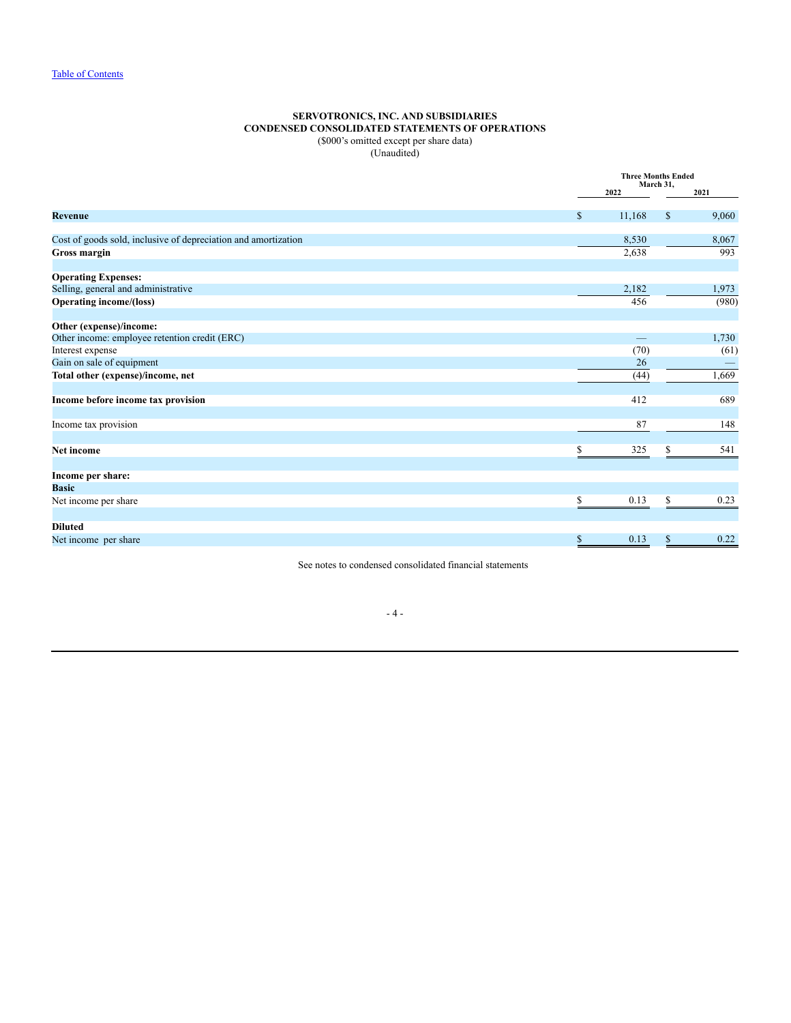### **SERVOTRONICS, INC. AND SUBSIDIARIES CONDENSED CONSOLIDATED STATEMENTS OF OPERATIONS**

(\$000's omitted except per share data)

(Unaudited)

<span id="page-3-0"></span>

|                                                                |              | <b>Three Months Ended</b><br>March 31, |       |
|----------------------------------------------------------------|--------------|----------------------------------------|-------|
|                                                                | 2022         |                                        | 2021  |
| <b>Revenue</b>                                                 | \$<br>11,168 | <sup>\$</sup>                          | 9,060 |
| Cost of goods sold, inclusive of depreciation and amortization | 8,530        |                                        | 8,067 |
| Gross margin                                                   | 2,638        |                                        | 993   |
| <b>Operating Expenses:</b>                                     |              |                                        |       |
| Selling, general and administrative                            | 2,182        |                                        | 1,973 |
| <b>Operating income/(loss)</b>                                 | 456          |                                        | (980) |
| Other (expense)/income:                                        |              |                                        |       |
| Other income: employee retention credit (ERC)                  |              |                                        | 1,730 |
| Interest expense                                               |              | (70)                                   | (61)  |
| Gain on sale of equipment                                      |              | 26                                     |       |
| Total other (expense)/income, net                              |              | (44)                                   | 1,669 |
| Income before income tax provision                             | 412          |                                        | 689   |
| Income tax provision                                           |              | 87                                     | 148   |
| Net income                                                     | 325<br>S     |                                        | 541   |
| Income per share:                                              |              |                                        |       |
| <b>Basic</b>                                                   |              |                                        |       |
| Net income per share                                           | 0.13<br>\$   | \$                                     | 0.23  |
| <b>Diluted</b>                                                 |              |                                        |       |
| Net income per share                                           | \$<br>0.13   | <sup>S</sup>                           | 0.22  |

See notes to condensed consolidated financial statements

- 4 -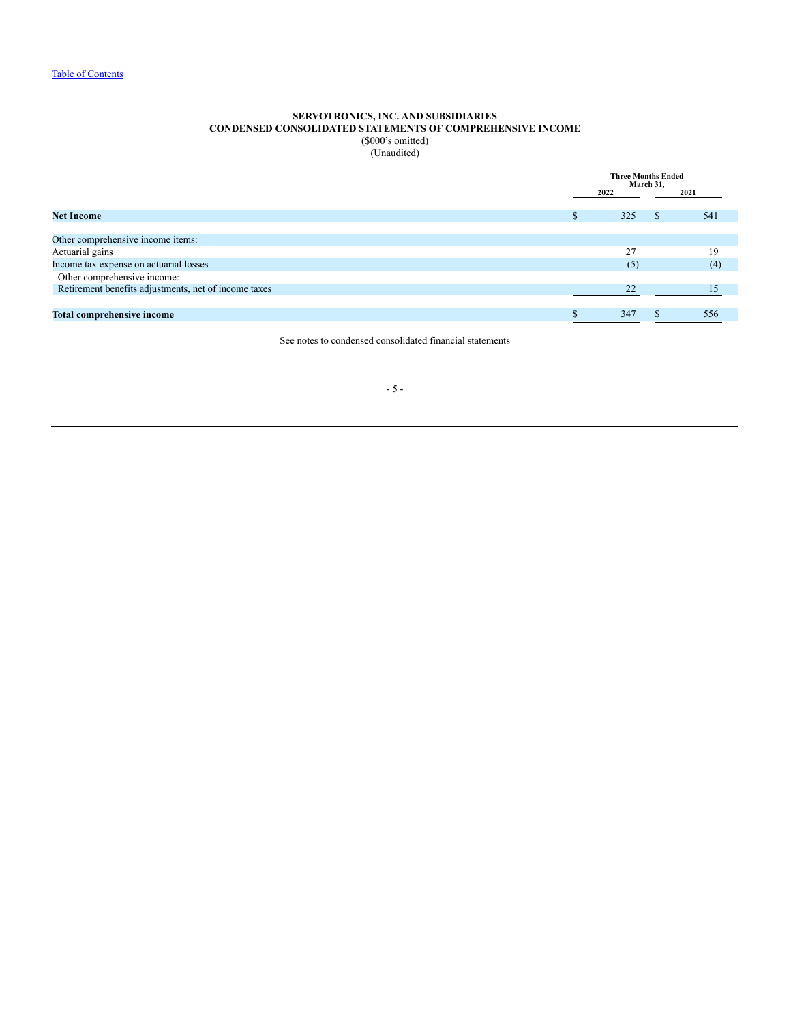#### **SERVOTRONICS, INC. AND SUBSIDIARIES CONDENSED CONSOLIDATED STATEMENTS OF COMPREHENSIVE INCOME** (\$000's omitted)

(Unaudited)

<span id="page-4-0"></span>

|                                                      |    | <b>Three Months Ended</b><br>March 31,<br>2022 |              | 2021 |
|------------------------------------------------------|----|------------------------------------------------|--------------|------|
| <b>Net Income</b>                                    | S. | 325                                            | <sup>S</sup> | 541  |
| Other comprehensive income items:                    |    |                                                |              |      |
| Actuarial gains                                      |    | 27                                             |              | 19   |
| Income tax expense on actuarial losses               |    | (5)                                            |              | (4)  |
| Other comprehensive income:                          |    |                                                |              |      |
| Retirement benefits adjustments, net of income taxes |    | 22                                             |              |      |
|                                                      |    |                                                |              |      |
| <b>Total comprehensive income</b>                    |    | 347                                            |              | 556  |

See notes to condensed consolidated financial statements

### - 5 -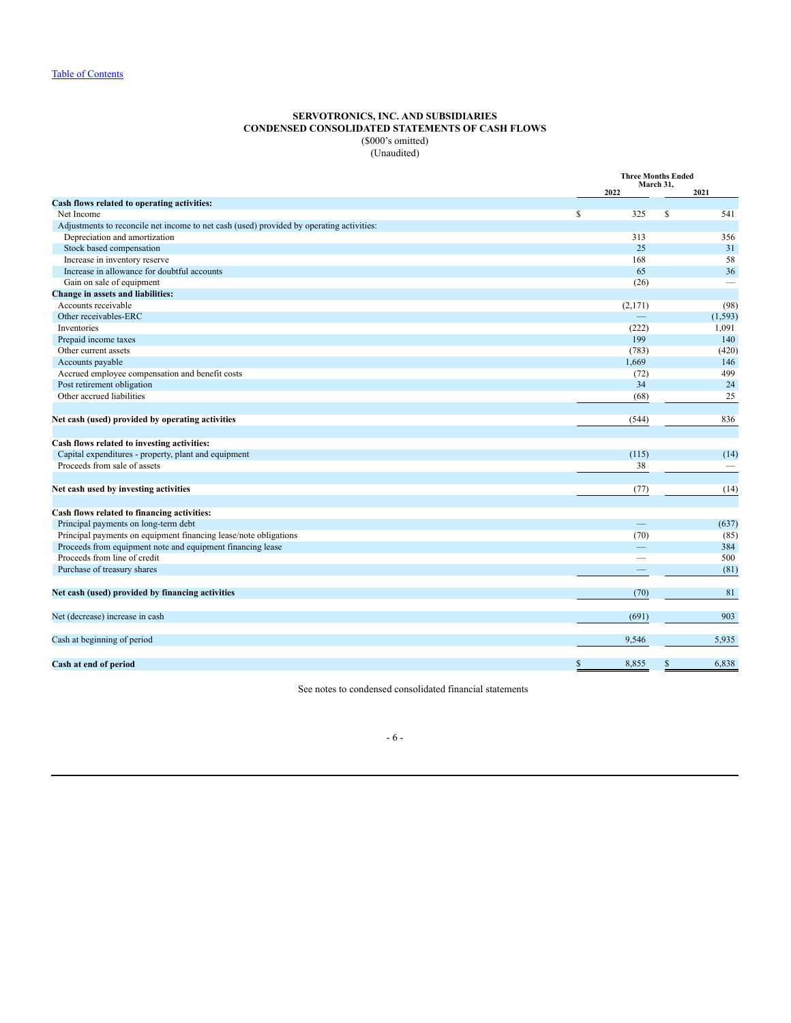#### **SERVOTRONICS, INC. AND SUBSIDIARIES CONDENSED CONSOLIDATED STATEMENTS OF CASH FLOWS** (\$000's omitted) (Unaudited)

<span id="page-5-0"></span>

|                                                                                          |                          | <b>Three Months Ended</b> |
|------------------------------------------------------------------------------------------|--------------------------|---------------------------|
|                                                                                          | 2022                     | March 31,<br>2021         |
| Cash flows related to operating activities:                                              |                          |                           |
| Net Income                                                                               | $\mathbb{S}$<br>325      | S<br>541                  |
| Adjustments to reconcile net income to net cash (used) provided by operating activities: |                          |                           |
| Depreciation and amortization                                                            | 313                      | 356                       |
| Stock based compensation                                                                 | 25                       | 31                        |
| Increase in inventory reserve                                                            | 168                      | 58                        |
| Increase in allowance for doubtful accounts                                              | 65                       | 36                        |
| Gain on sale of equipment                                                                | (26)                     |                           |
| Change in assets and liabilities:                                                        |                          |                           |
| Accounts receivable                                                                      | (2,171)                  | (98)                      |
| Other receivables-ERC                                                                    |                          | (1, 593)                  |
| Inventories                                                                              | (222)                    | 1,091                     |
| Prepaid income taxes                                                                     | 199                      | 140                       |
| Other current assets                                                                     | (783)                    | (420)                     |
| Accounts payable                                                                         | 1.669                    | 146                       |
| Accrued employee compensation and benefit costs                                          | (72)                     | 499                       |
| Post retirement obligation                                                               | 34                       | 24                        |
| Other accrued liabilities                                                                | (68)                     | 25                        |
|                                                                                          |                          |                           |
| Net cash (used) provided by operating activities                                         | (544)                    | 836                       |
|                                                                                          |                          |                           |
| Cash flows related to investing activities:                                              |                          |                           |
| Capital expenditures - property, plant and equipment                                     | (115)                    | (14)                      |
| Proceeds from sale of assets                                                             | 38                       |                           |
|                                                                                          |                          |                           |
| Net cash used by investing activities                                                    | (77)                     | (14)                      |
|                                                                                          |                          |                           |
| Cash flows related to financing activities:                                              |                          |                           |
| Principal payments on long-term debt                                                     | $\qquad \qquad -$        | (637)                     |
| Principal payments on equipment financing lease/note obligations                         | (70)                     | (85)                      |
| Proceeds from equipment note and equipment financing lease                               | $\overline{\phantom{0}}$ | 384                       |
| Proceeds from line of credit                                                             |                          | 500                       |
| Purchase of treasury shares                                                              |                          | (81)                      |
|                                                                                          |                          |                           |
| Net cash (used) provided by financing activities                                         | (70)                     | 81                        |
|                                                                                          |                          |                           |
| Net (decrease) increase in cash                                                          | (691)                    | 903                       |
|                                                                                          |                          |                           |
| Cash at beginning of period                                                              | 9,546                    | 5,935                     |
|                                                                                          |                          |                           |
|                                                                                          | \$<br>8,855              | \$<br>6,838               |
| Cash at end of period                                                                    |                          |                           |

See notes to condensed consolidated financial statements

# - 6 -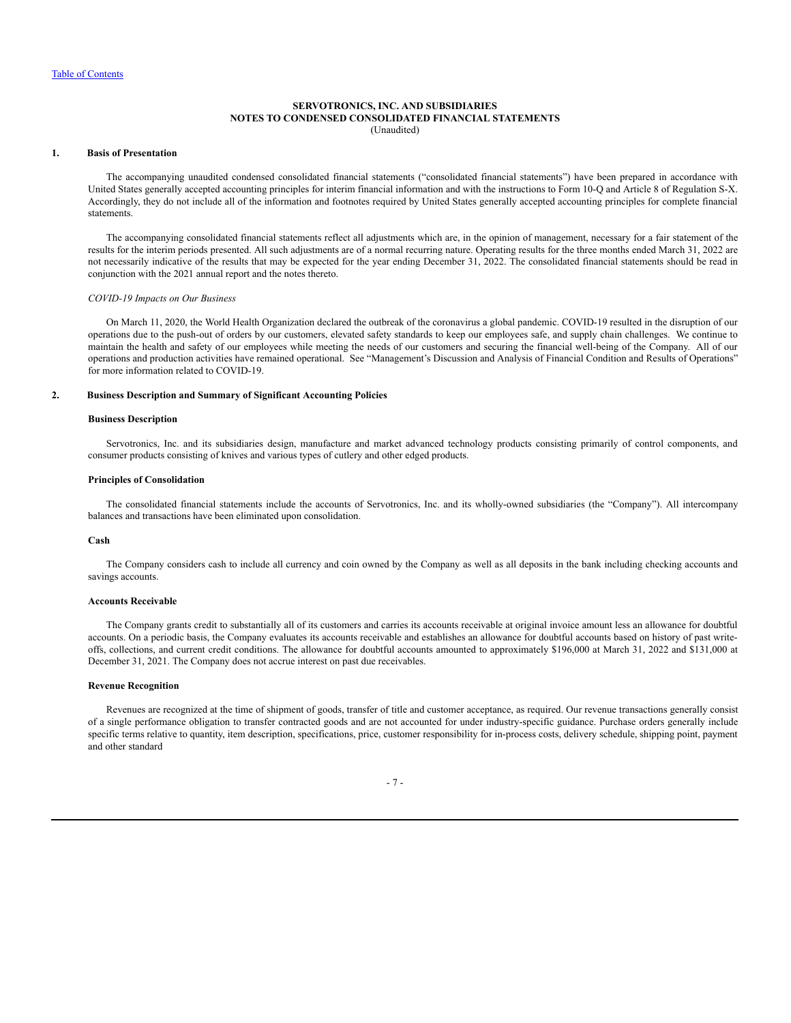# **SERVOTRONICS, INC. AND SUBSIDIARIES NOTES TO CONDENSED CONSOLIDATED FINANCIAL STATEMENTS**

(Unaudited)

#### <span id="page-6-0"></span>**1. Basis of Presentation**

The accompanying unaudited condensed consolidated financial statements ("consolidated financial statements") have been prepared in accordance with United States generally accepted accounting principles for interim financial information and with the instructions to Form 10-Q and Article 8 of Regulation S-X. Accordingly, they do not include all of the information and footnotes required by United States generally accepted accounting principles for complete financial statements.

The accompanying consolidated financial statements reflect all adjustments which are, in the opinion of management, necessary for a fair statement of the results for the interim periods presented. All such adjustments are of a normal recurring nature. Operating results for the three months ended March 31, 2022 are not necessarily indicative of the results that may be expected for the year ending December 31, 2022. The consolidated financial statements should be read in conjunction with the 2021 annual report and the notes thereto.

#### *COVID-19 Impacts on Our Business*

On March 11, 2020, the World Health Organization declared the outbreak of the coronavirus a global pandemic. COVID-19 resulted in the disruption of our operations due to the push-out of orders by our customers, elevated safety standards to keep our employees safe, and supply chain challenges. We continue to maintain the health and safety of our employees while meeting the needs of our customers and securing the financial well-being of the Company. All of our operations and production activities have remained operational. See "Management's Discussion and Analysis of Financial Condition and Results of Operations" for more information related to COVID-19.

#### **2. Business Description and Summary of Significant Accounting Policies**

### **Business Description**

Servotronics, Inc. and its subsidiaries design, manufacture and market advanced technology products consisting primarily of control components, and consumer products consisting of knives and various types of cutlery and other edged products.

#### **Principles of Consolidation**

The consolidated financial statements include the accounts of Servotronics, Inc. and its wholly-owned subsidiaries (the "Company"). All intercompany balances and transactions have been eliminated upon consolidation.

#### **Cash**

The Company considers cash to include all currency and coin owned by the Company as well as all deposits in the bank including checking accounts and savings accounts.

### **Accounts Receivable**

The Company grants credit to substantially all of its customers and carries its accounts receivable at original invoice amount less an allowance for doubtful accounts. On a periodic basis, the Company evaluates its accounts receivable and establishes an allowance for doubtful accounts based on history of past writeoffs, collections, and current credit conditions. The allowance for doubtful accounts amounted to approximately \$196,000 at March 31, 2022 and \$131,000 at December 31, 2021. The Company does not accrue interest on past due receivables.

#### **Revenue Recognition**

Revenues are recognized at the time of shipment of goods, transfer of title and customer acceptance, as required. Our revenue transactions generally consist of a single performance obligation to transfer contracted goods and are not accounted for under industry-specific guidance. Purchase orders generally include specific terms relative to quantity, item description, specifications, price, customer responsibility for in-process costs, delivery schedule, shipping point, payment and other standard

#### - 7 -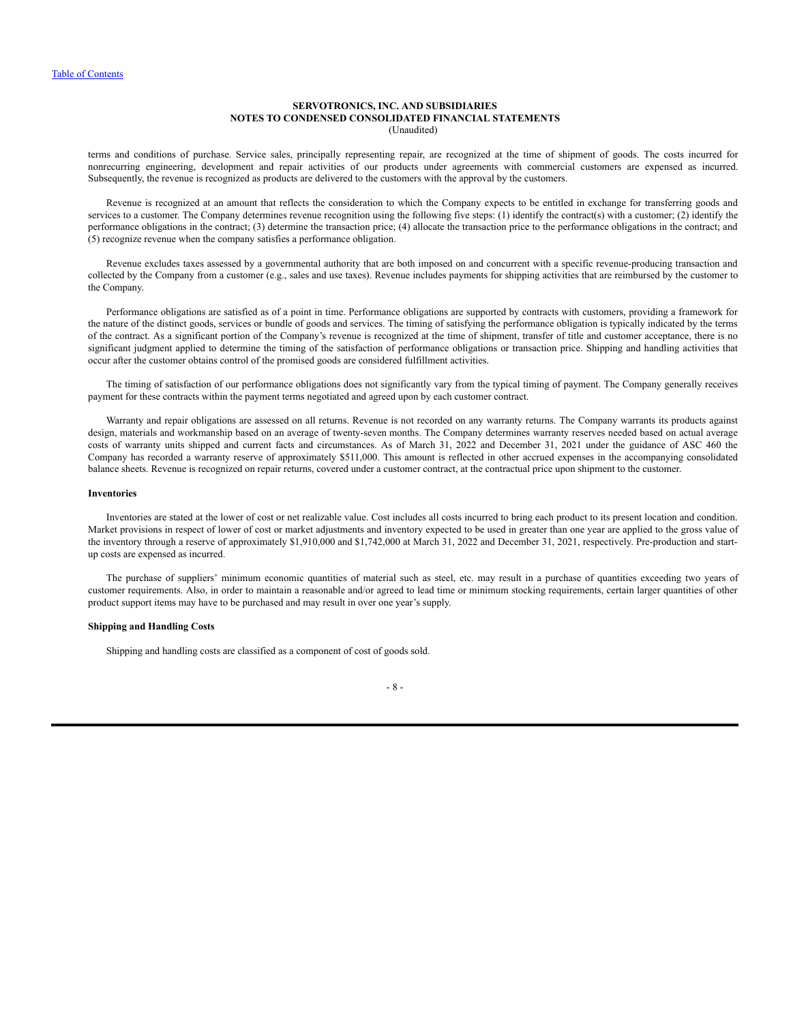### **SERVOTRONICS, INC. AND SUBSIDIARIES NOTES TO CONDENSED CONSOLIDATED FINANCIAL STATEMENTS** (Unaudited)

terms and conditions of purchase. Service sales, principally representing repair, are recognized at the time of shipment of goods. The costs incurred for nonrecurring engineering, development and repair activities of our products under agreements with commercial customers are expensed as incurred. Subsequently, the revenue is recognized as products are delivered to the customers with the approval by the customers.

Revenue is recognized at an amount that reflects the consideration to which the Company expects to be entitled in exchange for transferring goods and services to a customer. The Company determines revenue recognition using the following five steps: (1) identify the contract(s) with a customer; (2) identify the performance obligations in the contract; (3) determine the transaction price; (4) allocate the transaction price to the performance obligations in the contract; and (5) recognize revenue when the company satisfies a performance obligation.

Revenue excludes taxes assessed by a governmental authority that are both imposed on and concurrent with a specific revenue-producing transaction and collected by the Company from a customer (e.g., sales and use taxes). Revenue includes payments for shipping activities that are reimbursed by the customer to the Company.

Performance obligations are satisfied as of a point in time. Performance obligations are supported by contracts with customers, providing a framework for the nature of the distinct goods, services or bundle of goods and services. The timing of satisfying the performance obligation is typically indicated by the terms of the contract. As a significant portion of the Company's revenue is recognized at the time of shipment, transfer of title and customer acceptance, there is no significant judgment applied to determine the timing of the satisfaction of performance obligations or transaction price. Shipping and handling activities that occur after the customer obtains control of the promised goods are considered fulfillment activities.

The timing of satisfaction of our performance obligations does not significantly vary from the typical timing of payment. The Company generally receives payment for these contracts within the payment terms negotiated and agreed upon by each customer contract.

Warranty and repair obligations are assessed on all returns. Revenue is not recorded on any warranty returns. The Company warrants its products against design, materials and workmanship based on an average of twenty-seven months. The Company determines warranty reserves needed based on actual average costs of warranty units shipped and current facts and circumstances. As of March 31, 2022 and December 31, 2021 under the guidance of ASC 460 the Company has recorded a warranty reserve of approximately \$511,000. This amount is reflected in other accrued expenses in the accompanying consolidated balance sheets. Revenue is recognized on repair returns, covered under a customer contract, at the contractual price upon shipment to the customer.

#### **Inventories**

Inventories are stated at the lower of cost or net realizable value. Cost includes all costs incurred to bring each product to its present location and condition. Market provisions in respect of lower of cost or market adjustments and inventory expected to be used in greater than one year are applied to the gross value of the inventory through a reserve of approximately \$1,910,000 and \$1,742,000 at March 31, 2022 and December 31, 2021, respectively. Pre-production and startup costs are expensed as incurred.

The purchase of suppliers' minimum economic quantities of material such as steel, etc. may result in a purchase of quantities exceeding two years of customer requirements. Also, in order to maintain a reasonable and/or agreed to lead time or minimum stocking requirements, certain larger quantities of other product support items may have to be purchased and may result in over one year's supply.

#### **Shipping and Handling Costs**

Shipping and handling costs are classified as a component of cost of goods sold.

- 8 -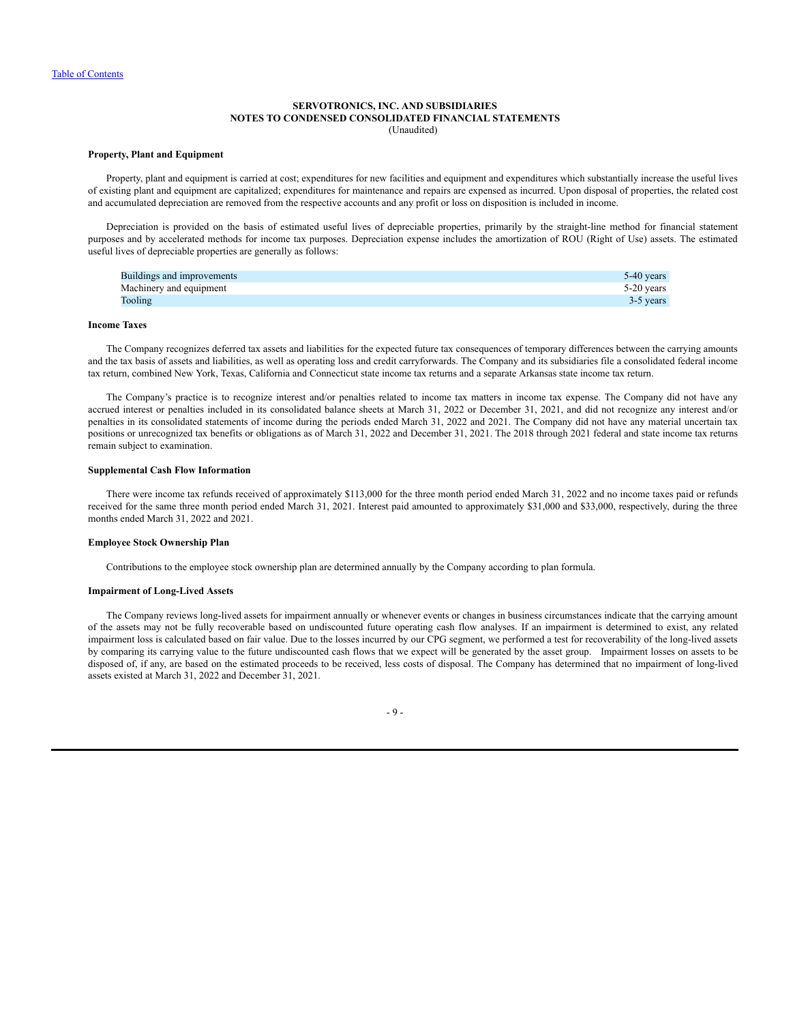# **SERVOTRONICS, INC. AND SUBSIDIARIES NOTES TO CONDENSED CONSOLIDATED FINANCIAL STATEMENTS**

(Unaudited)

#### **Property, Plant and Equipment**

Property, plant and equipment is carried at cost; expenditures for new facilities and equipment and expenditures which substantially increase the useful lives of existing plant and equipment are capitalized; expenditures for maintenance and repairs are expensed as incurred. Upon disposal of properties, the related cost and accumulated depreciation are removed from the respective accounts and any profit or loss on disposition is included in income.

Depreciation is provided on the basis of estimated useful lives of depreciable properties, primarily by the straight-line method for financial statement purposes and by accelerated methods for income tax purposes. Depreciation expense includes the amortization of ROU (Right of Use) assets. The estimated useful lives of depreciable properties are generally as follows:

| Buildings and improvements | 5-40 vears   |
|----------------------------|--------------|
| Machinery and equipment    | $5-20$ years |
| Tooling                    | $3-5$ vears  |

### **Income Taxes**

The Company recognizes deferred tax assets and liabilities for the expected future tax consequences of temporary differences between the carrying amounts and the tax basis of assets and liabilities, as well as operating loss and credit carryforwards. The Company and its subsidiaries file a consolidated federal income tax return, combined New York, Texas, California and Connecticut state income tax returns and a separate Arkansas state income tax return.

The Company's practice is to recognize interest and/or penalties related to income tax matters in income tax expense. The Company did not have any accrued interest or penalties included in its consolidated balance sheets at March 31, 2022 or December 31, 2021, and did not recognize any interest and/or penalties in its consolidated statements of income during the periods ended March 31, 2022 and 2021. The Company did not have any material uncertain tax positions or unrecognized tax benefits or obligations as of March 31, 2022 and December 31, 2021. The 2018 through 2021 federal and state income tax returns remain subject to examination.

#### **Supplemental Cash Flow Information**

There were income tax refunds received of approximately \$113,000 for the three month period ended March 31, 2022 and no income taxes paid or refunds received for the same three month period ended March 31, 2021. Interest paid amounted to approximately \$31,000 and \$33,000, respectively, during the three months ended March 31, 2022 and 2021.

#### **Employee Stock Ownership Plan**

Contributions to the employee stock ownership plan are determined annually by the Company according to plan formula.

#### **Impairment of Long-Lived Assets**

The Company reviews long-lived assets for impairment annually or whenever events or changes in business circumstances indicate that the carrying amount of the assets may not be fully recoverable based on undiscounted future operating cash flow analyses. If an impairment is determined to exist, any related impairment loss is calculated based on fair value. Due to the losses incurred by our CPG segment, we performed a test for recoverability of the long-lived assets by comparing its carrying value to the future undiscounted cash flows that we expect will be generated by the asset group. Impairment losses on assets to be disposed of, if any, are based on the estimated proceeds to be received, less costs of disposal. The Company has determined that no impairment of long-lived assets existed at March 31, 2022 and December 31, 2021.

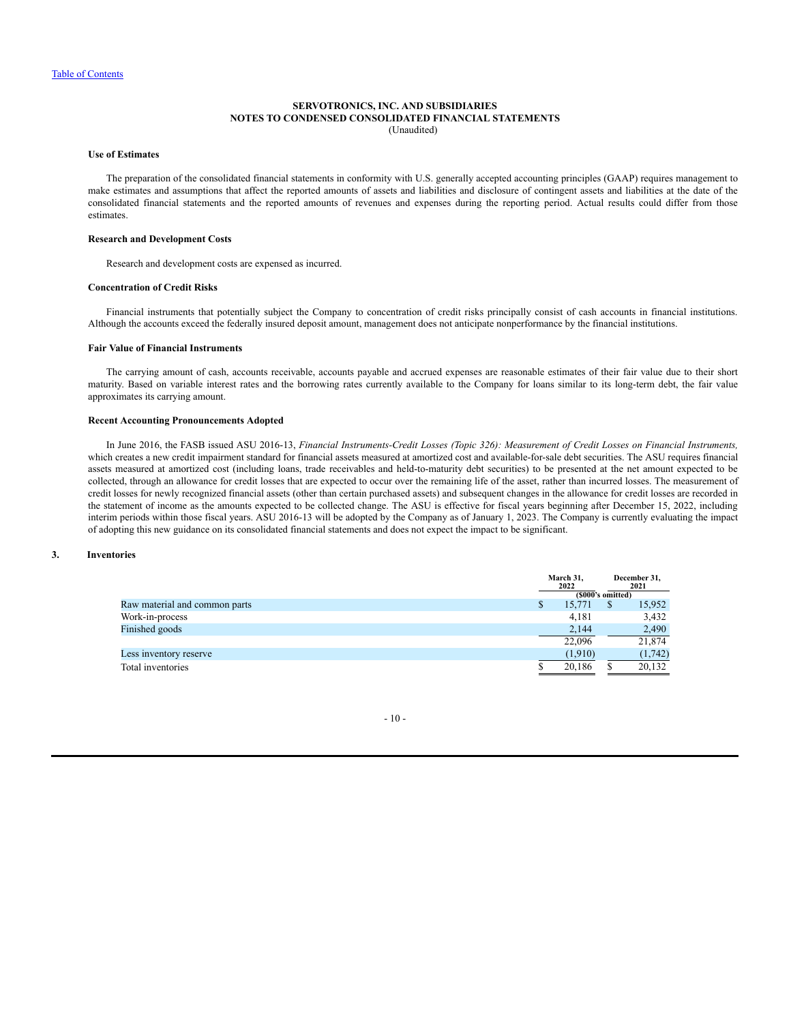# **SERVOTRONICS, INC. AND SUBSIDIARIES NOTES TO CONDENSED CONSOLIDATED FINANCIAL STATEMENTS**

(Unaudited)

### **Use of Estimates**

The preparation of the consolidated financial statements in conformity with U.S. generally accepted accounting principles (GAAP) requires management to make estimates and assumptions that affect the reported amounts of assets and liabilities and disclosure of contingent assets and liabilities at the date of the consolidated financial statements and the reported amounts of revenues and expenses during the reporting period. Actual results could differ from those estimates.

#### **Research and Development Costs**

Research and development costs are expensed as incurred.

### **Concentration of Credit Risks**

Financial instruments that potentially subject the Company to concentration of credit risks principally consist of cash accounts in financial institutions. Although the accounts exceed the federally insured deposit amount, management does not anticipate nonperformance by the financial institutions.

### **Fair Value of Financial Instruments**

The carrying amount of cash, accounts receivable, accounts payable and accrued expenses are reasonable estimates of their fair value due to their short maturity. Based on variable interest rates and the borrowing rates currently available to the Company for loans similar to its long-term debt, the fair value approximates its carrying amount.

### **Recent Accounting Pronouncements Adopted**

In June 2016, the FASB issued ASU 2016-13, Financial Instruments-Credit Losses (Topic 326): Measurement of Credit Losses on Financial Instruments, which creates a new credit impairment standard for financial assets measured at amortized cost and available-for-sale debt securities. The ASU requires financial assets measured at amortized cost (including loans, trade receivables and held-to-maturity debt securities) to be presented at the net amount expected to be collected, through an allowance for credit losses that are expected to occur over the remaining life of the asset, rather than incurred losses. The measurement of credit losses for newly recognized financial assets (other than certain purchased assets) and subsequent changes in the allowance for credit losses are recorded in the statement of income as the amounts expected to be collected change. The ASU is effective for fiscal years beginning after December 15, 2022, including interim periods within those fiscal years. ASU 2016-13 will be adopted by the Company as of January 1, 2023. The Company is currently evaluating the impact of adopting this new guidance on its consolidated financial statements and does not expect the impact to be significant.

**March 31, December 31,**

#### **3. Inventories**

|                               | маген эт.<br>2022 | ресенност эт,<br>2021 |
|-------------------------------|-------------------|-----------------------|
|                               | (\$000's omitted) |                       |
| Raw material and common parts | 15,771            | 15,952                |
| Work-in-process               | 4.181             | 3,432                 |
| Finished goods                | 2.144             | 2,490                 |
|                               | 22,096            | 21,874                |
| Less inventory reserve        | (1,910)           | (1, 742)              |
| Total inventories             | 20,186            | 20,132                |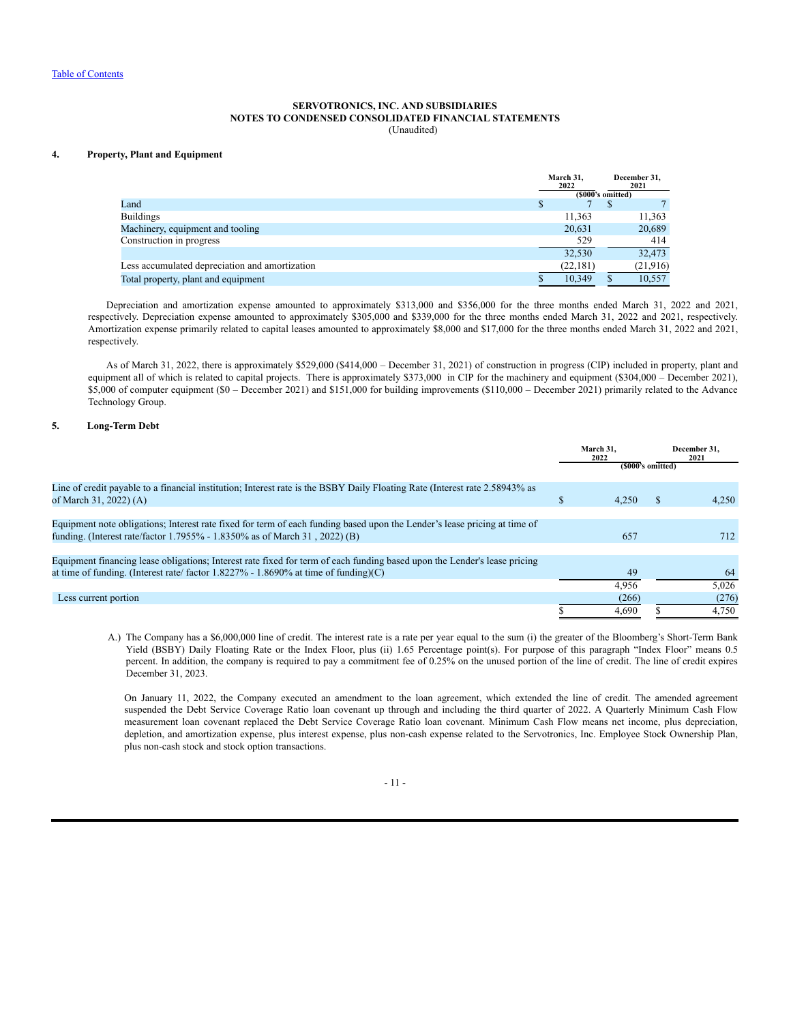### **SERVOTRONICS, INC. AND SUBSIDIARIES NOTES TO CONDENSED CONSOLIDATED FINANCIAL STATEMENTS** (Unaudited)

#### **4. Property, Plant and Equipment**

|                                                | March 31.<br>2022<br>(\$000's omitted) | December 31,<br>2021 |
|------------------------------------------------|----------------------------------------|----------------------|
| Land                                           |                                        |                      |
| <b>Buildings</b>                               | 11.363                                 | 11,363               |
| Machinery, equipment and tooling               | 20,631                                 | 20,689               |
| Construction in progress                       | 529                                    | 414                  |
|                                                | 32,530                                 | 32,473               |
| Less accumulated depreciation and amortization | (22, 181)                              | (21,916)             |
| Total property, plant and equipment            | 10.349                                 | 10,557               |

Depreciation and amortization expense amounted to approximately \$313,000 and \$356,000 for the three months ended March 31, 2022 and 2021, respectively. Depreciation expense amounted to approximately \$305,000 and \$339,000 for the three months ended March 31, 2022 and 2021, respectively. Amortization expense primarily related to capital leases amounted to approximately \$8,000 and \$17,000 for the three months ended March 31, 2022 and 2021, respectively.

As of March 31, 2022, there is approximately \$529,000 (\$414,000 – December 31, 2021) of construction in progress (CIP) included in property, plant and equipment all of which is related to capital projects. There is approximately \$373,000 in CIP for the machinery and equipment (\$304,000 – December 2021), \$5,000 of computer equipment (\$0 – December 2021) and \$151,000 for building improvements (\$110,000 – December 2021) primarily related to the Advance Technology Group.

#### **5. Long-Term Debt**

|                                                                                                                                                                                                                       | March 31.<br>2022 | (\$000's omitted) | December 31,<br>2021 |
|-----------------------------------------------------------------------------------------------------------------------------------------------------------------------------------------------------------------------|-------------------|-------------------|----------------------|
| Line of credit payable to a financial institution; Interest rate is the BSBY Daily Floating Rate (Interest rate 2.58943% as<br>of March 31, 2022) (A)                                                                 | 4.250             | $\mathbf{r}$      | 4.250                |
| Equipment note obligations; Interest rate fixed for term of each funding based upon the Lender's lease pricing at time of<br>funding. (Interest rate/factor 1.7955% - 1.8350% as of March 31, 2022) (B)               | 657               |                   | 712                  |
| Equipment financing lease obligations; Interest rate fixed for term of each funding based upon the Lender's lease pricing<br>at time of funding. (Interest rate/factor $1.8227\%$ - $1.8690\%$ at time of funding)(C) | 49                |                   | 64                   |
| Less current portion                                                                                                                                                                                                  | 4.956<br>(266)    |                   | 5,026<br>(276)       |
|                                                                                                                                                                                                                       | 4,690             |                   | 4.750                |

A.) The Company has a \$6,000,000 line of credit. The interest rate is a rate per year equal to the sum (i) the greater of the Bloomberg's Short-Term Bank Yield (BSBY) Daily Floating Rate or the Index Floor, plus (ii) 1.65 Percentage point(s). For purpose of this paragraph "Index Floor" means 0.5 percent. In addition, the company is required to pay a commitment fee of 0.25% on the unused portion of the line of credit. The line of credit expires December 31, 2023.

On January 11, 2022, the Company executed an amendment to the loan agreement, which extended the line of credit. The amended agreement suspended the Debt Service Coverage Ratio loan covenant up through and including the third quarter of 2022. A Quarterly Minimum Cash Flow measurement loan covenant replaced the Debt Service Coverage Ratio loan covenant. Minimum Cash Flow means net income, plus depreciation, depletion, and amortization expense, plus interest expense, plus non-cash expense related to the Servotronics, Inc. Employee Stock Ownership Plan, plus non-cash stock and stock option transactions.

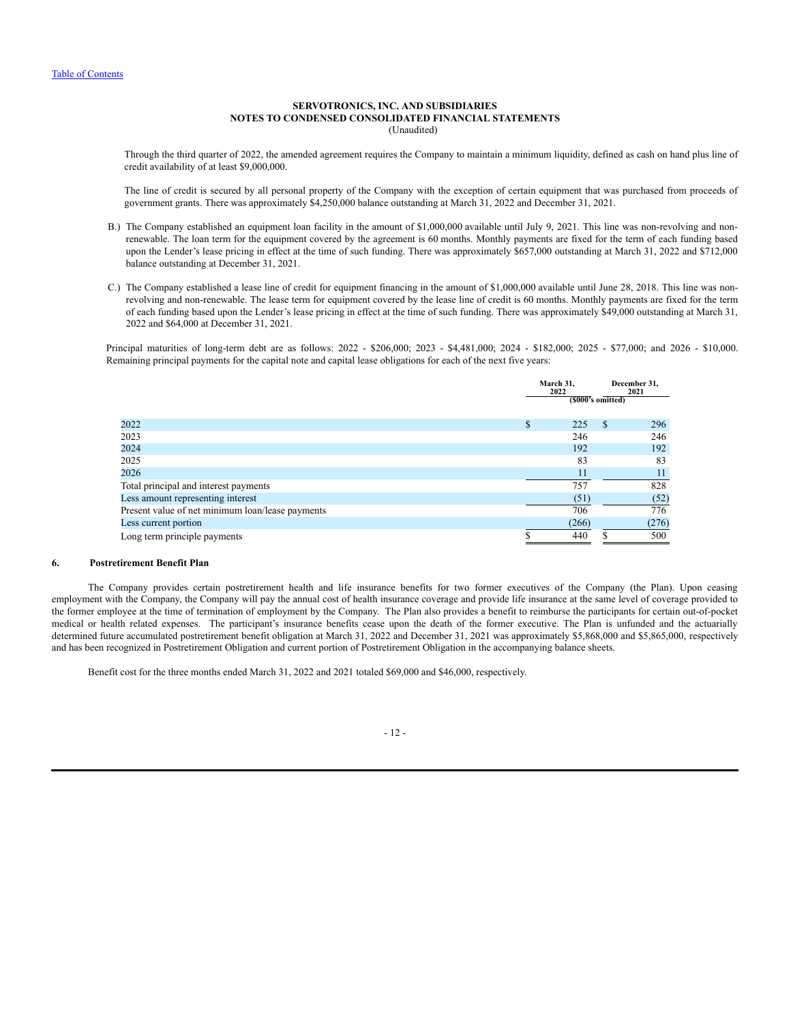# **SERVOTRONICS, INC. AND SUBSIDIARIES NOTES TO CONDENSED CONSOLIDATED FINANCIAL STATEMENTS**

(Unaudited)

Through the third quarter of 2022, the amended agreement requires the Company to maintain a minimum liquidity, defined as cash on hand plus line of credit availability of at least \$9,000,000.

The line of credit is secured by all personal property of the Company with the exception of certain equipment that was purchased from proceeds of government grants. There was approximately \$4,250,000 balance outstanding at March 31, 2022 and December 31, 2021.

- B.) The Company established an equipment loan facility in the amount of \$1,000,000 available until July 9, 2021. This line was non-revolving and nonrenewable. The loan term for the equipment covered by the agreement is 60 months. Monthly payments are fixed for the term of each funding based upon the Lender's lease pricing in effect at the time of such funding. There was approximately \$657,000 outstanding at March 31, 2022 and \$712,000 balance outstanding at December 31, 2021.
- C.) The Company established a lease line of credit for equipment financing in the amount of \$1,000,000 available until June 28, 2018. This line was nonrevolving and non-renewable. The lease term for equipment covered by the lease line of credit is 60 months. Monthly payments are fixed for the term of each funding based upon the Lender's lease pricing in effect at the time of such funding. There was approximately \$49,000 outstanding at March 31, 2022 and \$64,000 at December 31, 2021.

Principal maturities of long-term debt are as follows: 2022 - \$206,000; 2023 - \$4,481,000; 2024 - \$182,000; 2025 - \$77,000; and 2026 - \$10,000. Remaining principal payments for the capital note and capital lease obligations for each of the next five years:

|                                                  |   | March 31.<br>2022 |               | December 31,<br>2021 |
|--------------------------------------------------|---|-------------------|---------------|----------------------|
|                                                  |   | (\$000's omitted) |               |                      |
| 2022                                             | S | 225               | <sup>\$</sup> | 296                  |
| 2023                                             |   | 246               |               | 246                  |
| 2024                                             |   | 192               |               | 192                  |
| 2025                                             |   | 83                |               | 83                   |
| 2026                                             |   | 11                |               | 11                   |
| Total principal and interest payments            |   | 757               |               | 828                  |
| Less amount representing interest                |   | (51)              |               | (52)                 |
| Present value of net minimum loan/lease payments |   | 706               |               | 776                  |
| Less current portion                             |   | (266)             |               | (276)                |
| Long term principle payments                     |   | 440               |               | 500                  |

### **6. Postretirement Benefit Plan**

The Company provides certain postretirement health and life insurance benefits for two former executives of the Company (the Plan). Upon ceasing employment with the Company, the Company will pay the annual cost of health insurance coverage and provide life insurance at the same level of coverage provided to the former employee at the time of termination of employment by the Company. The Plan also provides a benefit to reimburse the participants for certain out-of-pocket medical or health related expenses. The participant's insurance benefits cease upon the death of the former executive. The Plan is unfunded and the actuarially determined future accumulated postretirement benefit obligation at March 31, 2022 and December 31, 2021 was approximately \$5,868,000 and \$5,865,000, respectively and has been recognized in Postretirement Obligation and current portion of Postretirement Obligation in the accompanying balance sheets.

Benefit cost for the three months ended March 31, 2022 and 2021 totaled \$69,000 and \$46,000, respectively.

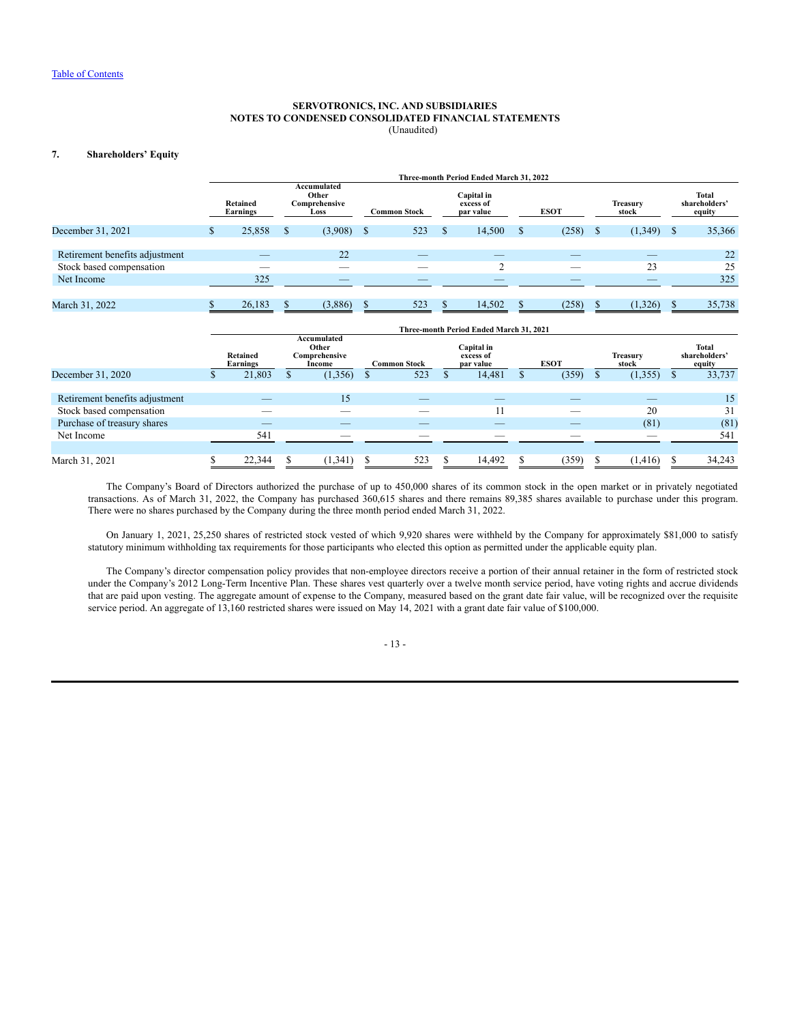### **SERVOTRONICS, INC. AND SUBSIDIARIES NOTES TO CONDENSED CONSOLIDATED FINANCIAL STATEMENTS** (Unaudited)

### **7. Shareholders' Equity**

|                                |   | Three-month Period Ended March 31, 2022 |     |                                               |    |                          |   |                                      |  |                          |  |                   |      |                                         |
|--------------------------------|---|-----------------------------------------|-----|-----------------------------------------------|----|--------------------------|---|--------------------------------------|--|--------------------------|--|-------------------|------|-----------------------------------------|
|                                |   | Retained<br>Earnings                    |     | Accumulated<br>Other<br>Comprehensive<br>Loss |    | <b>Common Stock</b>      |   | Capital in<br>excess of<br>par value |  | <b>ESOT</b>              |  | Treasury<br>stock |      | <b>Total</b><br>shareholders'<br>equity |
| December 31, 2021              | S | 25,858                                  | \$. | (3,908)                                       | \$ | 523                      | S | 14.500                               |  | (258)                    |  | (1, 349)          | - \$ | 35,366                                  |
|                                |   |                                         |     |                                               |    |                          |   |                                      |  |                          |  |                   |      |                                         |
| Retirement benefits adjustment |   | $\overline{\phantom{a}}$                |     | 22                                            |    | $\overline{\phantom{a}}$ |   | $\overline{\phantom{a}}$             |  |                          |  | __                |      | 22                                      |
| Stock based compensation       |   | $\overline{\phantom{a}}$                |     | __                                            |    | $\overline{\phantom{a}}$ |   | $\sim$                               |  | $\overline{\phantom{a}}$ |  | 23                |      | 25                                      |
| Net Income                     |   | 325                                     |     |                                               |    | __                       |   |                                      |  |                          |  |                   |      | 325                                     |
|                                |   |                                         |     |                                               |    |                          |   |                                      |  |                          |  |                   |      |                                         |
| March 31, 2022                 |   | 26.183                                  |     | (3,886)                                       | \$ | 523                      |   | 14.502                               |  | (258)                    |  | (1,326)           |      | 35,738                                  |

|                                |                      |                                                 |                     | Three-month Period Ended March 31, 2021 |                          |                   |                                         |
|--------------------------------|----------------------|-------------------------------------------------|---------------------|-----------------------------------------|--------------------------|-------------------|-----------------------------------------|
|                                | Retained<br>Earnings | Accumulated<br>Other<br>Comprehensive<br>Income | <b>Common Stock</b> | Capital in<br>excess of<br>par value    | <b>ESOT</b>              | Treasury<br>stock | <b>Total</b><br>shareholders'<br>equity |
| December 31, 2020              | 21,803               | (1,356)                                         | 523                 | 14,481                                  | (359)                    | (1,355)           | 33,737                                  |
|                                |                      |                                                 |                     |                                         |                          |                   |                                         |
| Retirement benefits adjustment |                      | 15                                              | __                  | $\overline{\phantom{a}}$                | $\overline{\phantom{a}}$ |                   | 15                                      |
| Stock based compensation       | __                   | __                                              | __                  | 11                                      | $\overline{\phantom{a}}$ | 20                | 31                                      |
| Purchase of treasury shares    |                      | __                                              | __                  |                                         |                          | (81)              | (81)                                    |
| Net Income                     | 541                  | $\overline{\phantom{a}}$                        | __                  |                                         |                          |                   | 541                                     |
|                                |                      |                                                 |                     |                                         |                          |                   |                                         |
| March 31, 2021                 | 22,344               | (1, 341)                                        | 523                 | 14,492                                  | (359)                    | (1,416)           | 34,243                                  |

The Company's Board of Directors authorized the purchase of up to 450,000 shares of its common stock in the open market or in privately negotiated transactions. As of March 31, 2022, the Company has purchased 360,615 shares and there remains 89,385 shares available to purchase under this program. There were no shares purchased by the Company during the three month period ended March 31, 2022.

On January 1, 2021, 25,250 shares of restricted stock vested of which 9,920 shares were withheld by the Company for approximately \$81,000 to satisfy statutory minimum withholding tax requirements for those participants who elected this option as permitted under the applicable equity plan.

The Company's director compensation policy provides that non-employee directors receive a portion of their annual retainer in the form of restricted stock under the Company's 2012 Long-Term Incentive Plan. These shares vest quarterly over a twelve month service period, have voting rights and accrue dividends that are paid upon vesting. The aggregate amount of expense to the Company, measured based on the grant date fair value, will be recognized over the requisite service period. An aggregate of 13,160 restricted shares were issued on May 14, 2021 with a grant date fair value of \$100,000.

- 13 -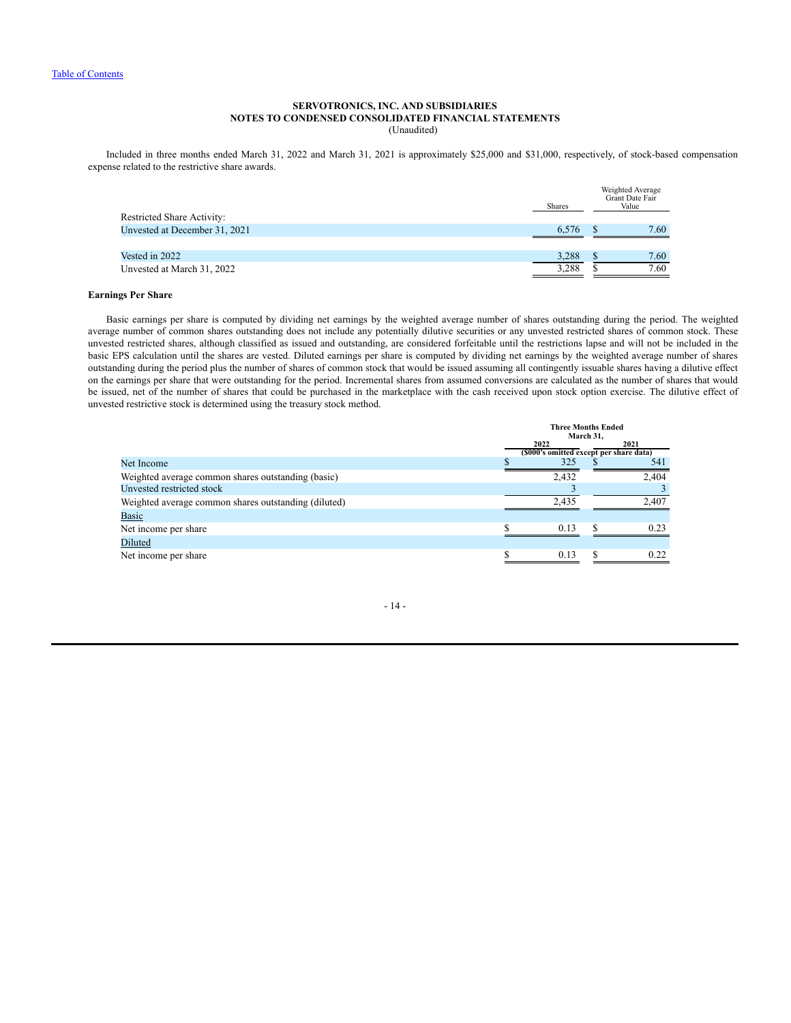### **SERVOTRONICS, INC. AND SUBSIDIARIES NOTES TO CONDENSED CONSOLIDATED FINANCIAL STATEMENTS** (Unaudited)

Included in three months ended March 31, 2022 and March 31, 2021 is approximately \$25,000 and \$31,000, respectively, of stock-based compensation expense related to the restrictive share awards.

| Restricted Share Activity:    | Shares | Weighted Average<br>Grant Date Fair<br>Value |
|-------------------------------|--------|----------------------------------------------|
| Unvested at December 31, 2021 | 6.576  | 7.60                                         |
| Vested in 2022                | 3.288  | 7.60                                         |
| Unvested at March 31, 2022    | 3.288  | 7.60                                         |

### **Earnings Per Share**

Basic earnings per share is computed by dividing net earnings by the weighted average number of shares outstanding during the period. The weighted average number of common shares outstanding does not include any potentially dilutive securities or any unvested restricted shares of common stock. These unvested restricted shares, although classified as issued and outstanding, are considered forfeitable until the restrictions lapse and will not be included in the basic EPS calculation until the shares are vested. Diluted earnings per share is computed by dividing net earnings by the weighted average number of shares outstanding during the period plus the number of shares of common stock that would be issued assuming all contingently issuable shares having a dilutive effect on the earnings per share that were outstanding for the period. Incremental shares from assumed conversions are calculated as the number of shares that would be issued, net of the number of shares that could be purchased in the marketplace with the cash received upon stock option exercise. The dilutive effect of unvested restrictive stock is determined using the treasury stock method.

|                                                      | <b>Three Months Ended</b><br>March 31, |                                         |  |       |  |  |  |
|------------------------------------------------------|----------------------------------------|-----------------------------------------|--|-------|--|--|--|
|                                                      |                                        | 2021                                    |  |       |  |  |  |
|                                                      |                                        | (\$000's omitted except per share data) |  |       |  |  |  |
| Net Income                                           |                                        | 325                                     |  | 541   |  |  |  |
| Weighted average common shares outstanding (basic)   |                                        | 2,432                                   |  | 2,404 |  |  |  |
| Unvested restricted stock                            |                                        |                                         |  |       |  |  |  |
| Weighted average common shares outstanding (diluted) |                                        | 2.435                                   |  | 2.407 |  |  |  |
| <b>Basic</b>                                         |                                        |                                         |  |       |  |  |  |
| Net income per share                                 |                                        | 0.13                                    |  | 0.23  |  |  |  |
| <b>Diluted</b>                                       |                                        |                                         |  |       |  |  |  |
| Net income per share                                 |                                        | 0.13                                    |  | 0.22  |  |  |  |

#### - 14 -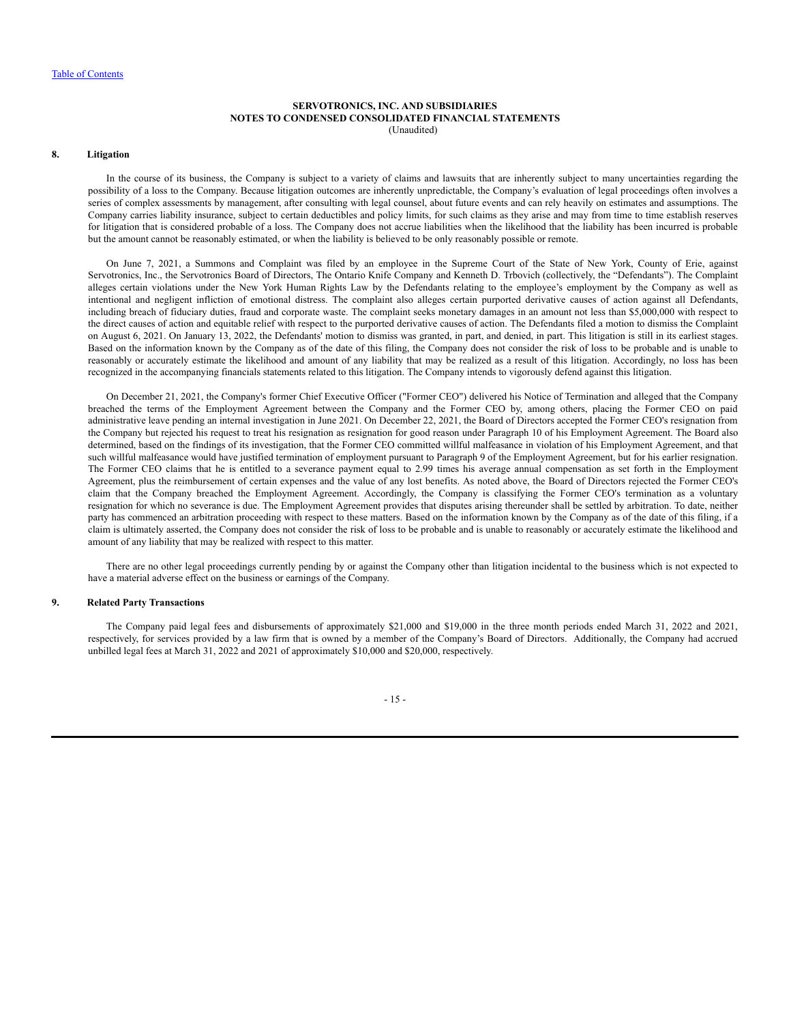# **SERVOTRONICS, INC. AND SUBSIDIARIES NOTES TO CONDENSED CONSOLIDATED FINANCIAL STATEMENTS**

(Unaudited)

### **8. Litigation**

In the course of its business, the Company is subject to a variety of claims and lawsuits that are inherently subject to many uncertainties regarding the possibility of a loss to the Company. Because litigation outcomes are inherently unpredictable, the Company's evaluation of legal proceedings often involves a series of complex assessments by management, after consulting with legal counsel, about future events and can rely heavily on estimates and assumptions. The Company carries liability insurance, subject to certain deductibles and policy limits, for such claims as they arise and may from time to time establish reserves for litigation that is considered probable of a loss. The Company does not accrue liabilities when the likelihood that the liability has been incurred is probable but the amount cannot be reasonably estimated, or when the liability is believed to be only reasonably possible or remote.

On June 7, 2021, a Summons and Complaint was filed by an employee in the Supreme Court of the State of New York, County of Erie, against Servotronics, Inc., the Servotronics Board of Directors, The Ontario Knife Company and Kenneth D. Trbovich (collectively, the "Defendants"). The Complaint alleges certain violations under the New York Human Rights Law by the Defendants relating to the employee's employment by the Company as well as intentional and negligent infliction of emotional distress. The complaint also alleges certain purported derivative causes of action against all Defendants, including breach of fiduciary duties, fraud and corporate waste. The complaint seeks monetary damages in an amount not less than \$5,000,000 with respect to the direct causes of action and equitable relief with respect to the purported derivative causes of action. The Defendants filed a motion to dismiss the Complaint on August 6, 2021. On January 13, 2022, the Defendants' motion to dismiss was granted, in part, and denied, in part. This litigation is still in its earliest stages. Based on the information known by the Company as of the date of this filing, the Company does not consider the risk of loss to be probable and is unable to reasonably or accurately estimate the likelihood and amount of any liability that may be realized as a result of this litigation. Accordingly, no loss has been recognized in the accompanying financials statements related to this litigation. The Company intends to vigorously defend against this litigation.

On December 21, 2021, the Company's former Chief Executive Officer ("Former CEO") delivered his Notice of Termination and alleged that the Company breached the terms of the Employment Agreement between the Company and the Former CEO by, among others, placing the Former CEO on paid administrative leave pending an internal investigation in June 2021. On December 22, 2021, the Board of Directors accepted the Former CEO's resignation from the Company but rejected his request to treat his resignation as resignation for good reason under Paragraph 10 of his Employment Agreement. The Board also determined, based on the findings of its investigation, that the Former CEO committed willful malfeasance in violation of his Employment Agreement, and that such willful malfeasance would have justified termination of employment pursuant to Paragraph 9 of the Employment Agreement, but for his earlier resignation. The Former CEO claims that he is entitled to a severance payment equal to 2.99 times his average annual compensation as set forth in the Employment Agreement, plus the reimbursement of certain expenses and the value of any lost benefits. As noted above, the Board of Directors rejected the Former CEO's claim that the Company breached the Employment Agreement. Accordingly, the Company is classifying the Former CEO's termination as a voluntary resignation for which no severance is due. The Employment Agreement provides that disputes arising thereunder shall be settled by arbitration. To date, neither party has commenced an arbitration proceeding with respect to these matters. Based on the information known by the Company as of the date of this filing, if a claim is ultimately asserted, the Company does not consider the risk of loss to be probable and is unable to reasonably or accurately estimate the likelihood and amount of any liability that may be realized with respect to this matter.

There are no other legal proceedings currently pending by or against the Company other than litigation incidental to the business which is not expected to have a material adverse effect on the business or earnings of the Company.

### **9. Related Party Transactions**

The Company paid legal fees and disbursements of approximately \$21,000 and \$19,000 in the three month periods ended March 31, 2022 and 2021, respectively, for services provided by a law firm that is owned by a member of the Company's Board of Directors. Additionally, the Company had accrued unbilled legal fees at March 31, 2022 and 2021 of approximately \$10,000 and \$20,000, respectively.

- 15 -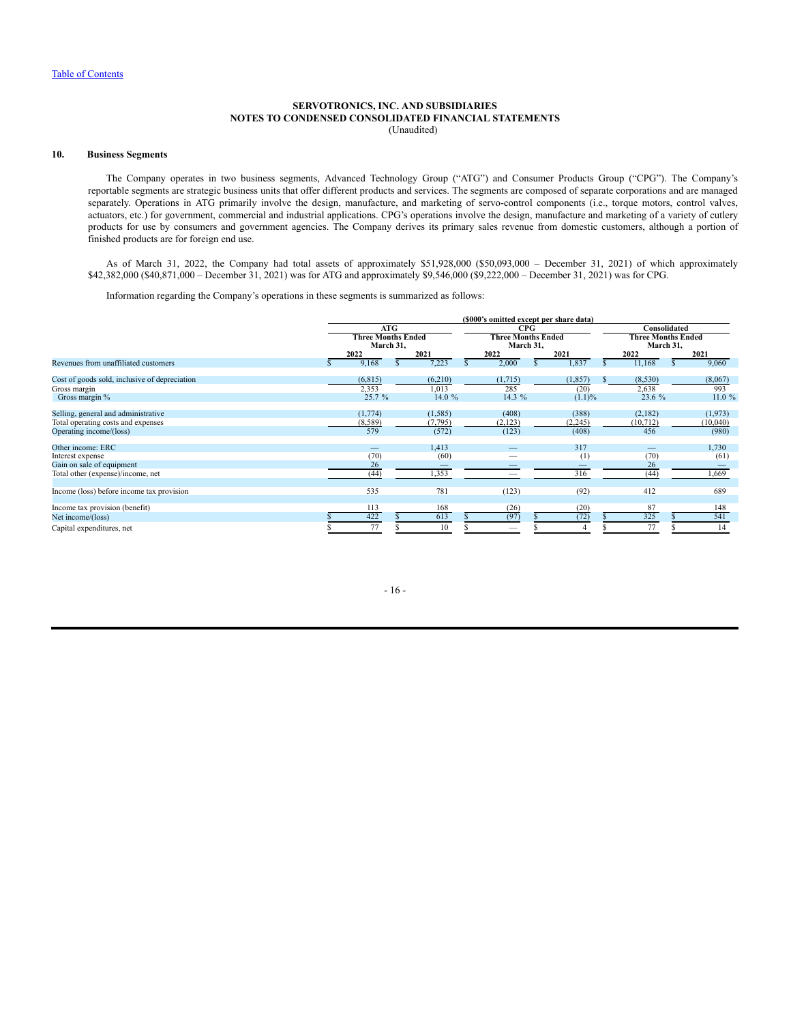# **SERVOTRONICS, INC. AND SUBSIDIARIES NOTES TO CONDENSED CONSOLIDATED FINANCIAL STATEMENTS**

(Unaudited)

### **10. Business Segments**

The Company operates in two business segments, Advanced Technology Group ("ATG") and Consumer Products Group ("CPG"). The Company's reportable segments are strategic business units that offer different products and services. The segments are composed of separate corporations and are managed separately. Operations in ATG primarily involve the design, manufacture, and marketing of servo-control components (i.e., torque motors, control valves, actuators, etc.) for government, commercial and industrial applications. CPG's operations involve the design, manufacture and marketing of a variety of cutlery products for use by consumers and government agencies. The Company derives its primary sales revenue from domestic customers, although a portion of finished products are for foreign end use.

As of March 31, 2022, the Company had total assets of approximately \$51,928,000 (\$50,093,000 – December 31, 2021) of which approximately \$42,382,000 (\$40,871,000 – December 31, 2021) was for ATG and approximately \$9,546,000 (\$9,222,000 – December 31, 2021) was for CPG.

Information regarding the Company's operations in these segments is summarized as follows:

|                                               | (\$000's omitted except per share data) |          |  |          |                                        |         |  |                                        |    |              |  |          |  |  |
|-----------------------------------------------|-----------------------------------------|----------|--|----------|----------------------------------------|---------|--|----------------------------------------|----|--------------|--|----------|--|--|
|                                               |                                         | ATG      |  |          |                                        | CPG     |  |                                        |    | Consolidated |  |          |  |  |
|                                               | <b>Three Months Ended</b><br>March 31,  |          |  |          | <b>Three Months Ended</b><br>March 31, |         |  | <b>Three Months Ended</b><br>March 31, |    |              |  |          |  |  |
|                                               |                                         | 2022     |  | 2021     |                                        | 2022    |  | 2021                                   |    | 2022         |  | 2021     |  |  |
| Revenues from unaffiliated customers          |                                         | 9.168    |  | 7,223    |                                        | 2,000   |  | 1,837                                  |    | 11.168       |  | 9,060    |  |  |
| Cost of goods sold, inclusive of depreciation |                                         | (6, 815) |  | (6,210)  |                                        | (1,715) |  | (1, 857)                               | S. | (8,530)      |  | (8,067)  |  |  |
| Gross margin                                  |                                         | 2,353    |  | 1,013    |                                        | 285     |  | (20)                                   |    | 2,638        |  | 993      |  |  |
| Gross margin %                                |                                         | 25.7 %   |  | 14.0 $%$ |                                        | 14.3 %  |  | $(1.1)\%$                              |    | 23.6 %       |  | 11.0%    |  |  |
| Selling, general and administrative           |                                         | (1,774)  |  | (1,585)  |                                        | (408)   |  | (388)                                  |    | (2,182)      |  | (1,973)  |  |  |
| Total operating costs and expenses            |                                         | (8, 589) |  | (7, 795) |                                        | (2,123) |  | (2, 245)                               |    | (10, 712)    |  | (10,040) |  |  |
| Operating income/(loss)                       |                                         | 579      |  | (572)    |                                        | (123)   |  | (408)                                  |    | 456          |  | (980)    |  |  |
| Other income: ERC                             |                                         |          |  | 1.413    |                                        |         |  | 317                                    |    |              |  | 1,730    |  |  |
| Interest expense                              |                                         | (70)     |  | (60)     |                                        |         |  | (1)                                    |    | (70)         |  | (61)     |  |  |
| Gain on sale of equipment                     |                                         | 26       |  |          |                                        |         |  |                                        |    | 26           |  |          |  |  |
| Total other (expense)/income, net             |                                         | (44)     |  | 1,353    |                                        |         |  | 316                                    |    | (44)         |  | 1,669    |  |  |
| Income (loss) before income tax provision     |                                         | 535      |  | 781      |                                        | (123)   |  | (92)                                   |    | 412          |  | 689      |  |  |
| Income tax provision (benefit)                |                                         | 113      |  | 168      |                                        | (26)    |  | (20)                                   |    | 87           |  | 148      |  |  |
| Net income/(loss)                             |                                         | 422      |  | 613      |                                        | (97)    |  | (72)                                   |    | 325          |  | 541      |  |  |
| Capital expenditures, net                     |                                         | 77       |  | 10       |                                        |         |  |                                        |    | 77           |  |          |  |  |

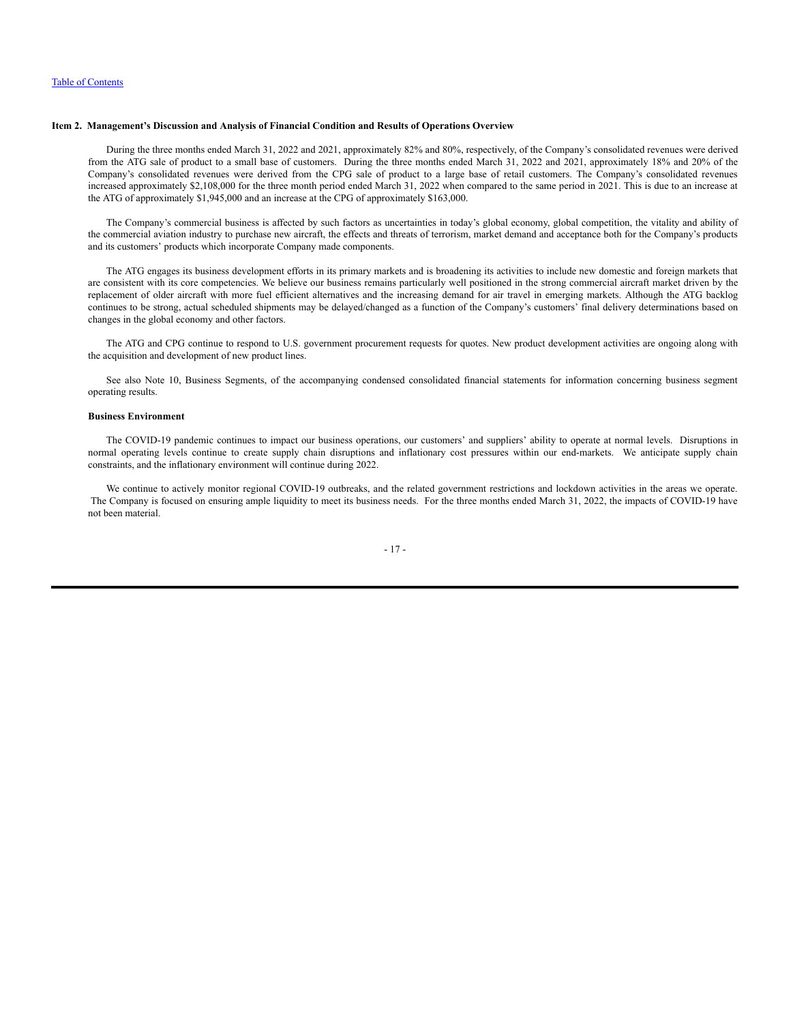#### <span id="page-16-0"></span>**Item 2. Management's Discussion and Analysis of Financial Condition and Results of Operations Overview**

During the three months ended March 31, 2022 and 2021, approximately 82% and 80%, respectively, of the Company's consolidated revenues were derived from the ATG sale of product to a small base of customers. During the three months ended March 31, 2022 and 2021, approximately 18% and 20% of the Company's consolidated revenues were derived from the CPG sale of product to a large base of retail customers. The Company's consolidated revenues increased approximately \$2,108,000 for the three month period ended March 31, 2022 when compared to the same period in 2021. This is due to an increase at the ATG of approximately \$1,945,000 and an increase at the CPG of approximately \$163,000.

The Company's commercial business is affected by such factors as uncertainties in today's global economy, global competition, the vitality and ability of the commercial aviation industry to purchase new aircraft, the effects and threats of terrorism, market demand and acceptance both for the Company's products and its customers' products which incorporate Company made components.

The ATG engages its business development efforts in its primary markets and is broadening its activities to include new domestic and foreign markets that are consistent with its core competencies. We believe our business remains particularly well positioned in the strong commercial aircraft market driven by the replacement of older aircraft with more fuel efficient alternatives and the increasing demand for air travel in emerging markets. Although the ATG backlog continues to be strong, actual scheduled shipments may be delayed/changed as a function of the Company's customers' final delivery determinations based on changes in the global economy and other factors.

The ATG and CPG continue to respond to U.S. government procurement requests for quotes. New product development activities are ongoing along with the acquisition and development of new product lines.

See also Note 10, Business Segments, of the accompanying condensed consolidated financial statements for information concerning business segment operating results.

#### **Business Environment**

The COVID-19 pandemic continues to impact our business operations, our customers' and suppliers' ability to operate at normal levels. Disruptions in normal operating levels continue to create supply chain disruptions and inflationary cost pressures within our end-markets. We anticipate supply chain constraints, and the inflationary environment will continue during 2022.

We continue to actively monitor regional COVID-19 outbreaks, and the related government restrictions and lockdown activities in the areas we operate. The Company is focused on ensuring ample liquidity to meet its business needs. For the three months ended March 31, 2022, the impacts of COVID-19 have not been material.

- 17 -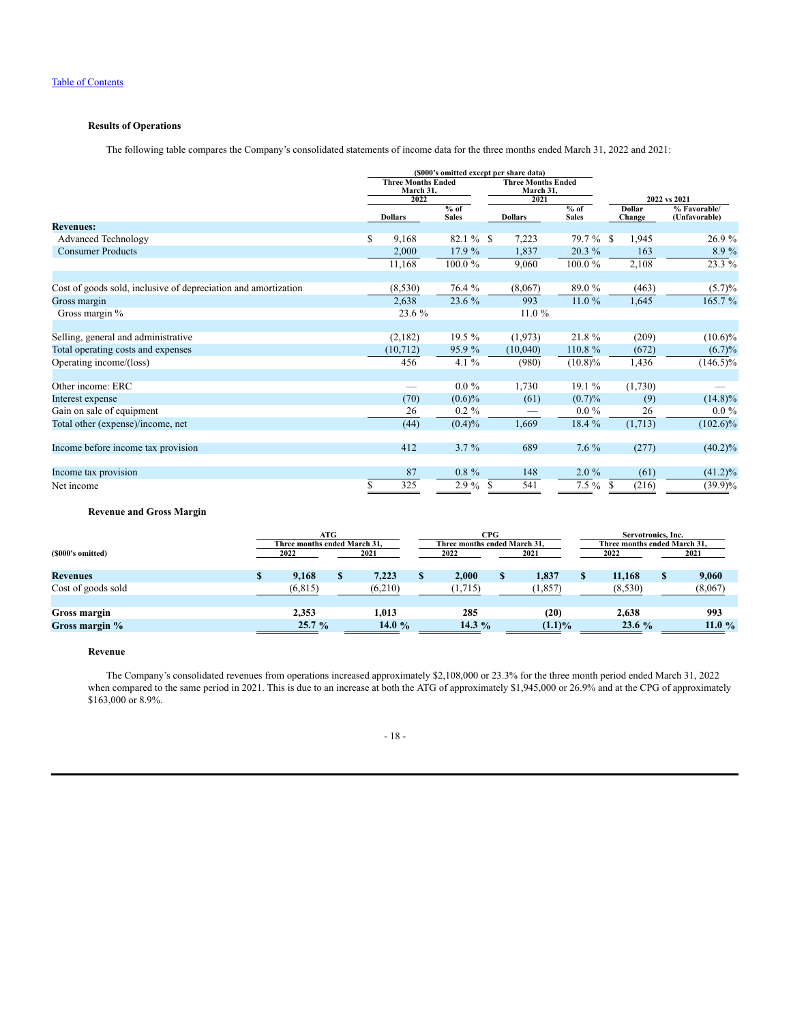### **Results of Operations**

The following table compares the Company's consolidated statements of income data for the three months ended March 31, 2022 and 2021:

|                                                                |                                        | (\$000's omitted except per share data) |                                        |                      |                         |                               |
|----------------------------------------------------------------|----------------------------------------|-----------------------------------------|----------------------------------------|----------------------|-------------------------|-------------------------------|
|                                                                | <b>Three Months Ended</b><br>March 31, |                                         | <b>Three Months Ended</b><br>March 31, |                      |                         |                               |
|                                                                | 2022                                   |                                         | 2021                                   |                      |                         | 2022 vs 2021                  |
|                                                                | <b>Dollars</b>                         | % of<br><b>Sales</b>                    | <b>Dollars</b>                         | % of<br><b>Sales</b> | <b>Dollar</b><br>Change | % Favorable/<br>(Unfavorable) |
| <b>Revenues:</b>                                               |                                        |                                         |                                        |                      |                         |                               |
| <b>Advanced Technology</b>                                     | \$<br>9,168                            | 82.1 % \$                               | 7,223                                  | 79.7 % \$            | 1,945                   | 26.9%                         |
| <b>Consumer Products</b>                                       | 2,000                                  | 17.9 %                                  | 1,837                                  | 20.3 %               | 163                     | 8.9%                          |
|                                                                | 11,168                                 | 100.0%                                  | 9,060                                  | 100.0%               | 2,108                   | 23.3 %                        |
| Cost of goods sold, inclusive of depreciation and amortization | (8,530)                                | 76.4 %                                  | (8,067)                                | 89.0%                | (463)                   | (5.7)%                        |
| Gross margin                                                   | 2,638                                  | 23.6 %                                  | 993                                    | 11.0%                | 1,645                   | 165.7%                        |
| Gross margin %                                                 | 23.6 %                                 |                                         | 11.0%                                  |                      |                         |                               |
|                                                                |                                        |                                         |                                        |                      |                         |                               |
| Selling, general and administrative                            | (2,182)                                | 19.5 %                                  | (1,973)                                | 21.8%                | (209)                   | $(10.6)\%$                    |
| Total operating costs and expenses                             | (10, 712)                              | 95.9%                                   | (10,040)                               | 110.8%               | (672)                   | $(6.7)\%$                     |
| Operating income/(loss)                                        | 456                                    | 4.1 $%$                                 | (980)                                  | $(10.8)\%$           | 1,436                   | $(146.5)\%$                   |
| Other income: ERC                                              |                                        | $0.0\%$                                 | 1,730                                  | 19.1 %               | (1,730)                 |                               |
| Interest expense                                               | (70)                                   | $(0.6)\%$                               | (61)                                   | (0.7)%               | (9)                     | $(14.8)\%$                    |
| Gain on sale of equipment                                      | 26                                     | $0.2\%$                                 |                                        | $0.0\%$              | 26                      | $0.0\%$                       |
| Total other (expense)/income, net                              | (44)                                   | (0.4)%                                  | 1,669                                  | 18.4 %               | (1,713)                 | $(102.6)\%$                   |
| Income before income tax provision                             | 412                                    | 3.7%                                    | 689                                    | $7.6\%$              | (277)                   | $(40.2)\%$                    |
| Income tax provision                                           | 87                                     | $0.8 \%$                                | 148                                    | $2.0\%$              | (61)                    | $(41.2)\%$                    |
| Net income                                                     | 325<br>\$                              | $2.9\%$                                 | 541<br>-S                              | $7.5\%$              | (216)<br>- \$           | $(39.9)\%$                    |

# **Revenue and Gross Margin**

|                    | ATG |                              |  |                              | CPG |          |  |           |                              | Servotronics, Inc. |  |          |  |  |  |
|--------------------|-----|------------------------------|--|------------------------------|-----|----------|--|-----------|------------------------------|--------------------|--|----------|--|--|--|
|                    |     | Three months ended March 31. |  | Three months ended March 31. |     |          |  |           | Three months ended March 31. |                    |  |          |  |  |  |
| (\$000's omitted)  |     | 2022                         |  | 2021                         |     | 2022     |  | 2021      |                              | 2022               |  | 2021     |  |  |  |
|                    |     |                              |  |                              |     |          |  |           |                              |                    |  |          |  |  |  |
| <b>Revenues</b>    |     | 9.168                        |  | 7,223                        | æ   | 2.000    |  | 1,837     |                              | 11.168             |  | 9,060    |  |  |  |
| Cost of goods sold |     | (6, 815)                     |  | (6,210)                      |     | (1,715)  |  | (1, 857)  |                              | (8,530)            |  | (8,067)  |  |  |  |
|                    |     |                              |  |                              |     |          |  |           |                              |                    |  |          |  |  |  |
| Gross margin       |     | 2,353                        |  | 1,013                        |     | 285      |  | (20)      |                              | 2,638              |  | 993      |  |  |  |
| Gross margin %     |     | $25.7\%$                     |  | 14.0 $%$                     |     | 14.3 $%$ |  | $(1.1)\%$ |                              | $23.6\%$           |  | 11.0 $%$ |  |  |  |

#### **Revenue**

The Company's consolidated revenues from operations increased approximately \$2,108,000 or 23.3% for the three month period ended March 31, 2022 when compared to the same period in 2021. This is due to an increase at both the ATG of approximately \$1,945,000 or 26.9% and at the CPG of approximately \$163,000 or 8.9%.

# - 18 -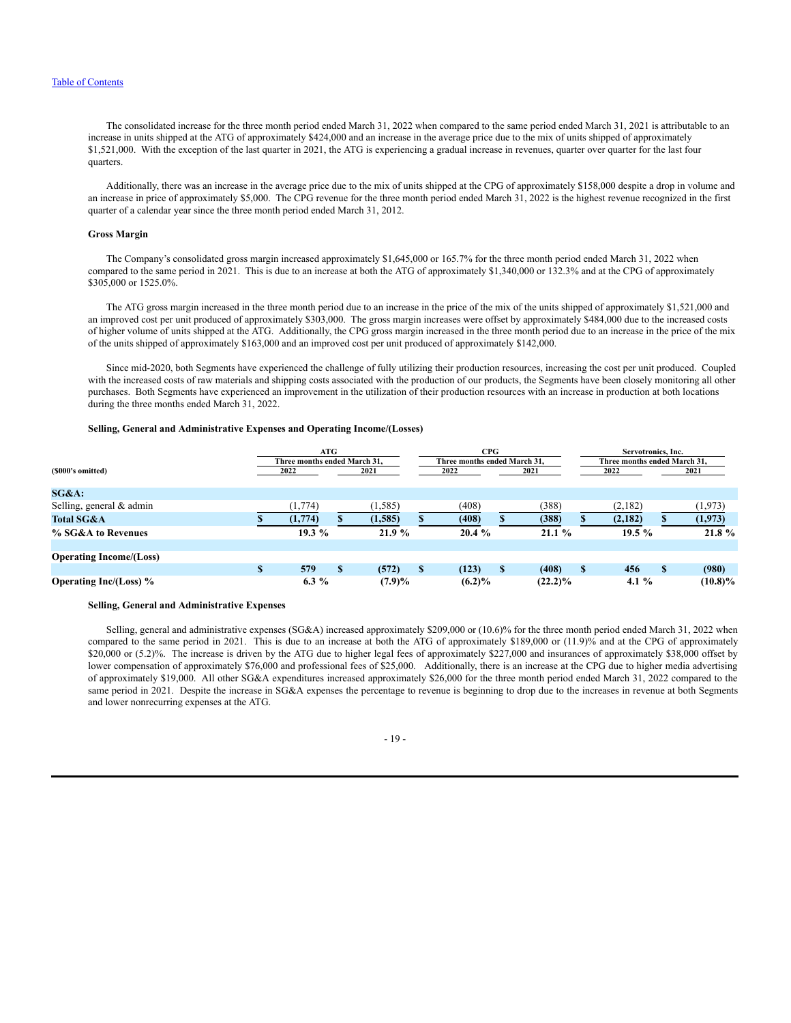The consolidated increase for the three month period ended March 31, 2022 when compared to the same period ended March 31, 2021 is attributable to an increase in units shipped at the ATG of approximately \$424,000 and an increase in the average price due to the mix of units shipped of approximately \$1,521,000. With the exception of the last quarter in 2021, the ATG is experiencing a gradual increase in revenues, quarter over quarter for the last four quarters.

Additionally, there was an increase in the average price due to the mix of units shipped at the CPG of approximately \$158,000 despite a drop in volume and an increase in price of approximately \$5,000. The CPG revenue for the three month period ended March 31, 2022 is the highest revenue recognized in the first quarter of a calendar year since the three month period ended March 31, 2012.

#### **Gross Margin**

The Company's consolidated gross margin increased approximately \$1,645,000 or 165.7% for the three month period ended March 31, 2022 when compared to the same period in 2021. This is due to an increase at both the ATG of approximately \$1,340,000 or 132.3% and at the CPG of approximately \$305,000 or 1525.0%.

The ATG gross margin increased in the three month period due to an increase in the price of the mix of the units shipped of approximately \$1,521,000 and an improved cost per unit produced of approximately \$303,000. The gross margin increases were offset by approximately \$484,000 due to the increased costs of higher volume of units shipped at the ATG. Additionally, the CPG gross margin increased in the three month period due to an increase in the price of the mix of the units shipped of approximately \$163,000 and an improved cost per unit produced of approximately \$142,000.

Since mid-2020, both Segments have experienced the challenge of fully utilizing their production resources, increasing the cost per unit produced. Coupled with the increased costs of raw materials and shipping costs associated with the production of our products, the Segments have been closely monitoring all other purchases. Both Segments have experienced an improvement in the utilization of their production resources with an increase in production at both locations during the three months ended March 31, 2022.

#### **Selling, General and Administrative Expenses and Operating Income/(Losses)**

|                                |   | ATG-                         |    |                              | CPG |           |      |            | Servotronics, Inc.           |           |    |            |  |
|--------------------------------|---|------------------------------|----|------------------------------|-----|-----------|------|------------|------------------------------|-----------|----|------------|--|
|                                |   | Three months ended March 31. |    | Three months ended March 31. |     |           |      |            | Three months ended March 31. |           |    |            |  |
| (\$000's omitted)              |   | 2022                         |    | 2021                         |     | 2022      | 2021 |            | 2022                         |           |    | 2021       |  |
| $SG&A$ :                       |   |                              |    |                              |     |           |      |            |                              |           |    |            |  |
| Selling, general & admin       |   | (1,774)                      |    | (1, 585)                     |     | (408)     |      | (388)      |                              | (2,182)   |    | (1, 973)   |  |
| <b>Total SG&amp;A</b>          |   | (1,774)                      |    | (1,585)                      |     | (408)     |      | (388)      |                              | (2,182)   |    | (1,973)    |  |
| % SG&A to Revenues             |   | 19.3 $%$                     |    | 21.9%                        |     | 20.4%     |      | 21.1%      |                              | $19.5 \%$ |    | $21.8 \%$  |  |
|                                |   |                              |    |                              |     |           |      |            |                              |           |    |            |  |
| <b>Operating Income/(Loss)</b> |   |                              |    |                              |     |           |      |            |                              |           |    |            |  |
|                                | S | 579                          | -S | (572)                        | S   | (123)     | -8   | (408)      | S                            | 456       | -S | (980)      |  |
| Operating Inc/(Loss) $\%$      |   | $6.3\%$                      |    | $(7.9)\%$                    |     | $(6.2)\%$ |      | $(22.2)\%$ |                              | 4.1 $%$   |    | $(10.8)\%$ |  |

#### **Selling, General and Administrative Expenses**

Selling, general and administrative expenses (SG&A) increased approximately \$209,000 or (10.6)% for the three month period ended March 31, 2022 when compared to the same period in 2021. This is due to an increase at both the ATG of approximately \$189,000 or (11.9)% and at the CPG of approximately \$20,000 or (5.2)%. The increase is driven by the ATG due to higher legal fees of approximately \$227,000 and insurances of approximately \$38,000 offset by lower compensation of approximately \$76,000 and professional fees of \$25,000. Additionally, there is an increase at the CPG due to higher media advertising of approximately \$19,000. All other SG&A expenditures increased approximately \$26,000 for the three month period ended March 31, 2022 compared to the same period in 2021. Despite the increase in SG&A expenses the percentage to revenue is beginning to drop due to the increases in revenue at both Segments and lower nonrecurring expenses at the ATG.

# - 19 -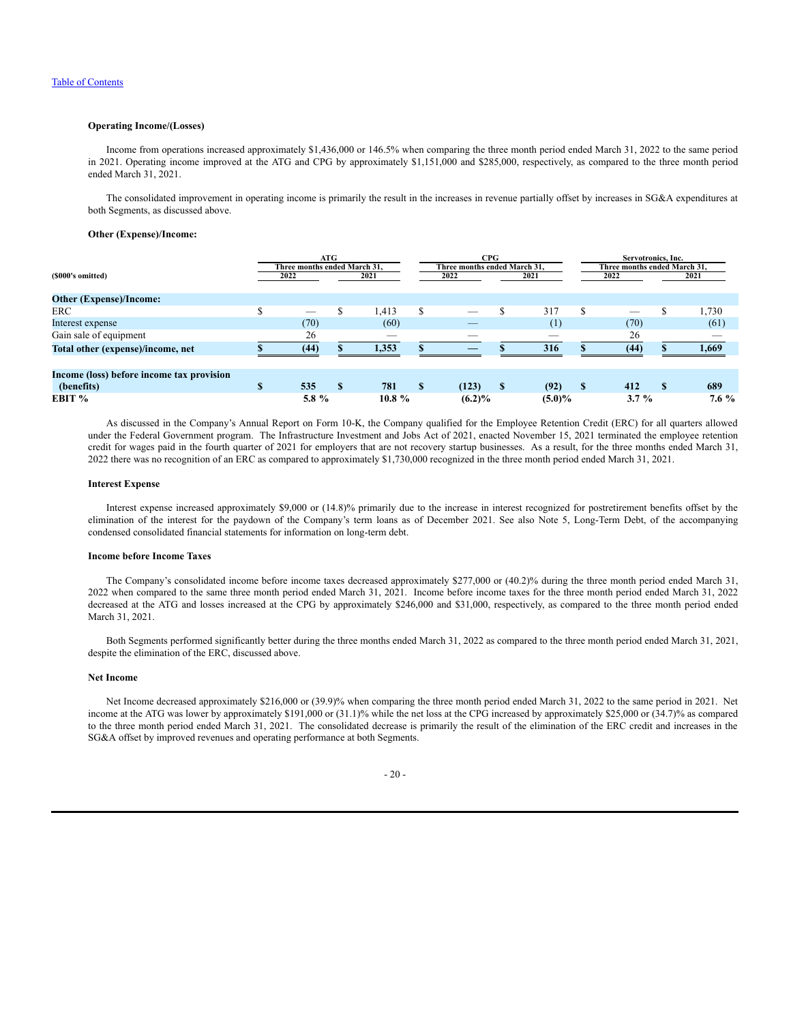### **Operating Income/(Losses)**

Income from operations increased approximately \$1,436,000 or 146.5% when comparing the three month period ended March 31, 2022 to the same period in 2021. Operating income improved at the ATG and CPG by approximately \$1,151,000 and \$285,000, respectively, as compared to the three month period ended March 31, 2021.

The consolidated improvement in operating income is primarily the result in the increases in revenue partially offset by increases in SG&A expenditures at both Segments, as discussed above.

#### **Other (Expense)/Income:**

|                                           |   | ATG<br>Three months ended March 31. |   |           | CPG<br>Three months ended March 31. |           |   |                          |              | Servotronics, Inc.<br>Three months ended March 31. |   |         |  |
|-------------------------------------------|---|-------------------------------------|---|-----------|-------------------------------------|-----------|---|--------------------------|--------------|----------------------------------------------------|---|---------|--|
| (\$000's omitted)                         |   | 2022                                |   | 2021      |                                     | 2022      |   | 2021                     |              | 2022                                               |   | 2021    |  |
| <b>Other (Expense)/Income:</b>            |   |                                     |   |           |                                     |           |   |                          |              |                                                    |   |         |  |
| ERC                                       |   | __                                  |   | 1.413     | \$.                                 |           |   | 317                      | £.           |                                                    |   | 1,730   |  |
| Interest expense                          |   | (70)                                |   | (60)      |                                     |           |   | (1)                      |              | (70)                                               |   | (61)    |  |
| Gain sale of equipment                    |   | 26                                  |   |           |                                     |           |   | $\overline{\phantom{a}}$ |              | 26                                                 |   |         |  |
| Total other (expense)/income, net         |   | (44)                                |   | 1,353     |                                     |           |   | 316                      |              | (44)                                               |   | 1,669   |  |
| Income (loss) before income tax provision |   |                                     |   |           |                                     |           |   |                          |              |                                                    |   |         |  |
| (benefits)                                | S | 535                                 | S | 781       | S                                   | (123)     | S | (92)                     | $\mathbf{s}$ | 412                                                | S | 689     |  |
| EBIT %                                    |   | 5.8 $%$                             |   | $10.8 \%$ |                                     | $(6.2)\%$ |   | $(5.0)\%$                |              | $3.7\%$                                            |   | $7.6\%$ |  |

As discussed in the Company's Annual Report on Form 10-K, the Company qualified for the Employee Retention Credit (ERC) for all quarters allowed under the Federal Government program. The Infrastructure Investment and Jobs Act of 2021, enacted November 15, 2021 terminated the employee retention credit for wages paid in the fourth quarter of 2021 for employers that are not recovery startup businesses. As a result, for the three months ended March 31, 2022 there was no recognition of an ERC as compared to approximately \$1,730,000 recognized in the three month period ended March 31, 2021.

#### **Interest Expense**

Interest expense increased approximately \$9,000 or (14.8)% primarily due to the increase in interest recognized for postretirement benefits offset by the elimination of the interest for the paydown of the Company's term loans as of December 2021. See also Note 5, Long-Term Debt, of the accompanying condensed consolidated financial statements for information on long-term debt.

### **Income before Income Taxes**

The Company's consolidated income before income taxes decreased approximately \$277,000 or (40.2)% during the three month period ended March 31, 2022 when compared to the same three month period ended March 31, 2021. Income before income taxes for the three month period ended March 31, 2022 decreased at the ATG and losses increased at the CPG by approximately \$246,000 and \$31,000, respectively, as compared to the three month period ended March 31, 2021.

Both Segments performed significantly better during the three months ended March 31, 2022 as compared to the three month period ended March 31, 2021, despite the elimination of the ERC, discussed above.

#### **Net Income**

Net Income decreased approximately \$216,000 or (39.9)% when comparing the three month period ended March 31, 2022 to the same period in 2021. Net income at the ATG was lower by approximately \$191,000 or (31.1)% while the net loss at the CPG increased by approximately \$25,000 or (34.7)% as compared to the three month period ended March 31, 2021. The consolidated decrease is primarily the result of the elimination of the ERC credit and increases in the SG&A offset by improved revenues and operating performance at both Segments.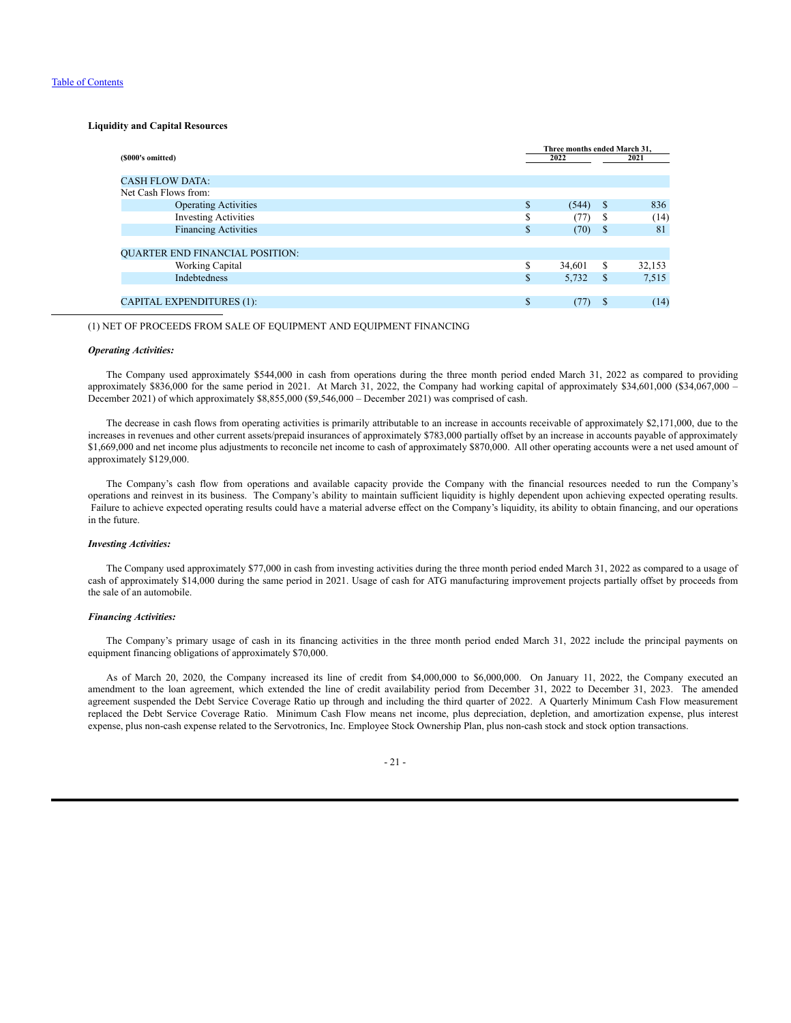### **Liquidity and Capital Resources**

|                                        |    |        | Three months ended March 31, |        |  |
|----------------------------------------|----|--------|------------------------------|--------|--|
| (\$000's omitted)                      |    | 2022   |                              | 2021   |  |
|                                        |    |        |                              |        |  |
| <b>CASH FLOW DATA:</b>                 |    |        |                              |        |  |
| Net Cash Flows from:                   |    |        |                              |        |  |
| <b>Operating Activities</b>            | \$ | (544)  | <sup>\$</sup>                | 836    |  |
| <b>Investing Activities</b>            | ¢  | (77)   | -S                           | (14)   |  |
| <b>Financing Activities</b>            | \$ | (70)   | \$                           | 81     |  |
|                                        |    |        |                              |        |  |
| <b>QUARTER END FINANCIAL POSITION:</b> |    |        |                              |        |  |
| Working Capital                        | S  | 34,601 | -S                           | 32,153 |  |
| Indebtedness                           | \$ | 5,732  | <sup>\$</sup>                | 7,515  |  |
|                                        |    |        |                              |        |  |
| <b>CAPITAL EXPENDITURES (1):</b>       | \$ |        | <b>S</b>                     | (14)   |  |
|                                        |    |        |                              |        |  |

### (1) NET OF PROCEEDS FROM SALE OF EQUIPMENT AND EQUIPMENT FINANCING

#### *Operating Activities:*

The Company used approximately \$544,000 in cash from operations during the three month period ended March 31, 2022 as compared to providing approximately \$836,000 for the same period in 2021. At March 31, 2022, the Company had working capital of approximately \$34,601,000 (\$34,067,000 – December 2021) of which approximately \$8,855,000 (\$9,546,000 – December 2021) was comprised of cash.

The decrease in cash flows from operating activities is primarily attributable to an increase in accounts receivable of approximately \$2,171,000, due to the increases in revenues and other current assets/prepaid insurances of approximately \$783,000 partially offset by an increase in accounts payable of approximately \$1,669,000 and net income plus adjustments to reconcile net income to cash of approximately \$870,000. All other operating accounts were a net used amount of approximately \$129,000.

The Company's cash flow from operations and available capacity provide the Company with the financial resources needed to run the Company's operations and reinvest in its business. The Company's ability to maintain sufficient liquidity is highly dependent upon achieving expected operating results. Failure to achieve expected operating results could have a material adverse effect on the Company's liquidity, its ability to obtain financing, and our operations in the future.

#### *Investing Activities:*

The Company used approximately \$77,000 in cash from investing activities during the three month period ended March 31, 2022 as compared to a usage of cash of approximately \$14,000 during the same period in 2021. Usage of cash for ATG manufacturing improvement projects partially offset by proceeds from the sale of an automobile.

### *Financing Activities:*

The Company's primary usage of cash in its financing activities in the three month period ended March 31, 2022 include the principal payments on equipment financing obligations of approximately \$70,000.

As of March 20, 2020, the Company increased its line of credit from \$4,000,000 to \$6,000,000. On January 11, 2022, the Company executed an amendment to the loan agreement, which extended the line of credit availability period from December 31, 2022 to December 31, 2023. The amended agreement suspended the Debt Service Coverage Ratio up through and including the third quarter of 2022. A Quarterly Minimum Cash Flow measurement replaced the Debt Service Coverage Ratio. Minimum Cash Flow means net income, plus depreciation, depletion, and amortization expense, plus interest expense, plus non-cash expense related to the Servotronics, Inc. Employee Stock Ownership Plan, plus non-cash stock and stock option transactions.

### - 21 -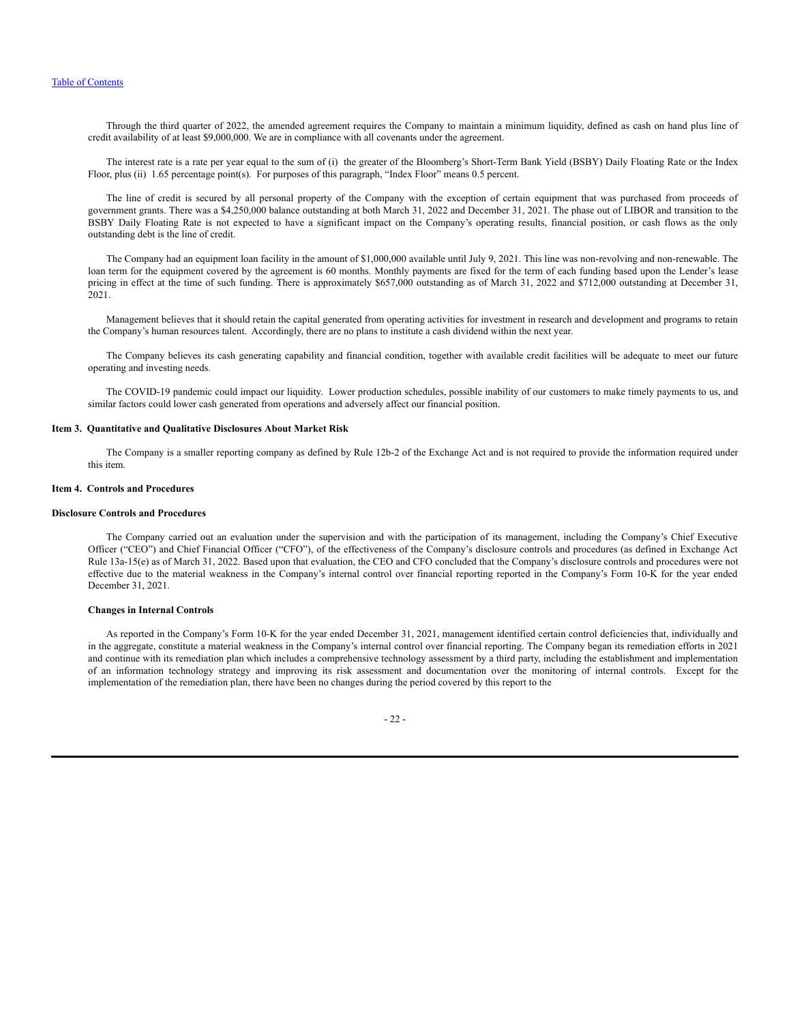#### Table of [Contents](#page-1-0)

Through the third quarter of 2022, the amended agreement requires the Company to maintain a minimum liquidity, defined as cash on hand plus line of credit availability of at least \$9,000,000. We are in compliance with all covenants under the agreement.

The interest rate is a rate per year equal to the sum of (i) the greater of the Bloomberg's Short-Term Bank Yield (BSBY) Daily Floating Rate or the Index Floor, plus (ii) 1.65 percentage point(s). For purposes of this paragraph, "Index Floor" means 0.5 percent.

The line of credit is secured by all personal property of the Company with the exception of certain equipment that was purchased from proceeds of government grants. There was a \$4,250,000 balance outstanding at both March 31, 2022 and December 31, 2021. The phase out of LIBOR and transition to the BSBY Daily Floating Rate is not expected to have a significant impact on the Company's operating results, financial position, or cash flows as the only outstanding debt is the line of credit.

The Company had an equipment loan facility in the amount of \$1,000,000 available until July 9, 2021. This line was non-revolving and non-renewable. The loan term for the equipment covered by the agreement is 60 months. Monthly payments are fixed for the term of each funding based upon the Lender's lease pricing in effect at the time of such funding. There is approximately \$657,000 outstanding as of March 31, 2022 and \$712,000 outstanding at December 31, 2021.

Management believes that it should retain the capital generated from operating activities for investment in research and development and programs to retain the Company's human resources talent. Accordingly, there are no plans to institute a cash dividend within the next year.

The Company believes its cash generating capability and financial condition, together with available credit facilities will be adequate to meet our future operating and investing needs.

The COVID-19 pandemic could impact our liquidity. Lower production schedules, possible inability of our customers to make timely payments to us, and similar factors could lower cash generated from operations and adversely affect our financial position.

#### <span id="page-21-0"></span>**Item 3. Quantitative and Qualitative Disclosures About Market Risk**

The Company is a smaller reporting company as defined by Rule 12b-2 of the Exchange Act and is not required to provide the information required under this item.

#### <span id="page-21-1"></span>**Item 4. Controls and Procedures**

#### **Disclosure Controls and Procedures**

The Company carried out an evaluation under the supervision and with the participation of its management, including the Company's Chief Executive Officer ("CEO") and Chief Financial Officer ("CFO"), of the effectiveness of the Company's disclosure controls and procedures (as defined in Exchange Act Rule 13a-15(e) as of March 31, 2022. Based upon that evaluation, the CEO and CFO concluded that the Company's disclosure controls and procedures were not effective due to the material weakness in the Company's internal control over financial reporting reported in the Company's Form 10-K for the year ended December 31, 2021.

#### **Changes in Internal Controls**

As reported in the Company's Form 10-K for the year ended December 31, 2021, management identified certain control deficiencies that, individually and in the aggregate, constitute a material weakness in the Company's internal control over financial reporting. The Company began its remediation efforts in 2021 and continue with its remediation plan which includes a comprehensive technology assessment by a third party, including the establishment and implementation of an information technology strategy and improving its risk assessment and documentation over the monitoring of internal controls. Except for the implementation of the remediation plan, there have been no changes during the period covered by this report to the

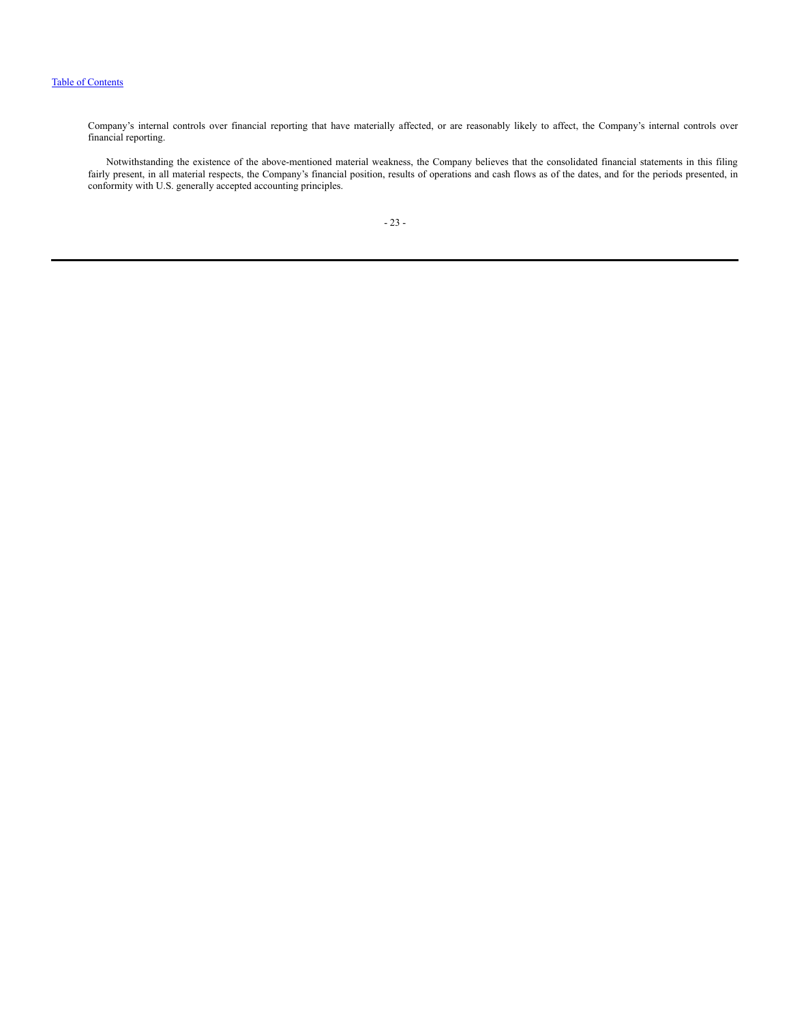Company's internal controls over financial reporting that have materially affected, or are reasonably likely to affect, the Company's internal controls over financial reporting.

Notwithstanding the existence of the above-mentioned material weakness, the Company believes that the consolidated financial statements in this filing fairly present, in all material respects, the Company's financial position, results of operations and cash flows as of the dates, and for the periods presented, in conformity with U.S. generally accepted accounting principles.

- 23 -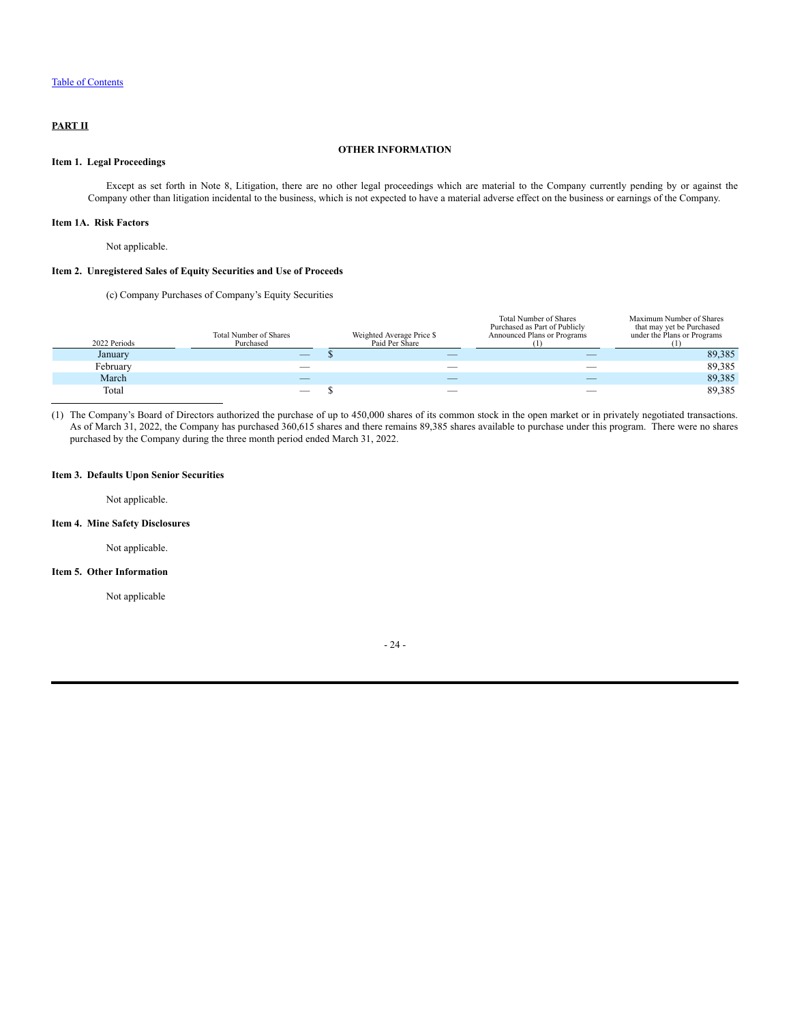# <span id="page-23-0"></span>**PART II**

### **OTHER INFORMATION**

# <span id="page-23-1"></span>**Item 1. Legal Proceedings**

Except as set forth in Note 8, Litigation, there are no other legal proceedings which are material to the Company currently pending by or against the Company other than litigation incidental to the business, which is not expected to have a material adverse effect on the business or earnings of the Company.

### <span id="page-23-2"></span>**Item 1A. Risk Factors**

Not applicable.

# <span id="page-23-3"></span>**Item 2. Unregistered Sales of Equity Securities and Use of Proceeds**

(c) Company Purchases of Company's Equity Securities

| 2022 Periods | <b>Total Number of Shares</b><br>Purchased | Weighted Average Price \$<br>Paid Per Share | <b>Total Number of Shares</b><br>Purchased as Part of Publicly<br>Announced Plans or Programs | Maximum Number of Shares<br>that may yet be Purchased<br>under the Plans or Programs |
|--------------|--------------------------------------------|---------------------------------------------|-----------------------------------------------------------------------------------------------|--------------------------------------------------------------------------------------|
| January      |                                            |                                             |                                                                                               | 89,385                                                                               |
| February     |                                            |                                             |                                                                                               | 89,385                                                                               |
| March        |                                            |                                             |                                                                                               | 89,385                                                                               |
| Total        | $\hspace{0.5cm}$                           | __                                          |                                                                                               | 89,385                                                                               |

(1) The Company's Board of Directors authorized the purchase of up to 450,000 shares of its common stock in the open market or in privately negotiated transactions. As of March 31, 2022, the Company has purchased 360,615 shares and there remains 89,385 shares available to purchase under this program. There were no shares purchased by the Company during the three month period ended March 31, 2022.

# <span id="page-23-4"></span>**Item 3. Defaults Upon Senior Securities**

Not applicable.

### <span id="page-23-5"></span>**Item 4. Mine Safety Disclosures**

Not applicable.

#### <span id="page-23-6"></span>**Item 5. Other Information**

Not applicable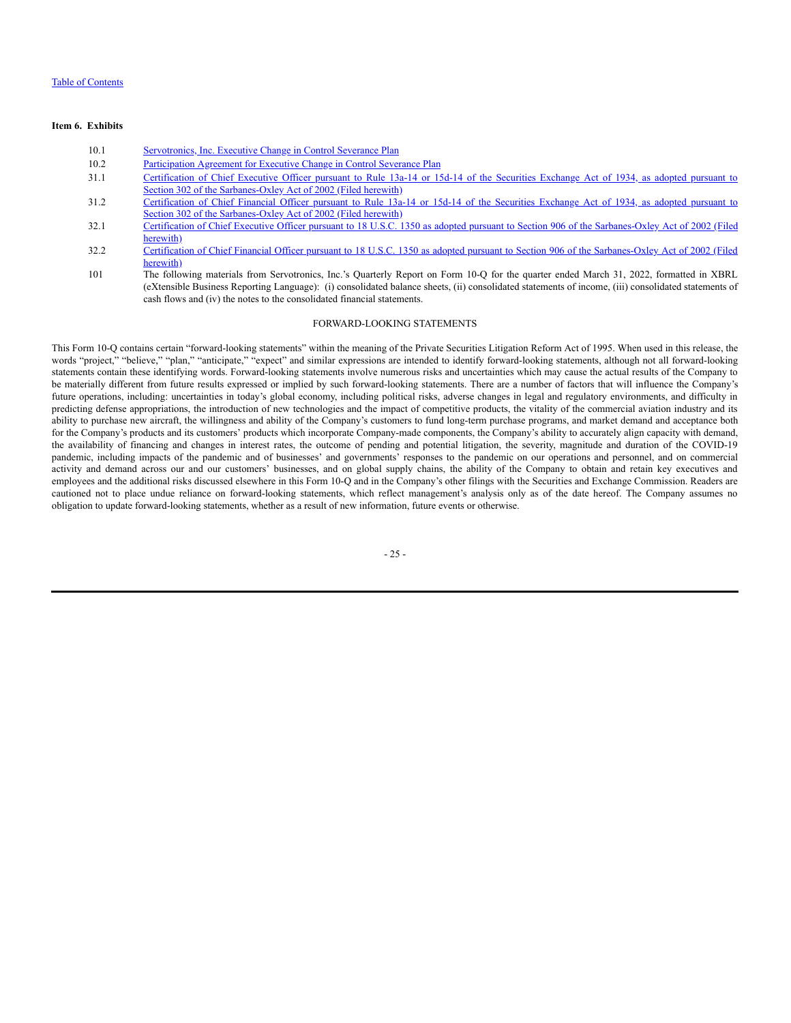### <span id="page-24-0"></span>**Item 6. Exhibits**

- 10.1 [Servotronics,](file:///tmp/bh0mqhdf.ghs/svt-20220331xex10d1.htm) Inc. Executive Change in Control Severance Plan
- 10.2 [Participation](file:///tmp/bh0mqhdf.ghs/svt-20220331xex10d2.htm) Agreement for Executive Change in Control Severance Plan
- 31.1 Certification of Chief Executive Officer pursuant to Rule 13a-14 or 15d-14 of the Securities Exchange Act of 1934, as adopted pursuant to Section 302 of the [Sarbanes-Oxley](file:///tmp/bh0mqhdf.ghs/svt-20220331xex31d1.htm) Act of 2002 (Filed herewith)
- 31.2 Certification of Chief Financial Officer pursuant to Rule 13a-14 or 15d-14 of the Securities Exchange Act of 1934, as adopted pursuant to Section 302 of the [Sarbanes-Oxley](file:///tmp/bh0mqhdf.ghs/svt-20220331xex31d2.htm) Act of 2002 (Filed herewith)
- 32.1 Certification of Chief Executive Officer pursuant to 18 U.S.C. 1350 as adopted pursuant to Section 906 of the [Sarbanes-Oxley](file:///tmp/bh0mqhdf.ghs/svt-20220331xex32d1.htm) Act of 2002 (Filed herewith)
- 32.2 Certification of Chief Financial Officer pursuant to 18 U.S.C. 1350 as adopted pursuant to Section 906 of the [Sarbanes-Oxley](file:///tmp/bh0mqhdf.ghs/svt-20220331xex32d2.htm) Act of 2002 (Filed herewith)
- 101 The following materials from Servotronics, Inc.'s Quarterly Report on Form 10-Q for the quarter ended March 31, 2022, formatted in XBRL (eXtensible Business Reporting Language): (i) consolidated balance sheets, (ii) consolidated statements of income, (iii) consolidated statements of cash flows and (iv) the notes to the consolidated financial statements.

### FORWARD-LOOKING STATEMENTS

<span id="page-24-1"></span>This Form 10-Q contains certain "forward-looking statements" within the meaning of the Private Securities Litigation Reform Act of 1995. When used in this release, the words "project," "believe," "plan," "anticipate," "expect" and similar expressions are intended to identify forward-looking statements, although not all forward-looking statements contain these identifying words. Forward-looking statements involve numerous risks and uncertainties which may cause the actual results of the Company to be materially different from future results expressed or implied by such forward-looking statements. There are a number of factors that will influence the Company's future operations, including: uncertainties in today's global economy, including political risks, adverse changes in legal and regulatory environments, and difficulty in predicting defense appropriations, the introduction of new technologies and the impact of competitive products, the vitality of the commercial aviation industry and its ability to purchase new aircraft, the willingness and ability of the Company's customers to fund long-term purchase programs, and market demand and acceptance both for the Company's products and its customers' products which incorporate Company-made components, the Company's ability to accurately align capacity with demand, the availability of financing and changes in interest rates, the outcome of pending and potential litigation, the severity, magnitude and duration of the COVID-19 pandemic, including impacts of the pandemic and of businesses' and governments' responses to the pandemic on our operations and personnel, and on commercial activity and demand across our and our customers' businesses, and on global supply chains, the ability of the Company to obtain and retain key executives and employees and the additional risks discussed elsewhere in this Form 10-Q and in the Company's other filings with the Securities and Exchange Commission. Readers are cautioned not to place undue reliance on forward-looking statements, which reflect management's analysis only as of the date hereof. The Company assumes no obligation to update forward-looking statements, whether as a result of new information, future events or otherwise.

- 25 -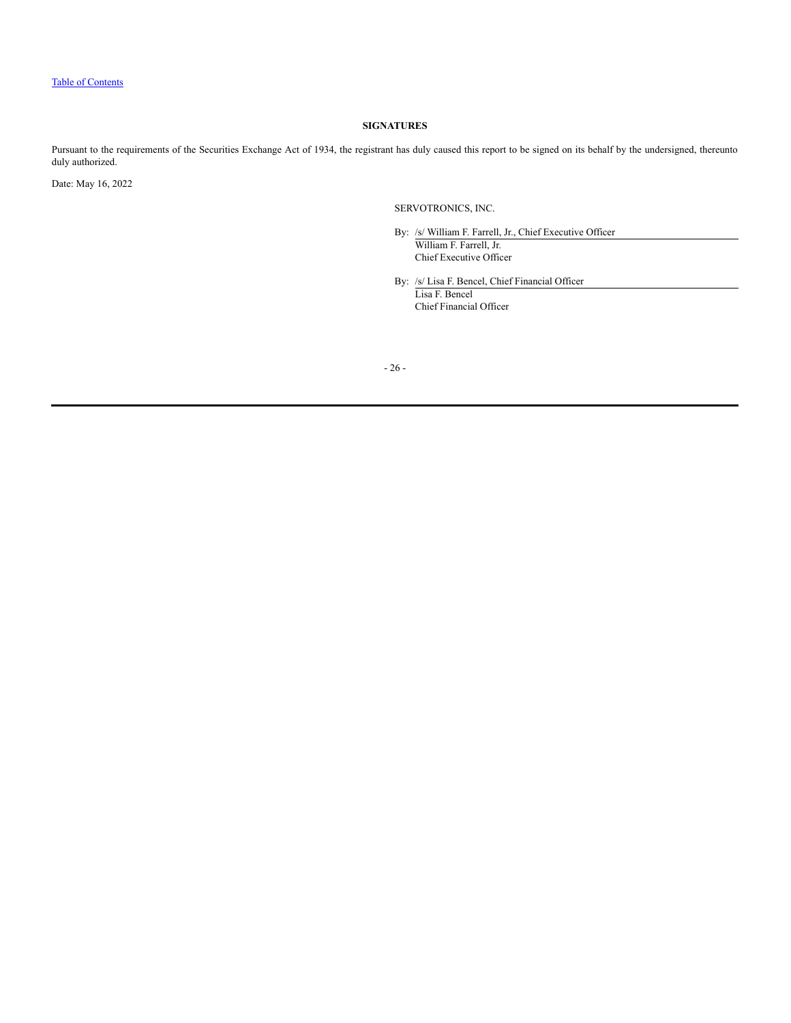### **SIGNATURES**

<span id="page-25-0"></span>Pursuant to the requirements of the Securities Exchange Act of 1934, the registrant has duly caused this report to be signed on its behalf by the undersigned, thereunto duly authorized.

Date: May 16, 2022

SERVOTRONICS, INC.

- By: /s/ William F. Farrell, Jr., Chief Executive Officer William F. Farrell, Jr. Chief Executive Officer
- By: /s/ Lisa F. Bencel, Chief Financial Officer Lisa F. Bencel Chief Financial Officer

- 26 -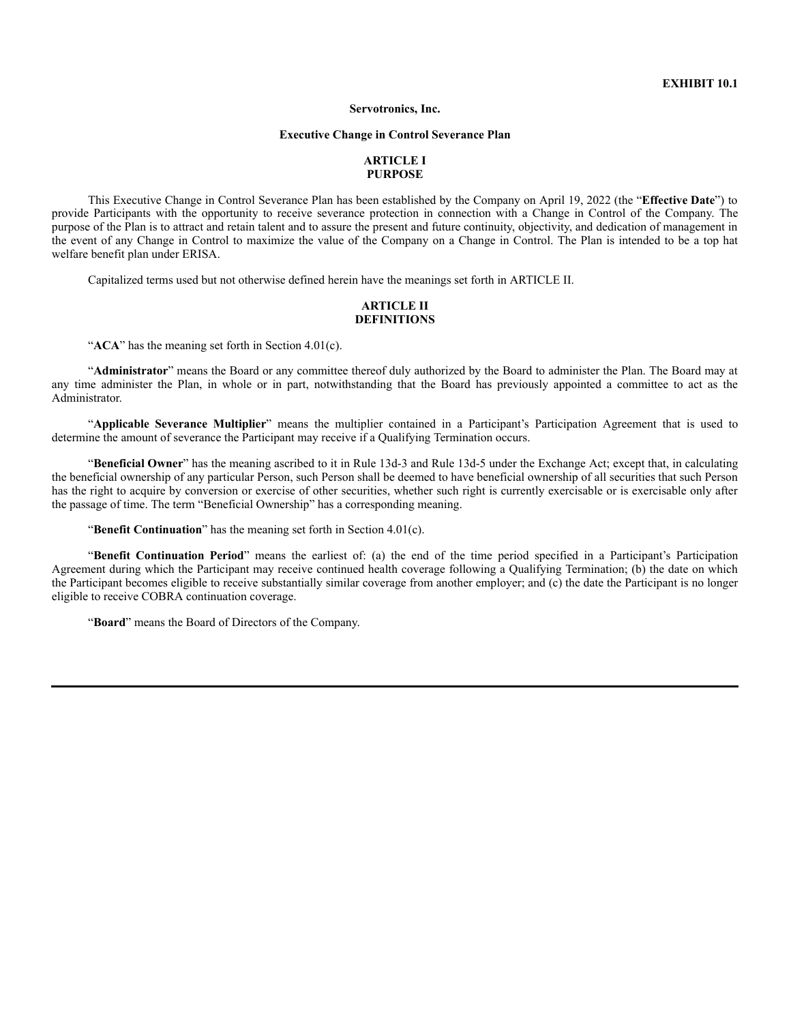### **Servotronics, Inc.**

# **Executive Change in Control Severance Plan**

# **ARTICLE I PURPOSE**

This Executive Change in Control Severance Plan has been established by the Company on April 19, 2022 (the "**Effective Date**") to provide Participants with the opportunity to receive severance protection in connection with a Change in Control of the Company. The purpose of the Plan is to attract and retain talent and to assure the present and future continuity, objectivity, and dedication of management in the event of any Change in Control to maximize the value of the Company on a Change in Control. The Plan is intended to be a top hat welfare benefit plan under ERISA.

Capitalized terms used but not otherwise defined herein have the meanings set forth in ARTICLE II.

# **ARTICLE II DEFINITIONS**

"**ACA**" has the meaning set forth in Section 4.01(c).

"**Administrator**" means the Board or any committee thereof duly authorized by the Board to administer the Plan. The Board may at any time administer the Plan, in whole or in part, notwithstanding that the Board has previously appointed a committee to act as the Administrator.

"**Applicable Severance Multiplier**" means the multiplier contained in a Participant's Participation Agreement that is used to determine the amount of severance the Participant may receive if a Qualifying Termination occurs.

"**Beneficial Owner**" has the meaning ascribed to it in Rule 13d-3 and Rule 13d-5 under the Exchange Act; except that, in calculating the beneficial ownership of any particular Person, such Person shall be deemed to have beneficial ownership of all securities that such Person has the right to acquire by conversion or exercise of other securities, whether such right is currently exercisable or is exercisable only after the passage of time. The term "Beneficial Ownership" has a corresponding meaning.

"**Benefit Continuation**" has the meaning set forth in Section 4.01(c).

"**Benefit Continuation Period**" means the earliest of: (a) the end of the time period specified in a Participant's Participation Agreement during which the Participant may receive continued health coverage following a Qualifying Termination; (b) the date on which the Participant becomes eligible to receive substantially similar coverage from another employer; and (c) the date the Participant is no longer eligible to receive COBRA continuation coverage.

"**Board**" means the Board of Directors of the Company.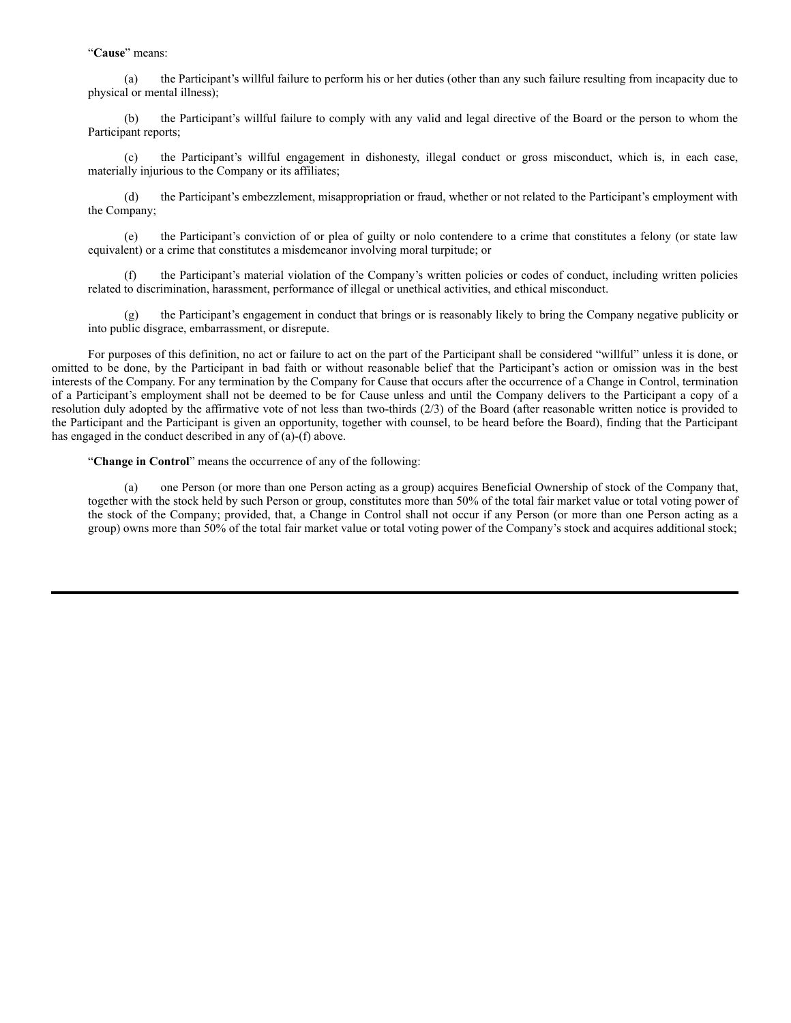"**Cause**" means:

(a) the Participant's willful failure to perform his or her duties (other than any such failure resulting from incapacity due to physical or mental illness);

(b) the Participant's willful failure to comply with any valid and legal directive of the Board or the person to whom the Participant reports;

(c) the Participant's willful engagement in dishonesty, illegal conduct or gross misconduct, which is, in each case, materially injurious to the Company or its affiliates;

(d) the Participant's embezzlement, misappropriation or fraud, whether or not related to the Participant's employment with the Company;

(e) the Participant's conviction of or plea of guilty or nolo contendere to a crime that constitutes a felony (or state law equivalent) or a crime that constitutes a misdemeanor involving moral turpitude; or

(f) the Participant's material violation of the Company's written policies or codes of conduct, including written policies related to discrimination, harassment, performance of illegal or unethical activities, and ethical misconduct.

(g) the Participant's engagement in conduct that brings or is reasonably likely to bring the Company negative publicity or into public disgrace, embarrassment, or disrepute.

For purposes of this definition, no act or failure to act on the part of the Participant shall be considered "willful" unless it is done, or omitted to be done, by the Participant in bad faith or without reasonable belief that the Participant's action or omission was in the best interests of the Company. For any termination by the Company for Cause that occurs after the occurrence of a Change in Control, termination of a Participant's employment shall not be deemed to be for Cause unless and until the Company delivers to the Participant a copy of a resolution duly adopted by the affirmative vote of not less than two-thirds (2/3) of the Board (after reasonable written notice is provided to the Participant and the Participant is given an opportunity, together with counsel, to be heard before the Board), finding that the Participant has engaged in the conduct described in any of (a)-(f) above.

"**Change in Control**" means the occurrence of any of the following:

(a) one Person (or more than one Person acting as a group) acquires Beneficial Ownership of stock of the Company that, together with the stock held by such Person or group, constitutes more than 50% of the total fair market value or total voting power of the stock of the Company; provided, that, a Change in Control shall not occur if any Person (or more than one Person acting as a group) owns more than 50% of the total fair market value or total voting power of the Company's stock and acquires additional stock;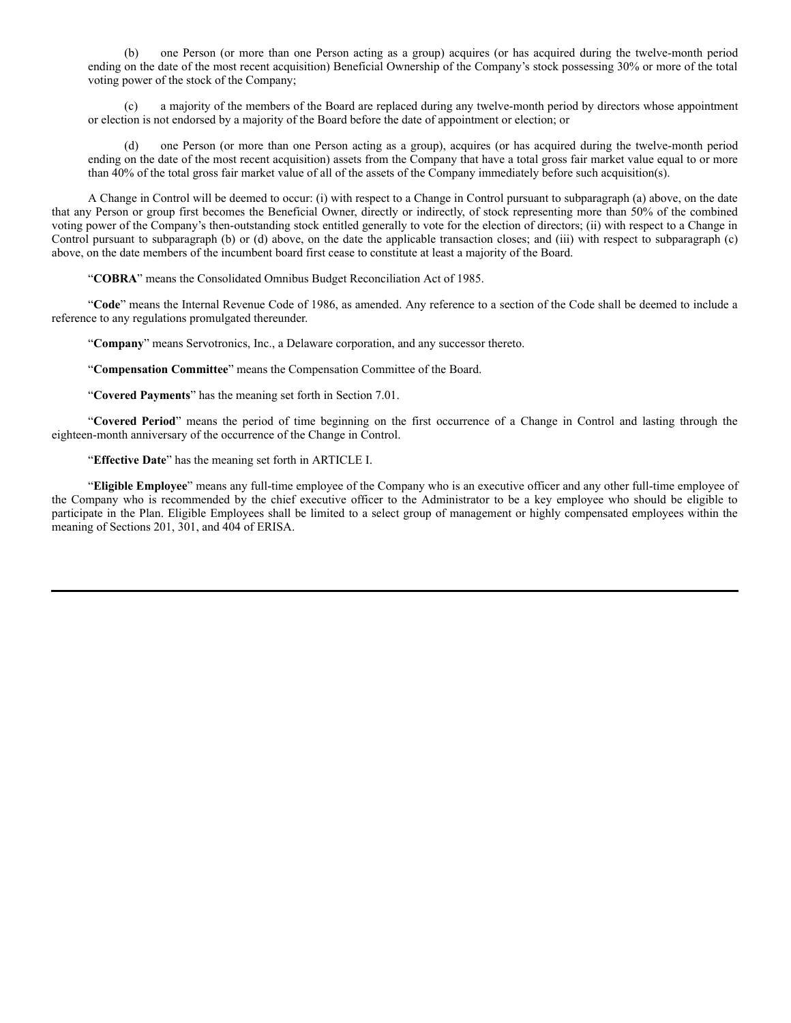(b) one Person (or more than one Person acting as a group) acquires (or has acquired during the twelve-month period ending on the date of the most recent acquisition) Beneficial Ownership of the Company's stock possessing 30% or more of the total voting power of the stock of the Company;

(c) a majority of the members of the Board are replaced during any twelve-month period by directors whose appointment or election is not endorsed by a majority of the Board before the date of appointment or election; or

(d) one Person (or more than one Person acting as a group), acquires (or has acquired during the twelve-month period ending on the date of the most recent acquisition) assets from the Company that have a total gross fair market value equal to or more than 40% of the total gross fair market value of all of the assets of the Company immediately before such acquisition(s).

A Change in Control will be deemed to occur: (i) with respect to a Change in Control pursuant to subparagraph (a) above, on the date that any Person or group first becomes the Beneficial Owner, directly or indirectly, of stock representing more than 50% of the combined voting power of the Company's then-outstanding stock entitled generally to vote for the election of directors; (ii) with respect to a Change in Control pursuant to subparagraph (b) or (d) above, on the date the applicable transaction closes; and (iii) with respect to subparagraph (c) above, on the date members of the incumbent board first cease to constitute at least a majority of the Board.

"**COBRA**" means the Consolidated Omnibus Budget Reconciliation Act of 1985.

"**Code**" means the Internal Revenue Code of 1986, as amended. Any reference to a section of the Code shall be deemed to include a reference to any regulations promulgated thereunder.

"**Company**" means Servotronics, Inc., a Delaware corporation, and any successor thereto.

"**Compensation Committee**" means the Compensation Committee of the Board.

"**Covered Payments**" has the meaning set forth in Section 7.01.

"**Covered Period**" means the period of time beginning on the first occurrence of a Change in Control and lasting through the eighteen-month anniversary of the occurrence of the Change in Control.

"**Effective Date**" has the meaning set forth in ARTICLE I.

"**Eligible Employee**" means any full-time employee of the Company who is an executive officer and any other full-time employee of the Company who is recommended by the chief executive officer to the Administrator to be a key employee who should be eligible to participate in the Plan. Eligible Employees shall be limited to a select group of management or highly compensated employees within the meaning of Sections 201, 301, and 404 of ERISA.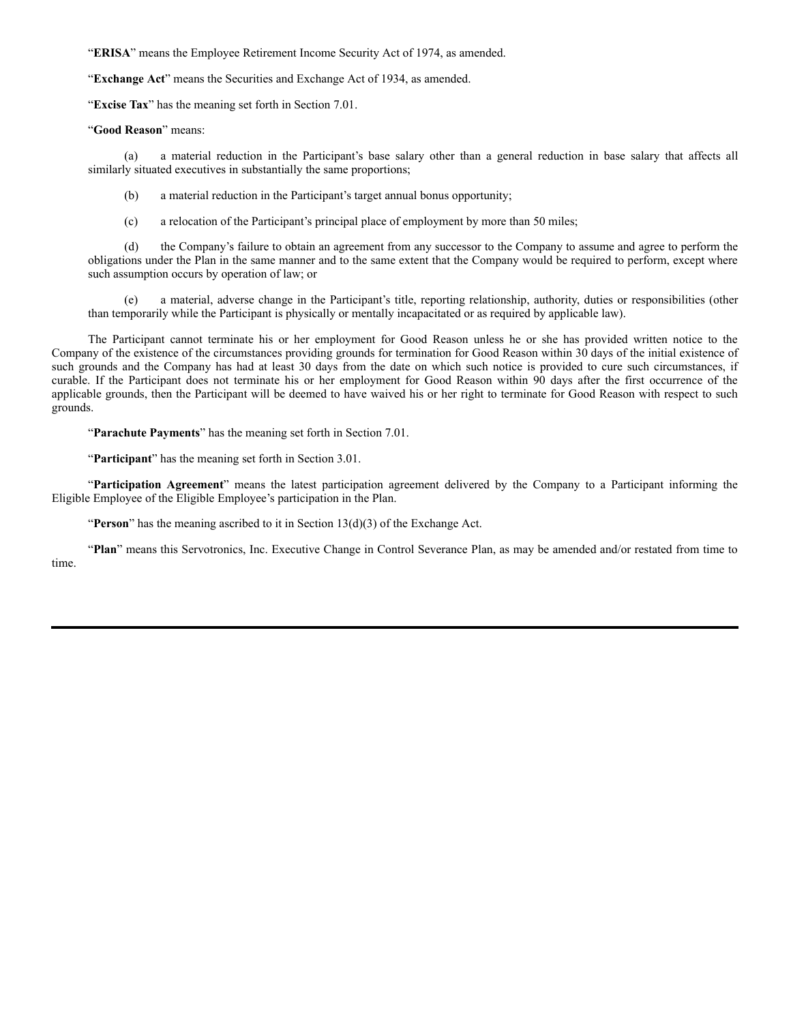"**ERISA**" means the Employee Retirement Income Security Act of 1974, as amended.

"**Exchange Act**" means the Securities and Exchange Act of 1934, as amended.

"**Excise Tax**" has the meaning set forth in Section 7.01.

"**Good Reason**" means:

(a) a material reduction in the Participant's base salary other than a general reduction in base salary that affects all similarly situated executives in substantially the same proportions;

(b) a material reduction in the Participant's target annual bonus opportunity;

(c) a relocation of the Participant's principal place of employment by more than 50 miles;

(d) the Company's failure to obtain an agreement from any successor to the Company to assume and agree to perform the obligations under the Plan in the same manner and to the same extent that the Company would be required to perform, except where such assumption occurs by operation of law; or

(e) a material, adverse change in the Participant's title, reporting relationship, authority, duties or responsibilities (other than temporarily while the Participant is physically or mentally incapacitated or as required by applicable law).

The Participant cannot terminate his or her employment for Good Reason unless he or she has provided written notice to the Company of the existence of the circumstances providing grounds for termination for Good Reason within 30 days of the initial existence of such grounds and the Company has had at least 30 days from the date on which such notice is provided to cure such circumstances, if curable. If the Participant does not terminate his or her employment for Good Reason within 90 days after the first occurrence of the applicable grounds, then the Participant will be deemed to have waived his or her right to terminate for Good Reason with respect to such grounds.

"**Parachute Payments**" has the meaning set forth in Section 7.01.

"**Participant**" has the meaning set forth in Section 3.01.

"**Participation Agreement**" means the latest participation agreement delivered by the Company to a Participant informing the Eligible Employee of the Eligible Employee's participation in the Plan.

"**Person**" has the meaning ascribed to it in Section 13(d)(3) of the Exchange Act.

"**Plan**" means this Servotronics, Inc. Executive Change in Control Severance Plan, as may be amended and/or restated from time to time.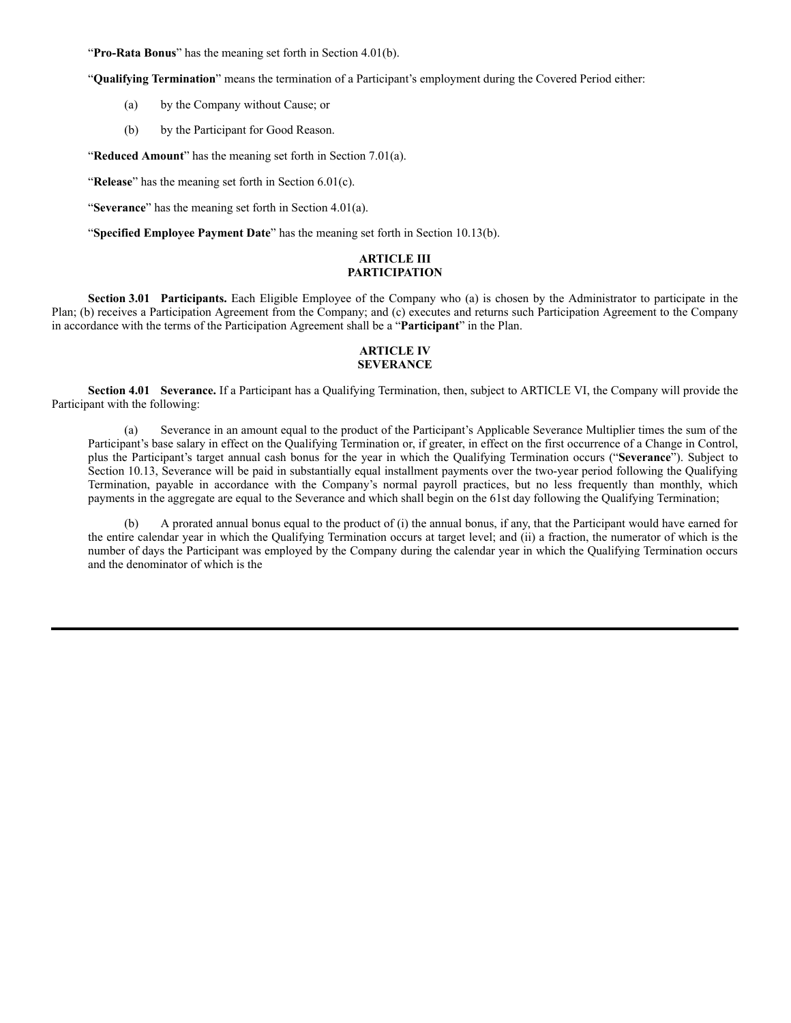"**Pro-Rata Bonus**" has the meaning set forth in Section 4.01(b).

"**Qualifying Termination**" means the termination of a Participant's employment during the Covered Period either:

- (a) by the Company without Cause; or
- (b) by the Participant for Good Reason.

"**Reduced Amount**" has the meaning set forth in Section 7.01(a).

"**Release**" has the meaning set forth in Section 6.01(c).

"**Severance**" has the meaning set forth in Section 4.01(a).

"**Specified Employee Payment Date**" has the meaning set forth in Section 10.13(b).

# **ARTICLE III PARTICIPATION**

**Section 3.01 Participants.** Each Eligible Employee of the Company who (a) is chosen by the Administrator to participate in the Plan; (b) receives a Participation Agreement from the Company; and (c) executes and returns such Participation Agreement to the Company in accordance with the terms of the Participation Agreement shall be a "**Participant**" in the Plan.

# **ARTICLE IV SEVERANCE**

**Section 4.01 Severance.** If a Participant has a Qualifying Termination, then, subject to ARTICLE VI, the Company will provide the Participant with the following:

(a) Severance in an amount equal to the product of the Participant's Applicable Severance Multiplier times the sum of the Participant's base salary in effect on the Qualifying Termination or, if greater, in effect on the first occurrence of a Change in Control, plus the Participant's target annual cash bonus for the year in which the Qualifying Termination occurs ("**Severance**"). Subject to Section 10.13, Severance will be paid in substantially equal installment payments over the two-year period following the Qualifying Termination, payable in accordance with the Company's normal payroll practices, but no less frequently than monthly, which payments in the aggregate are equal to the Severance and which shall begin on the 61st day following the Qualifying Termination;

(b) A prorated annual bonus equal to the product of (i) the annual bonus, if any, that the Participant would have earned for the entire calendar year in which the Qualifying Termination occurs at target level; and (ii) a fraction, the numerator of which is the number of days the Participant was employed by the Company during the calendar year in which the Qualifying Termination occurs and the denominator of which is the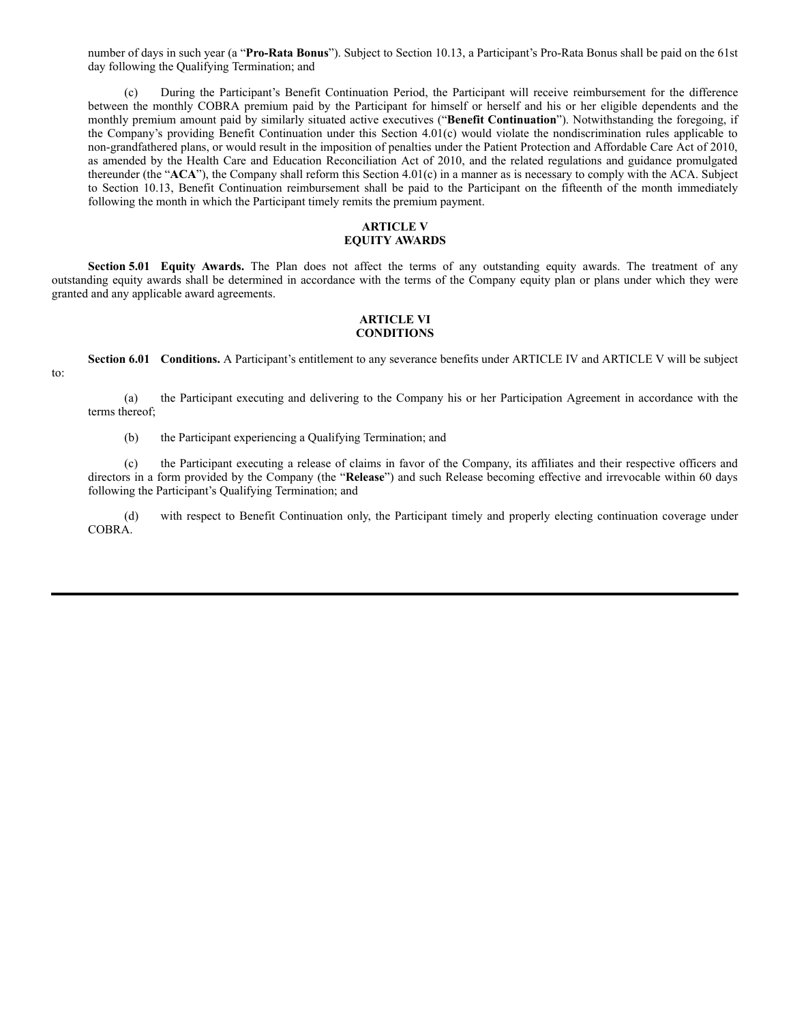number of days in such year (a "**Pro-Rata Bonus**"). Subject to Section 10.13, a Participant's Pro-Rata Bonus shall be paid on the 61st day following the Qualifying Termination; and

(c) During the Participant's Benefit Continuation Period, the Participant will receive reimbursement for the difference between the monthly COBRA premium paid by the Participant for himself or herself and his or her eligible dependents and the monthly premium amount paid by similarly situated active executives ("**Benefit Continuation**"). Notwithstanding the foregoing, if the Company's providing Benefit Continuation under this Section 4.01(c) would violate the nondiscrimination rules applicable to non-grandfathered plans, or would result in the imposition of penalties under the Patient Protection and Affordable Care Act of 2010, as amended by the Health Care and Education Reconciliation Act of 2010, and the related regulations and guidance promulgated thereunder (the "**ACA**"), the Company shall reform this Section 4.01(c) in a manner as is necessary to comply with the ACA. Subject to Section 10.13, Benefit Continuation reimbursement shall be paid to the Participant on the fifteenth of the month immediately following the month in which the Participant timely remits the premium payment.

# **ARTICLE V EQUITY AWARDS**

**Section 5.01 Equity Awards.** The Plan does not affect the terms of any outstanding equity awards. The treatment of any outstanding equity awards shall be determined in accordance with the terms of the Company equity plan or plans under which they were granted and any applicable award agreements.

# **ARTICLE VI CONDITIONS**

**Section 6.01 Conditions.** A Participant's entitlement to any severance benefits under ARTICLE IV and ARTICLE V will be subject

(a) the Participant executing and delivering to the Company his or her Participation Agreement in accordance with the terms thereof;

(b) the Participant experiencing a Qualifying Termination; and

(c) the Participant executing a release of claims in favor of the Company, its affiliates and their respective officers and directors in a form provided by the Company (the "**Release**") and such Release becoming effective and irrevocable within 60 days following the Participant's Qualifying Termination; and

(d) with respect to Benefit Continuation only, the Participant timely and properly electing continuation coverage under COBRA.

to: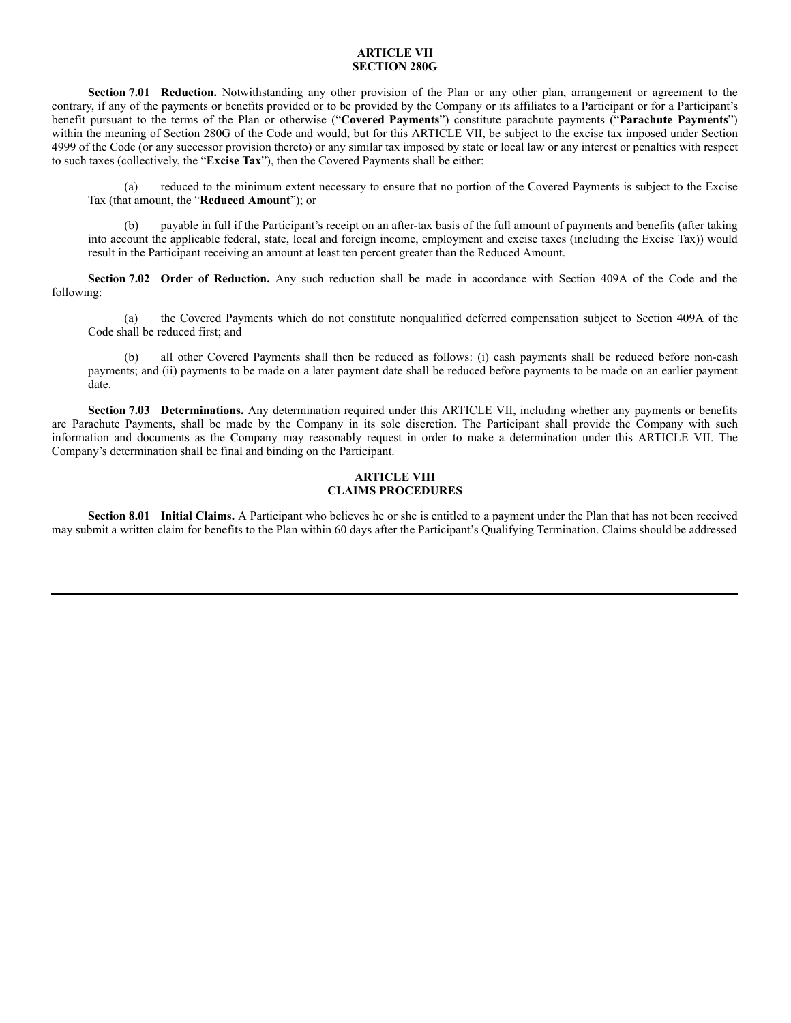# **ARTICLE VII SECTION 280G**

**Section 7.01** Reduction. Notwithstanding any other provision of the Plan or any other plan, arrangement or agreement to the contrary, if any of the payments or benefits provided or to be provided by the Company or its affiliates to a Participant or for a Participant's benefit pursuant to the terms of the Plan or otherwise ("**Covered Payments**") constitute parachute payments ("**Parachute Payments**") within the meaning of Section 280G of the Code and would, but for this ARTICLE VII, be subject to the excise tax imposed under Section 4999 of the Code (or any successor provision thereto) or any similar tax imposed by state or local law or any interest or penalties with respect to such taxes (collectively, the "**Excise Tax**"), then the Covered Payments shall be either:

(a) reduced to the minimum extent necessary to ensure that no portion of the Covered Payments is subject to the Excise Tax (that amount, the "**Reduced Amount**"); or

(b) payable in full if the Participant's receipt on an after-tax basis of the full amount of payments and benefits (after taking into account the applicable federal, state, local and foreign income, employment and excise taxes (including the Excise Tax)) would result in the Participant receiving an amount at least ten percent greater than the Reduced Amount.

**Section 7.02 Order of Reduction.** Any such reduction shall be made in accordance with Section 409A of the Code and the following:

(a) the Covered Payments which do not constitute nonqualified deferred compensation subject to Section 409A of the Code shall be reduced first; and

(b) all other Covered Payments shall then be reduced as follows: (i) cash payments shall be reduced before non-cash payments; and (ii) payments to be made on a later payment date shall be reduced before payments to be made on an earlier payment date.

**Section 7.03 Determinations.** Any determination required under this ARTICLE VII, including whether any payments or benefits are Parachute Payments, shall be made by the Company in its sole discretion. The Participant shall provide the Company with such information and documents as the Company may reasonably request in order to make a determination under this ARTICLE VII. The Company's determination shall be final and binding on the Participant.

# **ARTICLE VIII CLAIMS PROCEDURES**

**Section 8.01 Initial Claims.** A Participant who believes he or she is entitled to a payment under the Plan that has not been received may submit a written claim for benefits to the Plan within 60 days after the Participant's Qualifying Termination. Claims should be addressed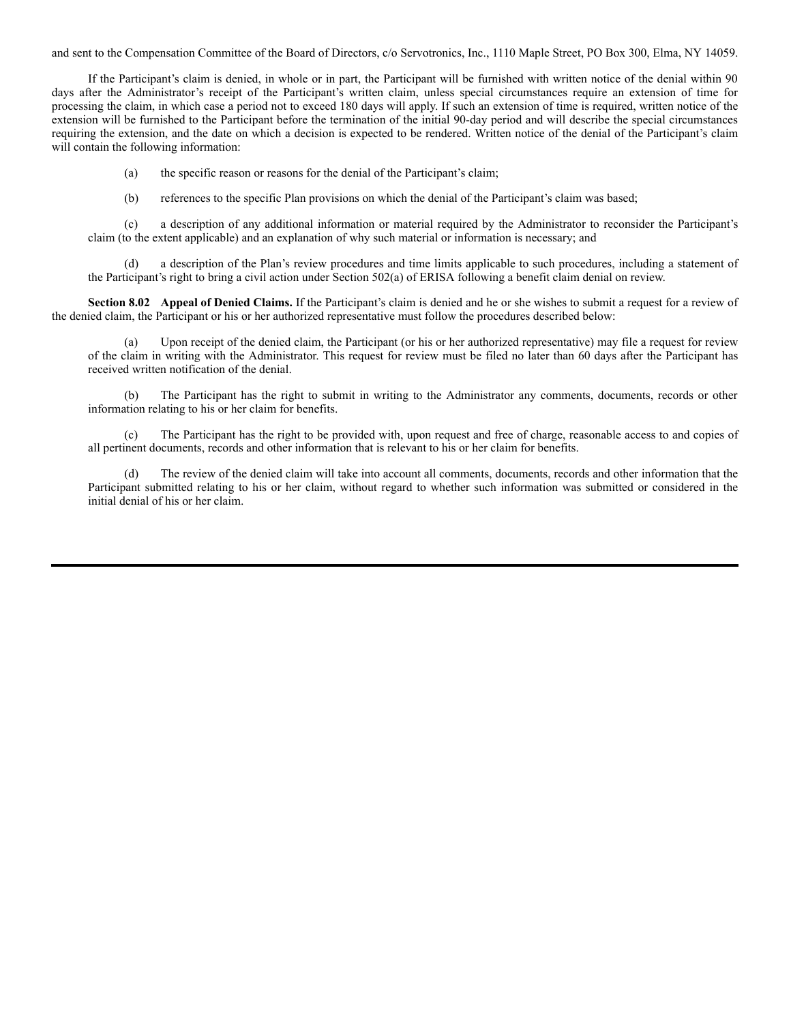and sent to the Compensation Committee of the Board of Directors, c/o Servotronics, Inc., 1110 Maple Street, PO Box 300, Elma, NY 14059.

If the Participant's claim is denied, in whole or in part, the Participant will be furnished with written notice of the denial within 90 days after the Administrator's receipt of the Participant's written claim, unless special circumstances require an extension of time for processing the claim, in which case a period not to exceed 180 days will apply. If such an extension of time is required, written notice of the extension will be furnished to the Participant before the termination of the initial 90-day period and will describe the special circumstances requiring the extension, and the date on which a decision is expected to be rendered. Written notice of the denial of the Participant's claim will contain the following information:

(a) the specific reason or reasons for the denial of the Participant's claim;

(b) references to the specific Plan provisions on which the denial of the Participant's claim was based;

(c) a description of any additional information or material required by the Administrator to reconsider the Participant's claim (to the extent applicable) and an explanation of why such material or information is necessary; and

(d) a description of the Plan's review procedures and time limits applicable to such procedures, including a statement of the Participant's right to bring a civil action under Section 502(a) of ERISA following a benefit claim denial on review.

**Section 8.02 Appeal of Denied Claims.** If the Participant's claim is denied and he or she wishes to submit a request for a review of the denied claim, the Participant or his or her authorized representative must follow the procedures described below:

(a) Upon receipt of the denied claim, the Participant (or his or her authorized representative) may file a request for review of the claim in writing with the Administrator. This request for review must be filed no later than 60 days after the Participant has received written notification of the denial.

(b) The Participant has the right to submit in writing to the Administrator any comments, documents, records or other information relating to his or her claim for benefits.

The Participant has the right to be provided with, upon request and free of charge, reasonable access to and copies of all pertinent documents, records and other information that is relevant to his or her claim for benefits.

The review of the denied claim will take into account all comments, documents, records and other information that the Participant submitted relating to his or her claim, without regard to whether such information was submitted or considered in the initial denial of his or her claim.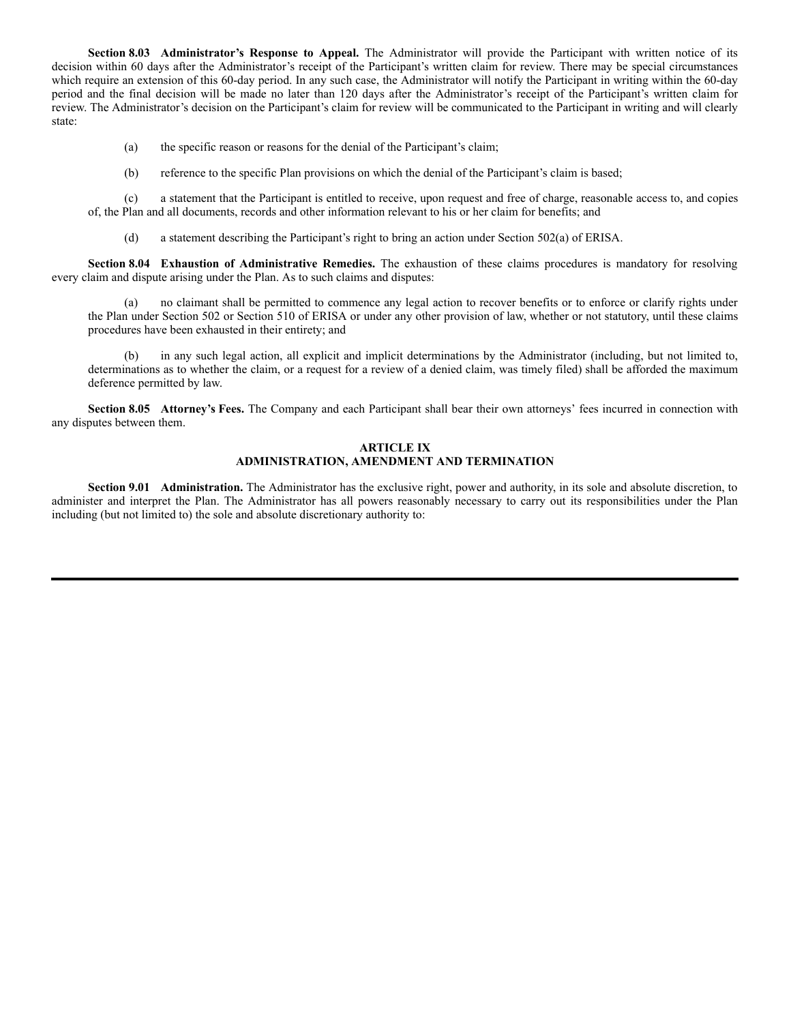**Section 8.03 Administrator's Response to Appeal.** The Administrator will provide the Participant with written notice of its decision within 60 days after the Administrator's receipt of the Participant's written claim for review. There may be special circumstances which require an extension of this 60-day period. In any such case, the Administrator will notify the Participant in writing within the 60-day period and the final decision will be made no later than 120 days after the Administrator's receipt of the Participant's written claim for review. The Administrator's decision on the Participant's claim for review will be communicated to the Participant in writing and will clearly state:

- (a) the specific reason or reasons for the denial of the Participant's claim;
- (b) reference to the specific Plan provisions on which the denial of the Participant's claim is based;

(c) a statement that the Participant is entitled to receive, upon request and free of charge, reasonable access to, and copies of, the Plan and all documents, records and other information relevant to his or her claim for benefits; and

(d) a statement describing the Participant's right to bring an action under Section 502(a) of ERISA.

**Section 8.04 Exhaustion of Administrative Remedies.** The exhaustion of these claims procedures is mandatory for resolving every claim and dispute arising under the Plan. As to such claims and disputes:

(a) no claimant shall be permitted to commence any legal action to recover benefits or to enforce or clarify rights under the Plan under Section 502 or Section 510 of ERISA or under any other provision of law, whether or not statutory, until these claims procedures have been exhausted in their entirety; and

(b) in any such legal action, all explicit and implicit determinations by the Administrator (including, but not limited to, determinations as to whether the claim, or a request for a review of a denied claim, was timely filed) shall be afforded the maximum deference permitted by law.

**Section 8.05 Attorney's Fees.** The Company and each Participant shall bear their own attorneys' fees incurred in connection with any disputes between them.

# **ARTICLE IX ADMINISTRATION, AMENDMENT AND TERMINATION**

**Section 9.01 Administration.** The Administrator has the exclusive right, power and authority, in its sole and absolute discretion, to administer and interpret the Plan. The Administrator has all powers reasonably necessary to carry out its responsibilities under the Plan including (but not limited to) the sole and absolute discretionary authority to: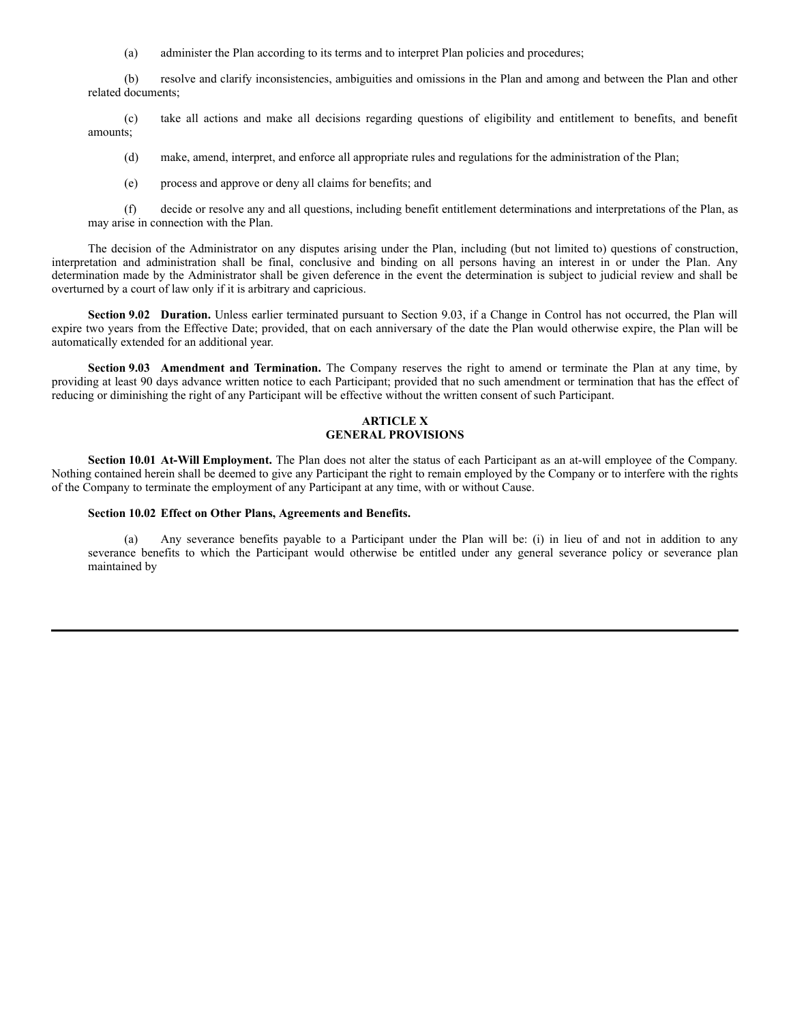(a) administer the Plan according to its terms and to interpret Plan policies and procedures;

(b) resolve and clarify inconsistencies, ambiguities and omissions in the Plan and among and between the Plan and other related documents;

(c) take all actions and make all decisions regarding questions of eligibility and entitlement to benefits, and benefit amounts;

- (d) make, amend, interpret, and enforce all appropriate rules and regulations for the administration of the Plan;
- (e) process and approve or deny all claims for benefits; and

(f) decide or resolve any and all questions, including benefit entitlement determinations and interpretations of the Plan, as may arise in connection with the Plan.

The decision of the Administrator on any disputes arising under the Plan, including (but not limited to) questions of construction, interpretation and administration shall be final, conclusive and binding on all persons having an interest in or under the Plan. Any determination made by the Administrator shall be given deference in the event the determination is subject to judicial review and shall be overturned by a court of law only if it is arbitrary and capricious.

**Section 9.02 Duration.** Unless earlier terminated pursuant to Section 9.03, if a Change in Control has not occurred, the Plan will expire two years from the Effective Date; provided, that on each anniversary of the date the Plan would otherwise expire, the Plan will be automatically extended for an additional year.

**Section 9.03 Amendment and Termination.** The Company reserves the right to amend or terminate the Plan at any time, by providing at least 90 days advance written notice to each Participant; provided that no such amendment or termination that has the effect of reducing or diminishing the right of any Participant will be effective without the written consent of such Participant.

# **ARTICLE X GENERAL PROVISIONS**

**Section 10.01 At-Will Employment.** The Plan does not alter the status of each Participant as an at-will employee of the Company. Nothing contained herein shall be deemed to give any Participant the right to remain employed by the Company or to interfere with the rights of the Company to terminate the employment of any Participant at any time, with or without Cause.

# **Section 10.02 Effect on Other Plans, Agreements and Benefits.**

(a) Any severance benefits payable to a Participant under the Plan will be: (i) in lieu of and not in addition to any severance benefits to which the Participant would otherwise be entitled under any general severance policy or severance plan maintained by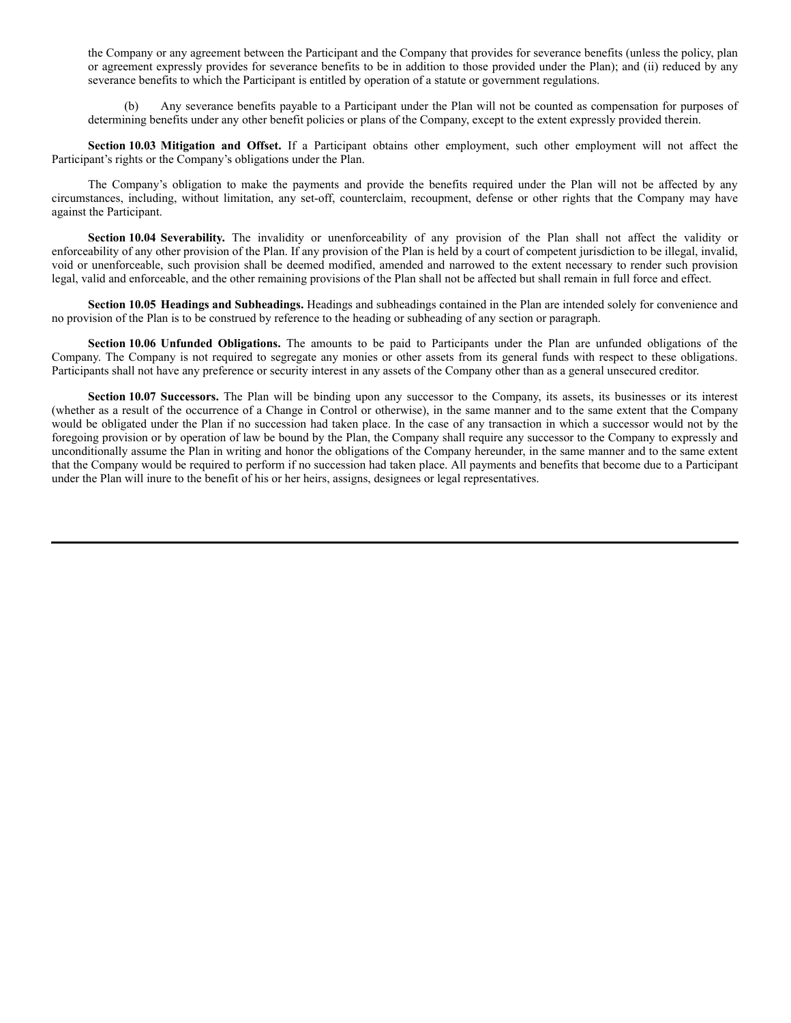the Company or any agreement between the Participant and the Company that provides for severance benefits (unless the policy, plan or agreement expressly provides for severance benefits to be in addition to those provided under the Plan); and (ii) reduced by any severance benefits to which the Participant is entitled by operation of a statute or government regulations.

Any severance benefits payable to a Participant under the Plan will not be counted as compensation for purposes of determining benefits under any other benefit policies or plans of the Company, except to the extent expressly provided therein.

**Section 10.03 Mitigation and Offset.** If a Participant obtains other employment, such other employment will not affect the Participant's rights or the Company's obligations under the Plan.

The Company's obligation to make the payments and provide the benefits required under the Plan will not be affected by any circumstances, including, without limitation, any set-off, counterclaim, recoupment, defense or other rights that the Company may have against the Participant.

**Section 10.04 Severability.** The invalidity or unenforceability of any provision of the Plan shall not affect the validity or enforceability of any other provision of the Plan. If any provision of the Plan is held by a court of competent jurisdiction to be illegal, invalid, void or unenforceable, such provision shall be deemed modified, amended and narrowed to the extent necessary to render such provision legal, valid and enforceable, and the other remaining provisions of the Plan shall not be affected but shall remain in full force and effect.

**Section 10.05 Headings and Subheadings.** Headings and subheadings contained in the Plan are intended solely for convenience and no provision of the Plan is to be construed by reference to the heading or subheading of any section or paragraph.

**Section 10.06 Unfunded Obligations.** The amounts to be paid to Participants under the Plan are unfunded obligations of the Company. The Company is not required to segregate any monies or other assets from its general funds with respect to these obligations. Participants shall not have any preference or security interest in any assets of the Company other than as a general unsecured creditor.

**Section 10.07 Successors.** The Plan will be binding upon any successor to the Company, its assets, its businesses or its interest (whether as a result of the occurrence of a Change in Control or otherwise), in the same manner and to the same extent that the Company would be obligated under the Plan if no succession had taken place. In the case of any transaction in which a successor would not by the foregoing provision or by operation of law be bound by the Plan, the Company shall require any successor to the Company to expressly and unconditionally assume the Plan in writing and honor the obligations of the Company hereunder, in the same manner and to the same extent that the Company would be required to perform if no succession had taken place. All payments and benefits that become due to a Participant under the Plan will inure to the benefit of his or her heirs, assigns, designees or legal representatives.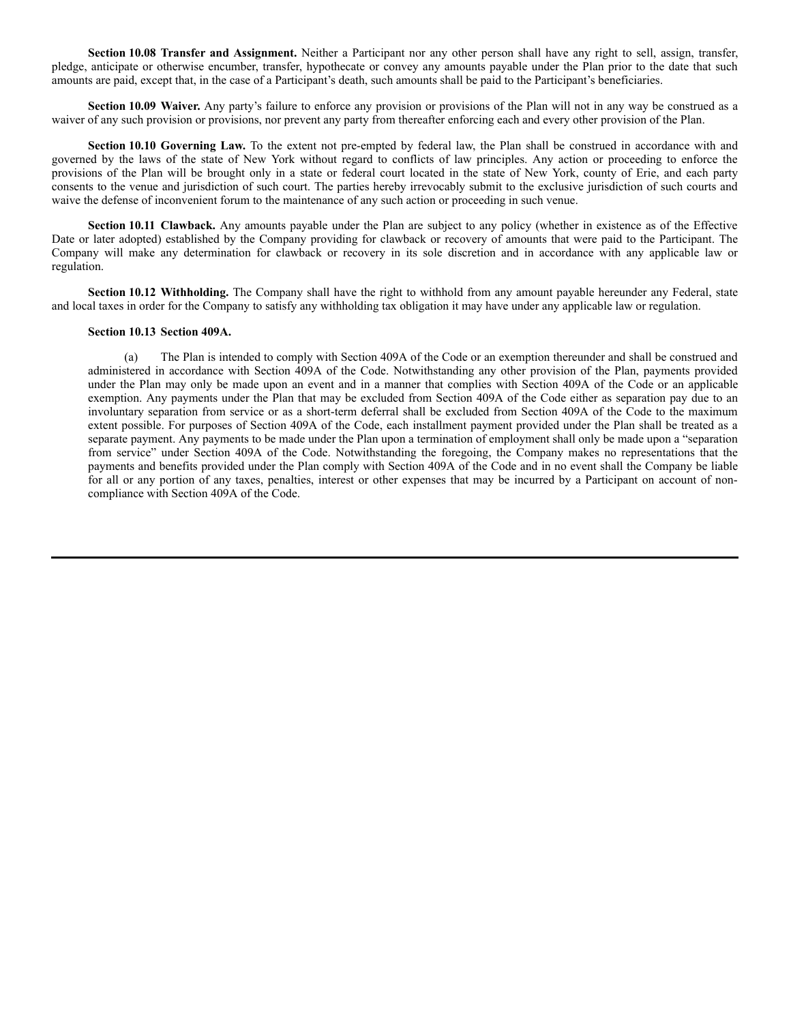**Section 10.08 Transfer and Assignment.** Neither a Participant nor any other person shall have any right to sell, assign, transfer, pledge, anticipate or otherwise encumber, transfer, hypothecate or convey any amounts payable under the Plan prior to the date that such amounts are paid, except that, in the case of a Participant's death, such amounts shall be paid to the Participant's beneficiaries.

**Section 10.09 Waiver.** Any party's failure to enforce any provision or provisions of the Plan will not in any way be construed as a waiver of any such provision or provisions, nor prevent any party from thereafter enforcing each and every other provision of the Plan.

**Section 10.10 Governing Law.** To the extent not pre-empted by federal law, the Plan shall be construed in accordance with and governed by the laws of the state of New York without regard to conflicts of law principles. Any action or proceeding to enforce the provisions of the Plan will be brought only in a state or federal court located in the state of New York, county of Erie, and each party consents to the venue and jurisdiction of such court. The parties hereby irrevocably submit to the exclusive jurisdiction of such courts and waive the defense of inconvenient forum to the maintenance of any such action or proceeding in such venue.

**Section 10.11 Clawback.** Any amounts payable under the Plan are subject to any policy (whether in existence as of the Effective Date or later adopted) established by the Company providing for clawback or recovery of amounts that were paid to the Participant. The Company will make any determination for clawback or recovery in its sole discretion and in accordance with any applicable law or regulation.

**Section 10.12 Withholding.** The Company shall have the right to withhold from any amount payable hereunder any Federal, state and local taxes in order for the Company to satisfy any withholding tax obligation it may have under any applicable law or regulation.

### **Section 10.13 Section 409A.**

(a) The Plan is intended to comply with Section 409A of the Code or an exemption thereunder and shall be construed and administered in accordance with Section 409A of the Code. Notwithstanding any other provision of the Plan, payments provided under the Plan may only be made upon an event and in a manner that complies with Section 409A of the Code or an applicable exemption. Any payments under the Plan that may be excluded from Section 409A of the Code either as separation pay due to an involuntary separation from service or as a short-term deferral shall be excluded from Section 409A of the Code to the maximum extent possible. For purposes of Section 409A of the Code, each installment payment provided under the Plan shall be treated as a separate payment. Any payments to be made under the Plan upon a termination of employment shall only be made upon a "separation from service" under Section 409A of the Code. Notwithstanding the foregoing, the Company makes no representations that the payments and benefits provided under the Plan comply with Section 409A of the Code and in no event shall the Company be liable for all or any portion of any taxes, penalties, interest or other expenses that may be incurred by a Participant on account of noncompliance with Section 409A of the Code.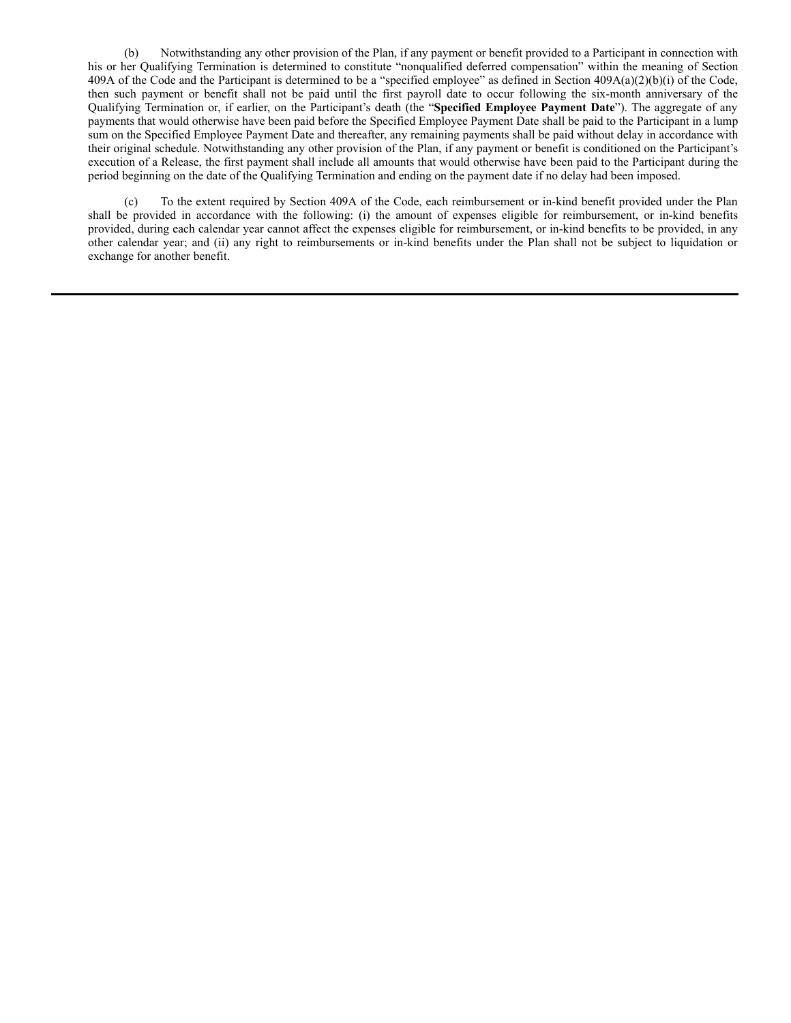(b) Notwithstanding any other provision of the Plan, if any payment or benefit provided to a Participant in connection with his or her Qualifying Termination is determined to constitute "nonqualified deferred compensation" within the meaning of Section 409A of the Code and the Participant is determined to be a "specified employee" as defined in Section 409A(a)(2)(b)(i) of the Code, then such payment or benefit shall not be paid until the first payroll date to occur following the six-month anniversary of the Qualifying Termination or, if earlier, on the Participant's death (the "**Specified Employee Payment Date**"). The aggregate of any payments that would otherwise have been paid before the Specified Employee Payment Date shall be paid to the Participant in a lump sum on the Specified Employee Payment Date and thereafter, any remaining payments shall be paid without delay in accordance with their original schedule. Notwithstanding any other provision of the Plan, if any payment or benefit is conditioned on the Participant's execution of a Release, the first payment shall include all amounts that would otherwise have been paid to the Participant during the period beginning on the date of the Qualifying Termination and ending on the payment date if no delay had been imposed.

(c) To the extent required by Section 409A of the Code, each reimbursement or in-kind benefit provided under the Plan shall be provided in accordance with the following: (i) the amount of expenses eligible for reimbursement, or in-kind benefits provided, during each calendar year cannot affect the expenses eligible for reimbursement, or in-kind benefits to be provided, in any other calendar year; and (ii) any right to reimbursements or in-kind benefits under the Plan shall not be subject to liquidation or exchange for another benefit.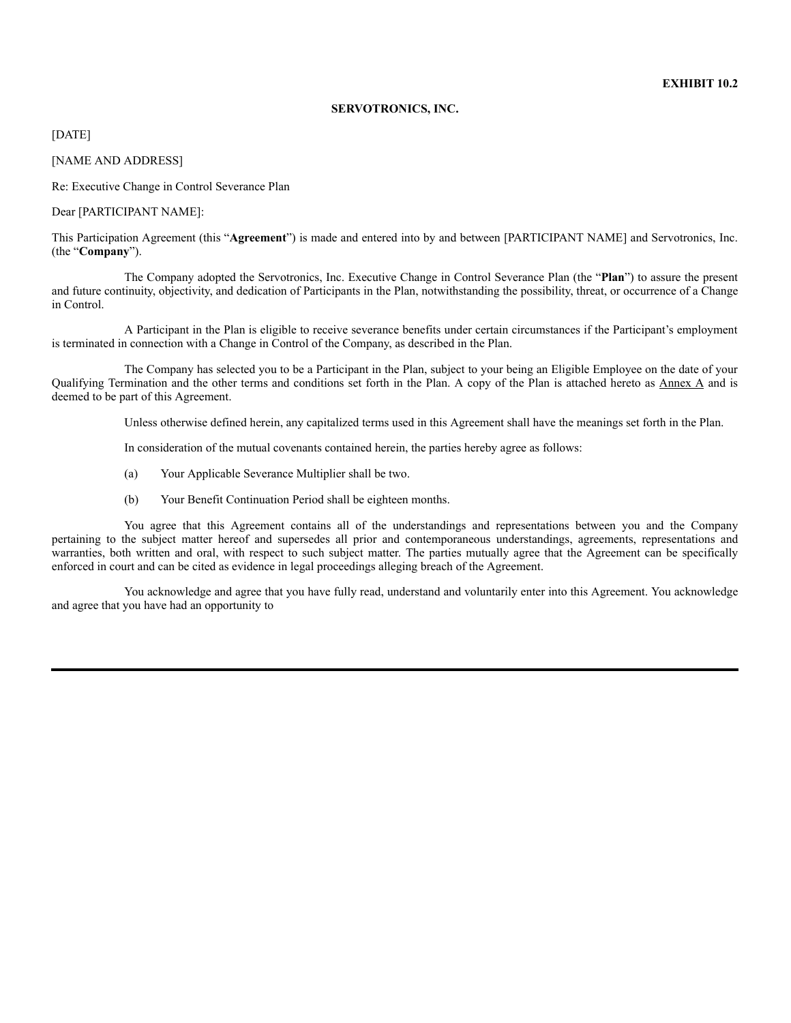### **SERVOTRONICS, INC.**

[DATE]

[NAME AND ADDRESS]

Re: Executive Change in Control Severance Plan

# Dear [PARTICIPANT NAME]:

This Participation Agreement (this "**Agreement**") is made and entered into by and between [PARTICIPANT NAME] and Servotronics, Inc. (the "**Company**").

The Company adopted the Servotronics, Inc. Executive Change in Control Severance Plan (the "**Plan**") to assure the present and future continuity, objectivity, and dedication of Participants in the Plan, notwithstanding the possibility, threat, or occurrence of a Change in Control.

A Participant in the Plan is eligible to receive severance benefits under certain circumstances if the Participant's employment is terminated in connection with a Change in Control of the Company, as described in the Plan.

The Company has selected you to be a Participant in the Plan, subject to your being an Eligible Employee on the date of your Qualifying Termination and the other terms and conditions set forth in the Plan. A copy of the Plan is attached hereto as Annex A and is deemed to be part of this Agreement.

Unless otherwise defined herein, any capitalized terms used in this Agreement shall have the meanings set forth in the Plan.

In consideration of the mutual covenants contained herein, the parties hereby agree as follows:

- (a) Your Applicable Severance Multiplier shall be two.
- (b) Your Benefit Continuation Period shall be eighteen months.

You agree that this Agreement contains all of the understandings and representations between you and the Company pertaining to the subject matter hereof and supersedes all prior and contemporaneous understandings, agreements, representations and warranties, both written and oral, with respect to such subject matter. The parties mutually agree that the Agreement can be specifically enforced in court and can be cited as evidence in legal proceedings alleging breach of the Agreement.

You acknowledge and agree that you have fully read, understand and voluntarily enter into this Agreement. You acknowledge and agree that you have had an opportunity to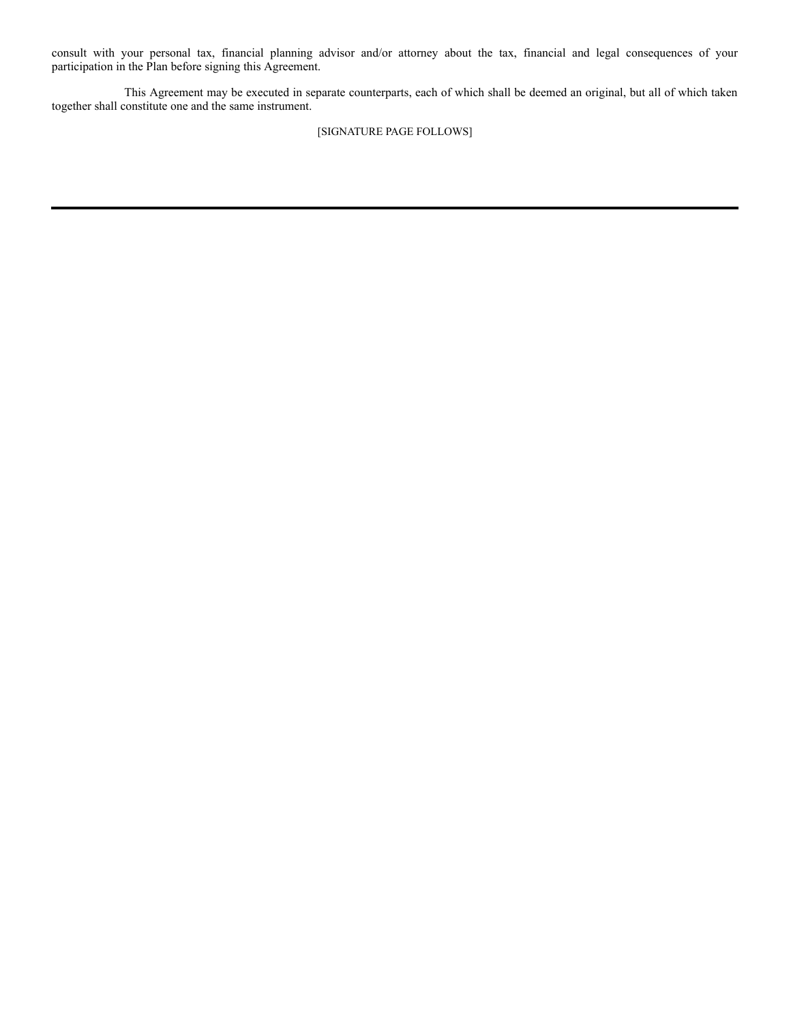consult with your personal tax, financial planning advisor and/or attorney about the tax, financial and legal consequences of your participation in the Plan before signing this Agreement.

This Agreement may be executed in separate counterparts, each of which shall be deemed an original, but all of which taken together shall constitute one and the same instrument.

[SIGNATURE PAGE FOLLOWS]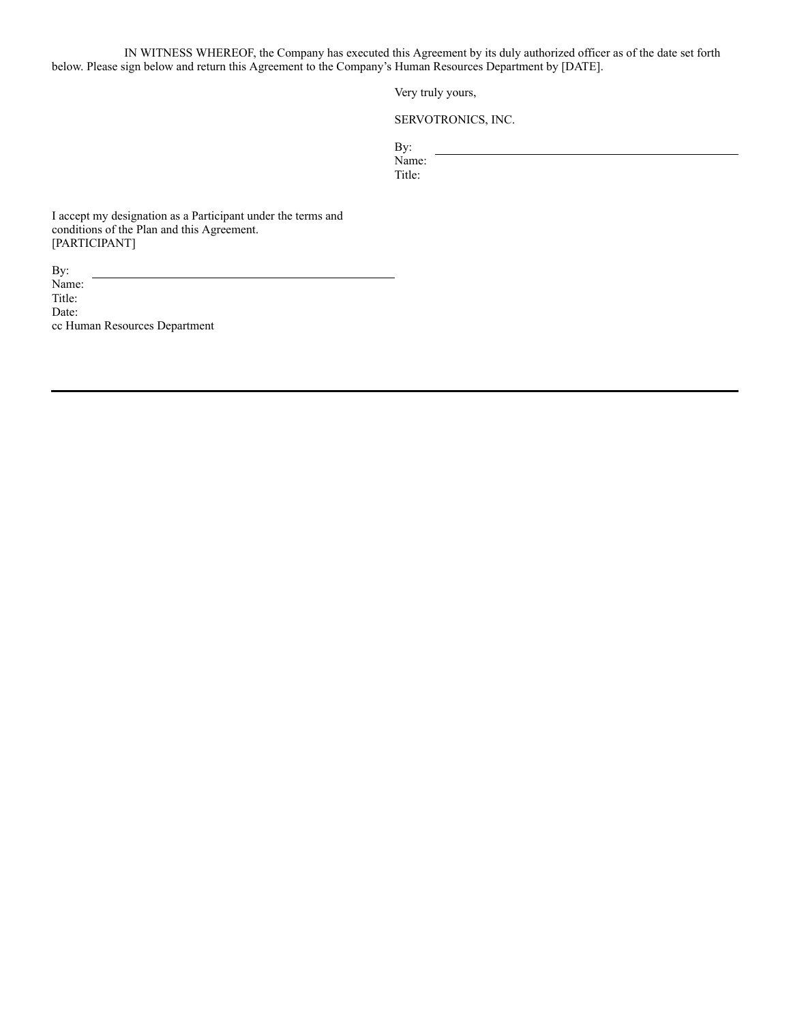IN WITNESS WHEREOF, the Company has executed this Agreement by its duly authorized officer as of the date set forth below. Please sign below and return this Agreement to the Company's Human Resources Department by [DATE].

Very truly yours,

SERVOTRONICS, INC.

By: Name: Title:

I accept my designation as a Participant under the terms and conditions of the Plan and this Agreement. [PARTICIPANT]

By: Name: Title: Date: cc Human Resources Department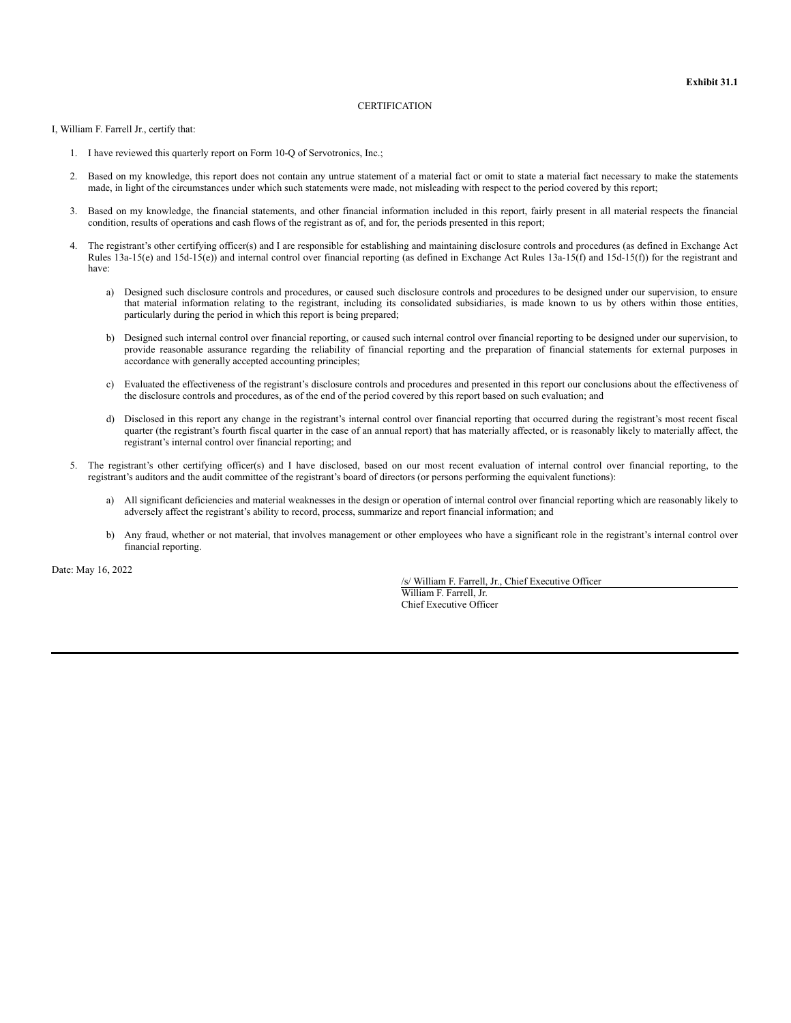### **CERTIFICATION**

I, William F. Farrell Jr., certify that:

- 1. I have reviewed this quarterly report on Form 10-Q of Servotronics, Inc.;
- 2. Based on my knowledge, this report does not contain any untrue statement of a material fact or omit to state a material fact necessary to make the statements made, in light of the circumstances under which such statements were made, not misleading with respect to the period covered by this report;
- 3. Based on my knowledge, the financial statements, and other financial information included in this report, fairly present in all material respects the financial condition, results of operations and cash flows of the registrant as of, and for, the periods presented in this report;
- 4. The registrant's other certifying officer(s) and I are responsible for establishing and maintaining disclosure controls and procedures (as defined in Exchange Act Rules 13a-15(e) and 15d-15(e)) and internal control over financial reporting (as defined in Exchange Act Rules 13a-15(f) and 15d-15(f)) for the registrant and have:
	- a) Designed such disclosure controls and procedures, or caused such disclosure controls and procedures to be designed under our supervision, to ensure that material information relating to the registrant, including its consolidated subsidiaries, is made known to us by others within those entities, particularly during the period in which this report is being prepared;
	- b) Designed such internal control over financial reporting, or caused such internal control over financial reporting to be designed under our supervision, to provide reasonable assurance regarding the reliability of financial reporting and the preparation of financial statements for external purposes in accordance with generally accepted accounting principles;
	- c) Evaluated the effectiveness of the registrant's disclosure controls and procedures and presented in this report our conclusions about the effectiveness of the disclosure controls and procedures, as of the end of the period covered by this report based on such evaluation; and
	- d) Disclosed in this report any change in the registrant's internal control over financial reporting that occurred during the registrant's most recent fiscal quarter (the registrant's fourth fiscal quarter in the case of an annual report) that has materially affected, or is reasonably likely to materially affect, the registrant's internal control over financial reporting; and
- 5. The registrant's other certifying officer(s) and I have disclosed, based on our most recent evaluation of internal control over financial reporting, to the registrant's auditors and the audit committee of the registrant's board of directors (or persons performing the equivalent functions):
	- a) All significant deficiencies and material weaknesses in the design or operation of internal control over financial reporting which are reasonably likely to adversely affect the registrant's ability to record, process, summarize and report financial information; and
	- b) Any fraud, whether or not material, that involves management or other employees who have a significant role in the registrant's internal control over financial reporting.

Date: May 16, 2022

/s/ William F. Farrell, Jr., Chief Executive Officer William F. Farrell, Jr. Chief Executive Officer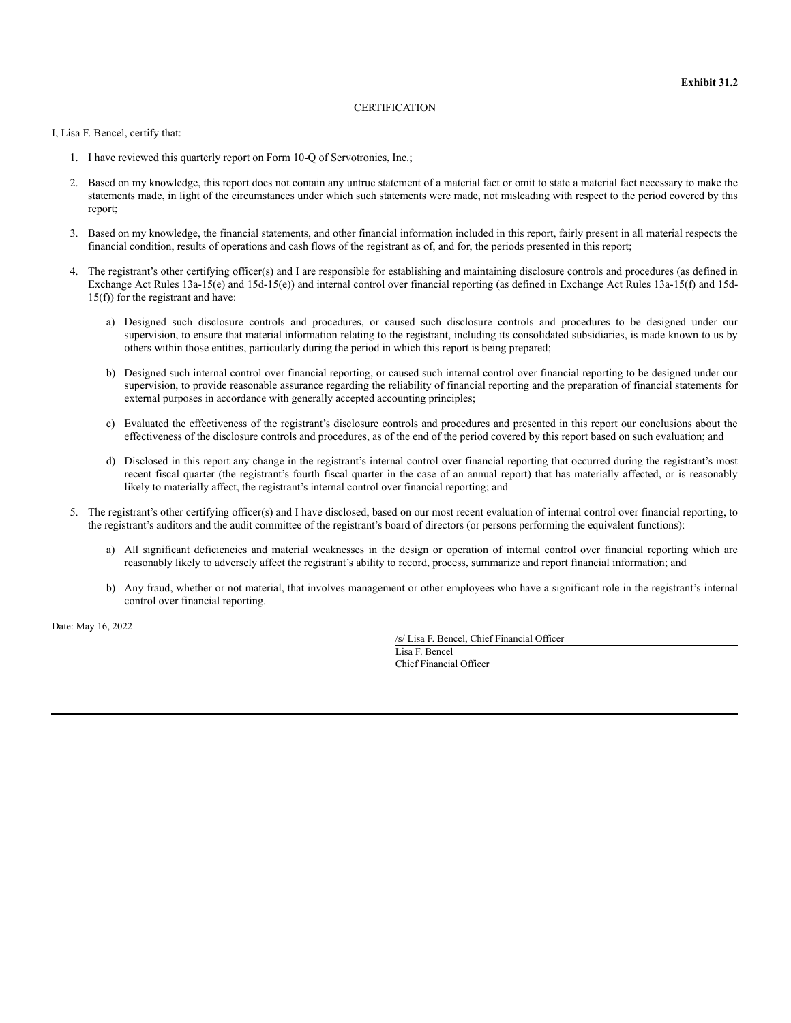### **CERTIFICATION**

I, Lisa F. Bencel, certify that:

- 1. I have reviewed this quarterly report on Form 10-Q of Servotronics, Inc.;
- 2. Based on my knowledge, this report does not contain any untrue statement of a material fact or omit to state a material fact necessary to make the statements made, in light of the circumstances under which such statements were made, not misleading with respect to the period covered by this report;
- 3. Based on my knowledge, the financial statements, and other financial information included in this report, fairly present in all material respects the financial condition, results of operations and cash flows of the registrant as of, and for, the periods presented in this report;
- 4. The registrant's other certifying officer(s) and I are responsible for establishing and maintaining disclosure controls and procedures (as defined in Exchange Act Rules 13a-15(e) and 15d-15(e)) and internal control over financial reporting (as defined in Exchange Act Rules 13a-15(f) and 15d-15(f)) for the registrant and have:
	- a) Designed such disclosure controls and procedures, or caused such disclosure controls and procedures to be designed under our supervision, to ensure that material information relating to the registrant, including its consolidated subsidiaries, is made known to us by others within those entities, particularly during the period in which this report is being prepared;
	- b) Designed such internal control over financial reporting, or caused such internal control over financial reporting to be designed under our supervision, to provide reasonable assurance regarding the reliability of financial reporting and the preparation of financial statements for external purposes in accordance with generally accepted accounting principles;
	- c) Evaluated the effectiveness of the registrant's disclosure controls and procedures and presented in this report our conclusions about the effectiveness of the disclosure controls and procedures, as of the end of the period covered by this report based on such evaluation; and
	- d) Disclosed in this report any change in the registrant's internal control over financial reporting that occurred during the registrant's most recent fiscal quarter (the registrant's fourth fiscal quarter in the case of an annual report) that has materially affected, or is reasonably likely to materially affect, the registrant's internal control over financial reporting; and
- 5. The registrant's other certifying officer(s) and I have disclosed, based on our most recent evaluation of internal control over financial reporting, to the registrant's auditors and the audit committee of the registrant's board of directors (or persons performing the equivalent functions):
	- a) All significant deficiencies and material weaknesses in the design or operation of internal control over financial reporting which are reasonably likely to adversely affect the registrant's ability to record, process, summarize and report financial information; and
	- b) Any fraud, whether or not material, that involves management or other employees who have a significant role in the registrant's internal control over financial reporting.

Date: May 16, 2022

/s/ Lisa F. Bencel, Chief Financial Officer

Lisa F. Bencel Chief Financial Officer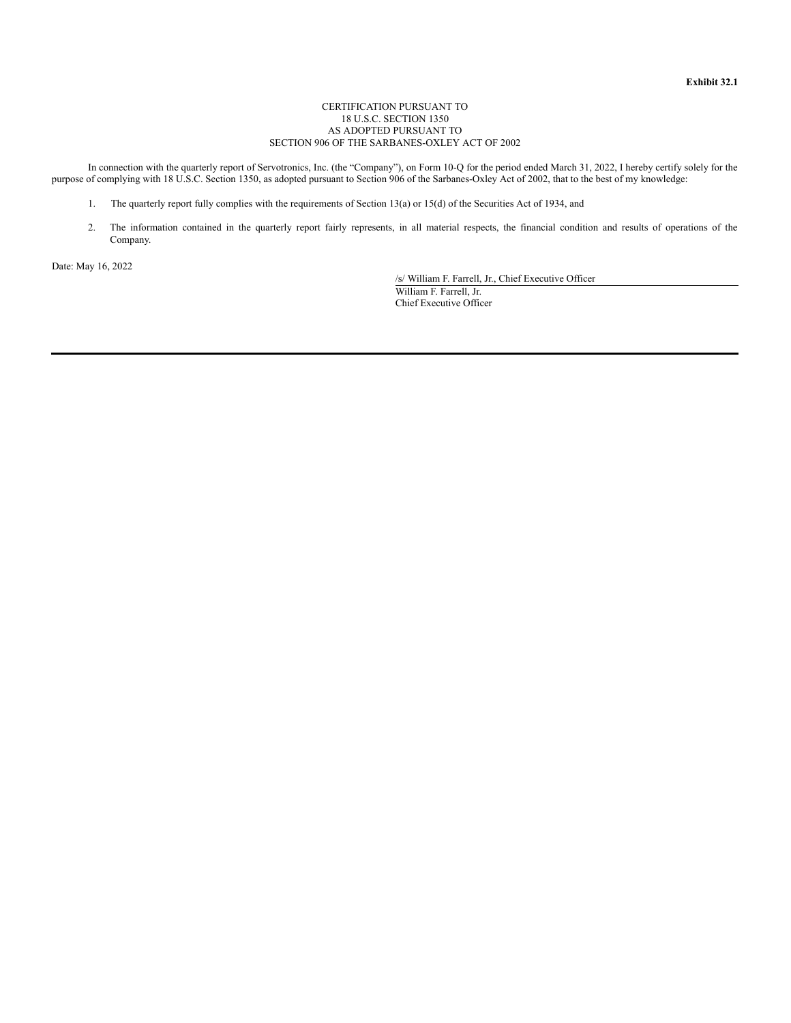### **Exhibit 32.1**

### CERTIFICATION PURSUANT TO 18 U.S.C. SECTION 1350 AS ADOPTED PURSUANT TO SECTION 906 OF THE SARBANES-OXLEY ACT OF 2002

In connection with the quarterly report of Servotronics, Inc. (the "Company"), on Form 10-Q for the period ended March 31, 2022, I hereby certify solely for the purpose of complying with 18 U.S.C. Section 1350, as adopted pursuant to Section 906 of the Sarbanes-Oxley Act of 2002, that to the best of my knowledge:

- 1. The quarterly report fully complies with the requirements of Section 13(a) or 15(d) of the Securities Act of 1934, and
- 2. The information contained in the quarterly report fairly represents, in all material respects, the financial condition and results of operations of the Company.

Date: May 16, 2022

/s/ William F. Farrell, Jr., Chief Executive Officer William F. Farrell, Jr. Chief Executive Officer